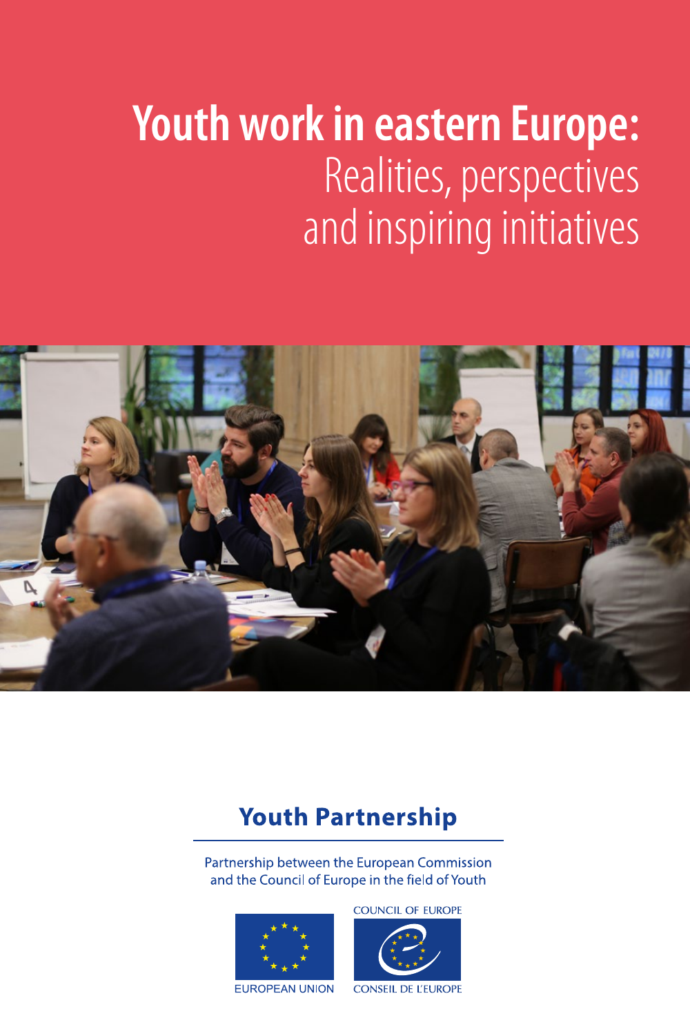# **Youth work in eastern Europe:** Realities, perspectives and inspiring initiatives



# **Youth Partnership**

Partnership between the European Commission and the Council of Europe in the field of Youth



**COUNCIL OF EUROPE** 



**EUROPEAN UNION** 

**CONSEIL DE L'EUROPE**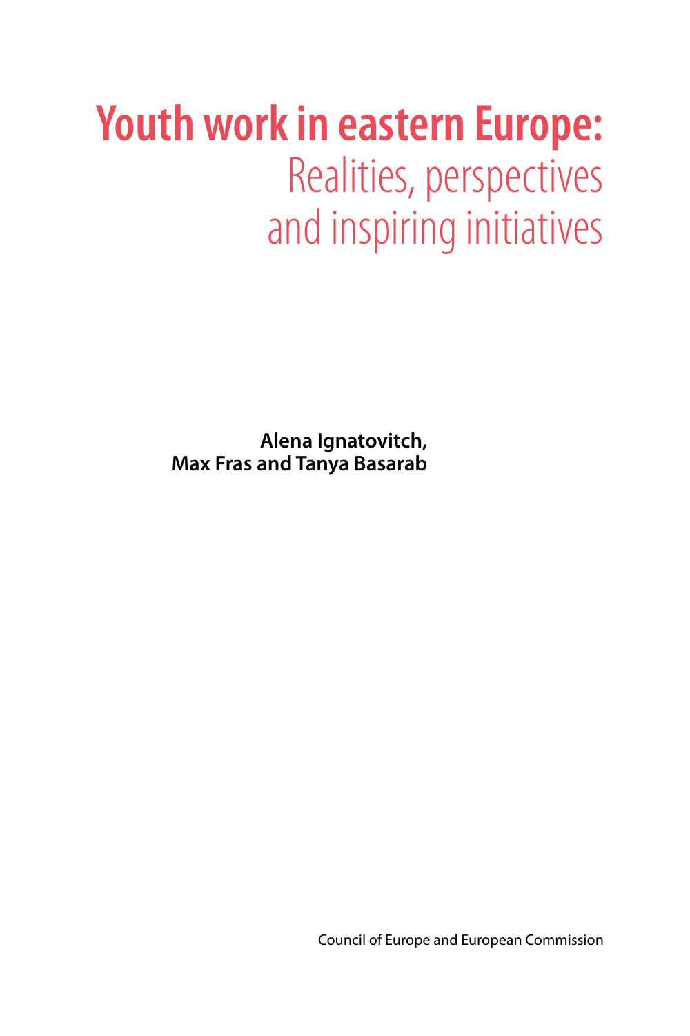# **Youth work in eastern Europe:** Realities, perspectives and inspiring initiatives

**Alena Ignatovitch, Max Fras and Tanya Basarab**

Council of Europe and European Commission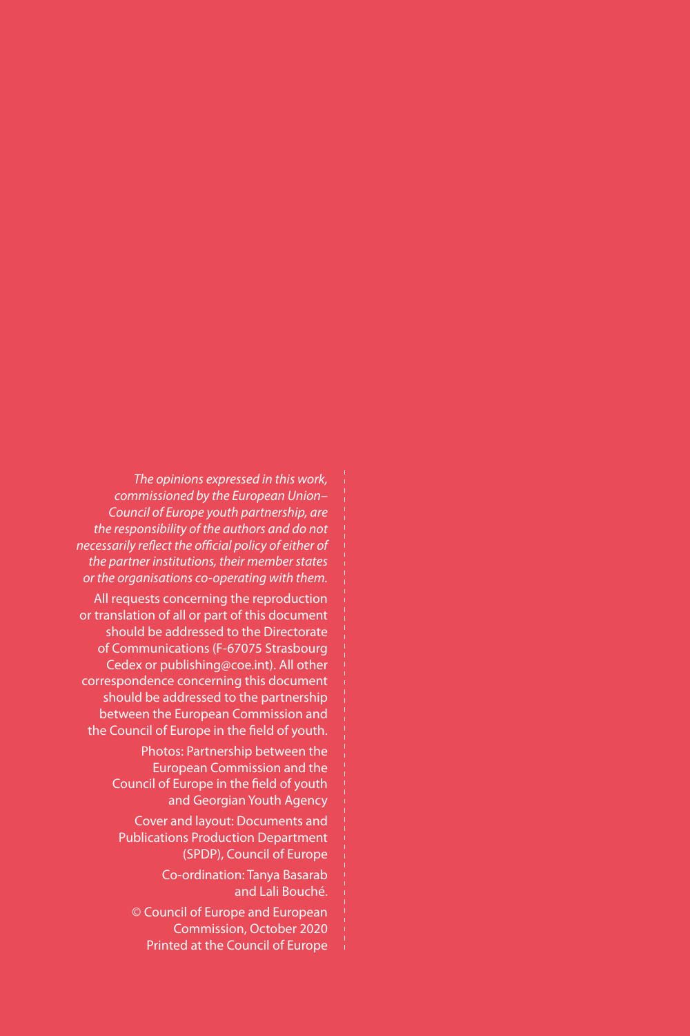*The opinions expressed in this work, commissioned by the European Union– Council of Europe youth partnership, are the responsibility of the authors and do not necessarily reflect the official policy of either of the partner institutions, their member states or the organisations co-operating with them.*

All requests concerning the reproduction or translation of all or part of this document should be addressed to the Directorate of Communications (F-67075 Strasbourg Cedex or publishing@coe.int). All other correspondence concerning this document should be addressed to the partnership between the European Commission and the Council of Europe in the field of youth.

> Photos: Partnership between the European Commission and the Council of Europe in the field of youth and Georgian Youth Agency

Cover and layout: Documents and Publications Production Department (SPDP), Council of Europe

> Co-ordination: Tanya Basarab and Lali Bouché.

© Council of Europe and European Commission, October 2020 Printed at the Council of Europe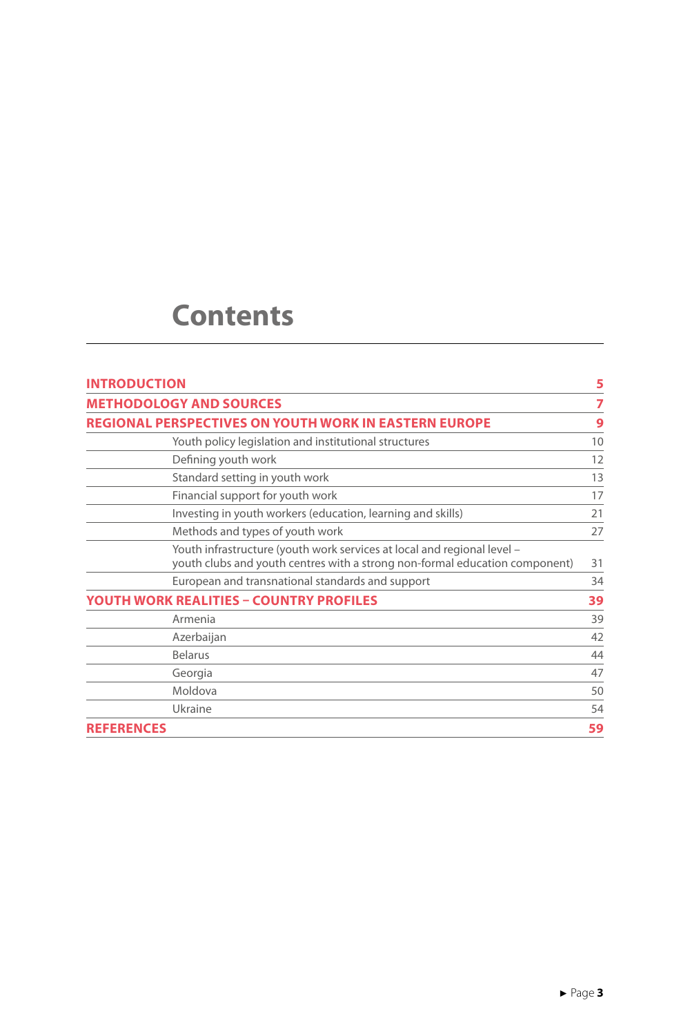# **Contents**

| <b>INTRODUCTION</b> |                                                                                                                                                        | 5  |
|---------------------|--------------------------------------------------------------------------------------------------------------------------------------------------------|----|
|                     | <b>METHODOLOGY AND SOURCES</b>                                                                                                                         | 7  |
|                     | <b>REGIONAL PERSPECTIVES ON YOUTH WORK IN EASTERN EUROPE</b>                                                                                           | 9  |
|                     | Youth policy legislation and institutional structures                                                                                                  | 10 |
|                     | Defining youth work                                                                                                                                    | 12 |
|                     | Standard setting in youth work                                                                                                                         | 13 |
|                     | Financial support for youth work                                                                                                                       | 17 |
|                     | Investing in youth workers (education, learning and skills)                                                                                            | 21 |
|                     | Methods and types of youth work                                                                                                                        | 27 |
|                     | Youth infrastructure (youth work services at local and regional level -<br>youth clubs and youth centres with a strong non-formal education component) | 31 |
|                     | European and transnational standards and support                                                                                                       | 34 |
|                     | YOUTH WORK REALITIES - COUNTRY PROFILES                                                                                                                | 39 |
|                     | Armenia                                                                                                                                                | 39 |
|                     | Azerbaijan                                                                                                                                             | 42 |
|                     | <b>Belarus</b>                                                                                                                                         | 44 |
|                     | Georgia                                                                                                                                                | 47 |
|                     | Moldova                                                                                                                                                | 50 |
|                     | Ukraine                                                                                                                                                | 54 |
| <b>REFERENCES</b>   |                                                                                                                                                        | 59 |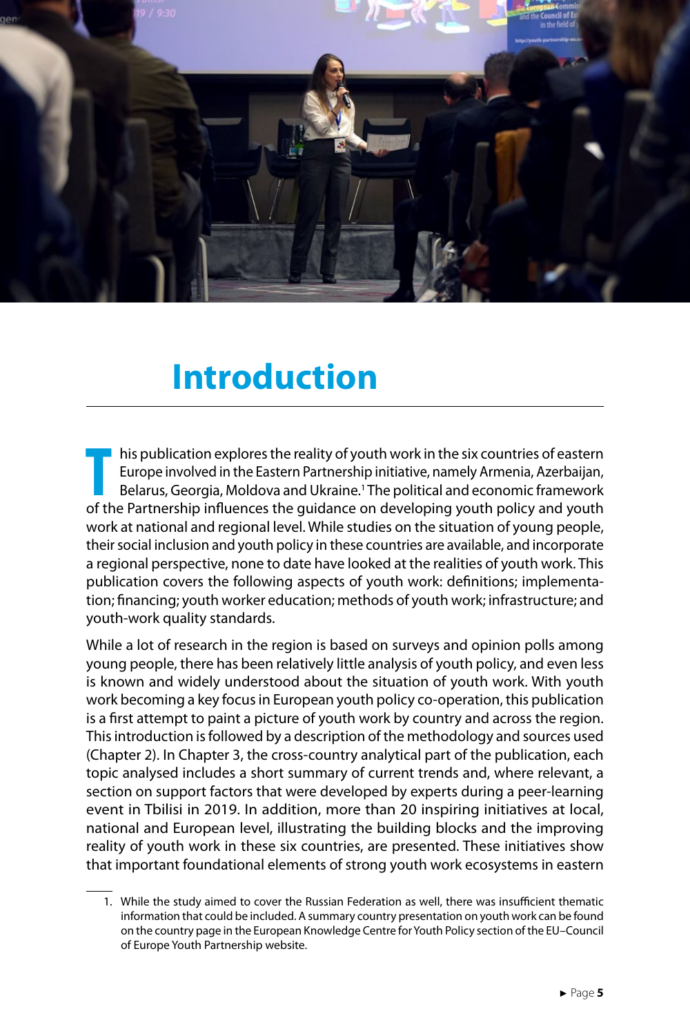<span id="page-5-0"></span>

# **Introduction**

**TA** his publication explores the reality of youth work in the six countries of eastern Europe involved in the Eastern Partnership initiative, namely Armenia, Azerbaijan, Belarus, Georgia, Moldova and Ukraine.<sup>1</sup> The polit his publication explores the reality of youth work in the six countries of eastern Europe involved in the Eastern Partnership initiative, namely Armenia, Azerbaijan, Belarus, Georgia, Moldova and Ukraine.1 The political and economic framework work at national and regional level. While studies on the situation of young people, their social inclusion and youth policy in these countries are available, and incorporate a regional perspective, none to date have looked at the realities of youth work. This publication covers the following aspects of youth work: definitions; implementation; financing; youth worker education; methods of youth work; infrastructure; and youth-work quality standards.

While a lot of research in the region is based on surveys and opinion polls among young people, there has been relatively little analysis of youth policy, and even less is known and widely understood about the situation of youth work. With youth work becoming a key focus in European youth policy co-operation, this publication is a first attempt to paint a picture of youth work by country and across the region. This introduction is followed by a description of the methodology and sources used (Chapter 2). In Chapter 3, the cross-country analytical part of the publication, each topic analysed includes a short summary of current trends and, where relevant, a section on support factors that were developed by experts during a peer-learning event in Tbilisi in 2019. In addition, more than 20 inspiring initiatives at local, national and European level, illustrating the building blocks and the improving reality of youth work in these six countries, are presented. These initiatives show that important foundational elements of strong youth work ecosystems in eastern

<sup>1.</sup> While the study aimed to cover the Russian Federation as well, there was insufficient thematic information that could be included. A summary country presentation on youth work can be found on the country page in the European Knowledge Centre for Youth Policy section of the EU–Council of Europe Youth Partnership website.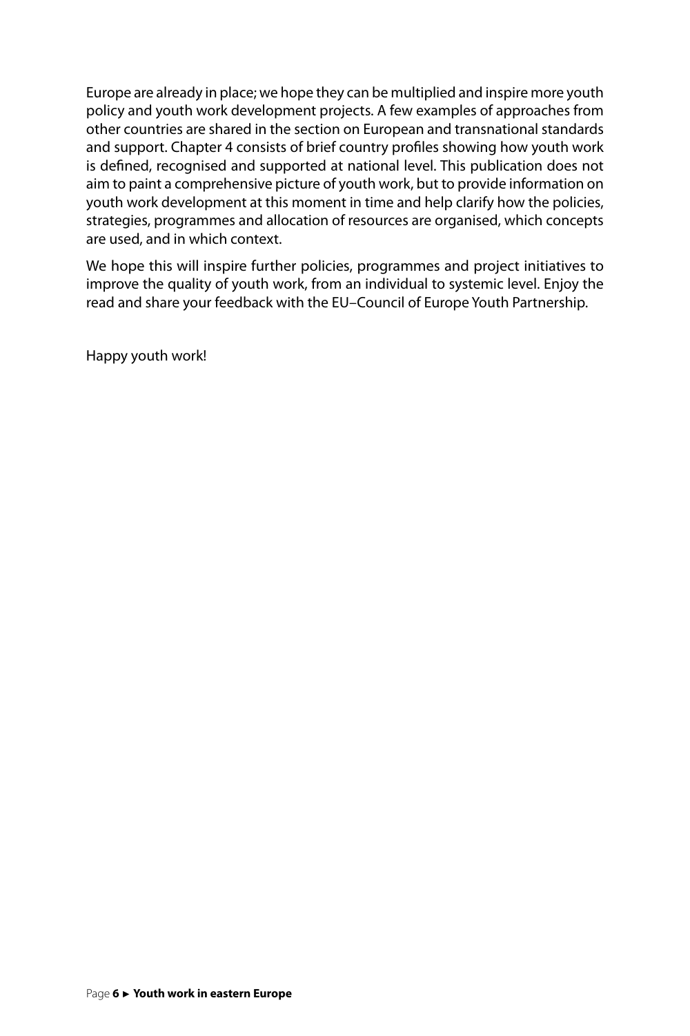Europe are already in place; we hope they can be multiplied and inspire more youth policy and youth work development projects. A few examples of approaches from other countries are shared in the section on European and transnational standards and support. Chapter 4 consists of brief country profiles showing how youth work is defined, recognised and supported at national level. This publication does not aim to paint a comprehensive picture of youth work, but to provide information on youth work development at this moment in time and help clarify how the policies, strategies, programmes and allocation of resources are organised, which concepts are used, and in which context.

We hope this will inspire further policies, programmes and project initiatives to improve the quality of youth work, from an individual to systemic level. Enjoy the read and share your feedback with the EU–Council of Europe Youth Partnership.

Happy youth work!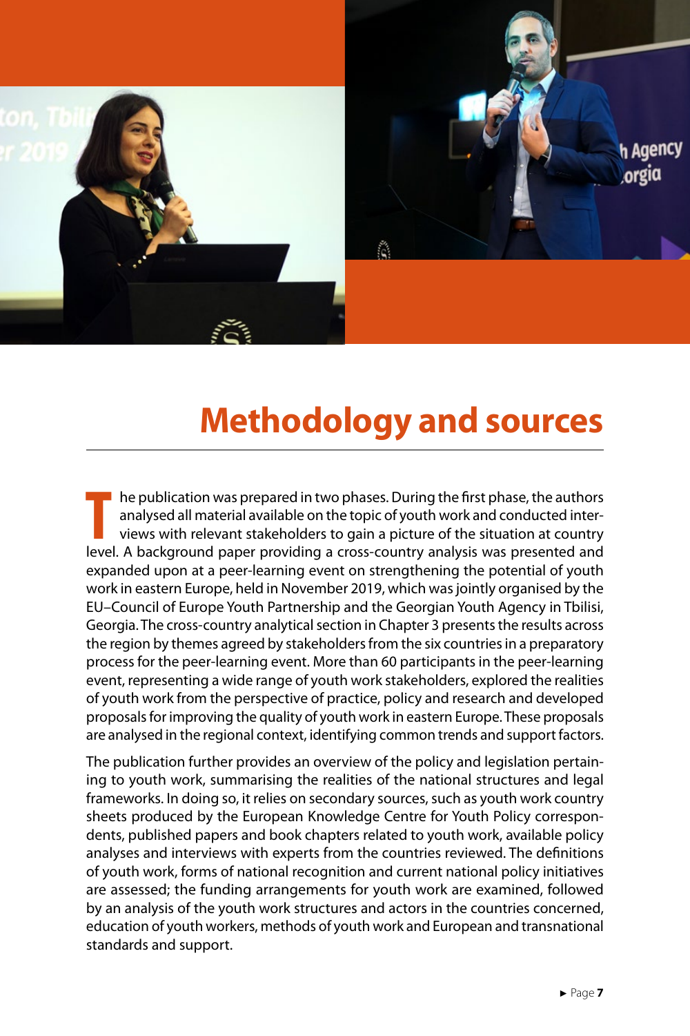<span id="page-7-0"></span>![](_page_7_Picture_0.jpeg)

# **Methodology and sources**

THE are publication was prepared in two phases. During the first phase, the authors analysed all material available on the topic of youth work and conducted interviews with relevant stakeholders to gain a picture of the si he publication was prepared in two phases. During the first phase, the authors analysed all material available on the topic of youth work and conducted interviews with relevant stakeholders to gain a picture of the situation at country expanded upon at a peer-learning event on strengthening the potential of youth work in eastern Europe, held in November 2019, which was jointly organised by the EU–Council of Europe Youth Partnership and the Georgian Youth Agency in Tbilisi, Georgia. The cross-country analytical section in Chapter 3 presents the results across the region by themes agreed by stakeholders from the six countries in a preparatory process for the peer-learning event. More than 60 participants in the peer-learning event, representing a wide range of youth work stakeholders, explored the realities of youth work from the perspective of practice, policy and research and developed proposals for improving the quality of youth work in eastern Europe. These proposals are analysed in the regional context, identifying common trends and support factors.

The publication further provides an overview of the policy and legislation pertaining to youth work, summarising the realities of the national structures and legal frameworks. In doing so, it relies on secondary sources, such as youth work country sheets produced by the European Knowledge Centre for Youth Policy correspondents, published papers and book chapters related to youth work, available policy analyses and interviews with experts from the countries reviewed. The definitions of youth work, forms of national recognition and current national policy initiatives are assessed; the funding arrangements for youth work are examined, followed by an analysis of the youth work structures and actors in the countries concerned, education of youth workers, methods of youth work and European and transnational standards and support.

**h** Agency orgia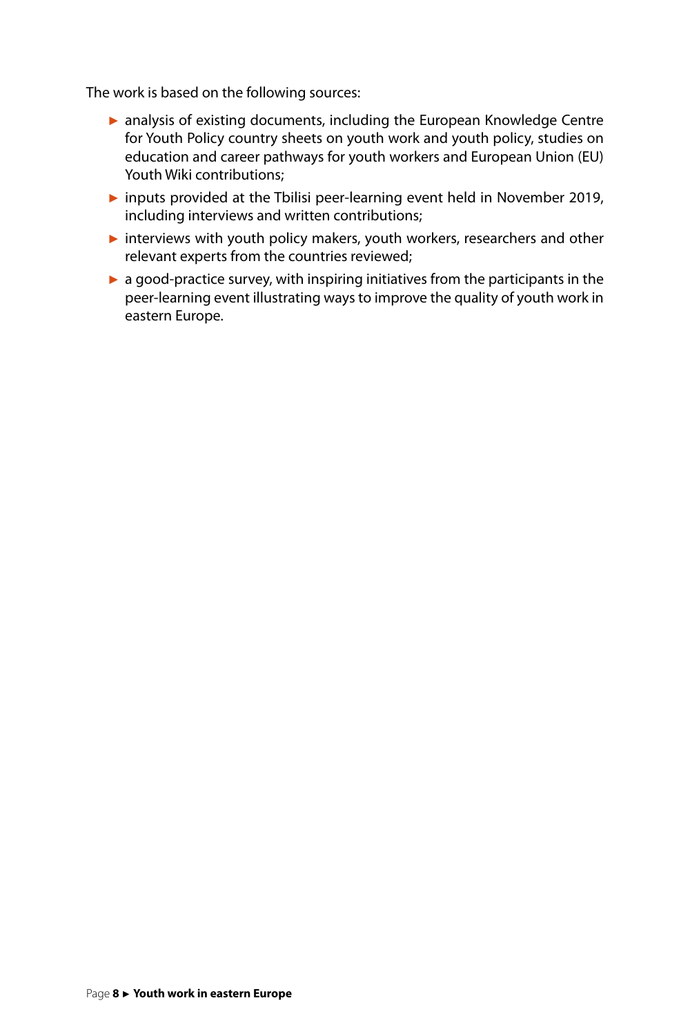The work is based on the following sources:

- ► analysis of existing documents, including the European Knowledge Centre for Youth Policy country sheets on youth work and youth policy, studies on education and career pathways for youth workers and European Union (EU) Youth Wiki contributions;
- ► inputs provided at the Tbilisi peer-learning event held in November 2019, including interviews and written contributions;
- ► interviews with youth policy makers, youth workers, researchers and other relevant experts from the countries reviewed;
- ► a good-practice survey, with inspiring initiatives from the participants in the peer-learning event illustrating ways to improve the quality of youth work in eastern Europe.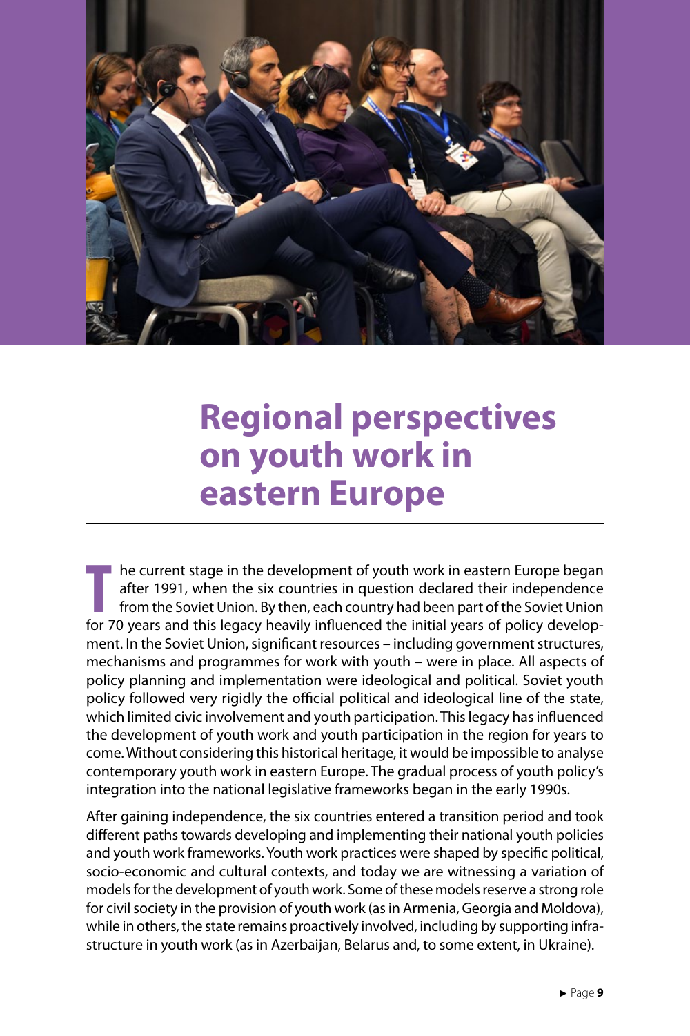<span id="page-9-0"></span>![](_page_9_Picture_0.jpeg)

# **Regional perspectives on youth work in eastern Europe**

**T** for 70 years and this legacy heavily influenced the initial years of policy develophe current stage in the development of youth work in eastern Europe began after 1991, when the six countries in question declared their independence from the Soviet Union. By then, each country had been part of the Soviet Union ment. In the Soviet Union, significant resources – including government structures, mechanisms and programmes for work with youth – were in place. All aspects of policy planning and implementation were ideological and political. Soviet youth policy followed very rigidly the official political and ideological line of the state, which limited civic involvement and youth participation. This legacy has influenced the development of youth work and youth participation in the region for years to come. Without considering this historical heritage, it would be impossible to analyse contemporary youth work in eastern Europe. The gradual process of youth policy's integration into the national legislative frameworks began in the early 1990s.

After gaining independence, the six countries entered a transition period and took different paths towards developing and implementing their national youth policies and youth work frameworks. Youth work practices were shaped by specific political, socio-economic and cultural contexts, and today we are witnessing a variation of models for the development of youth work. Some of these models reserve a strong role for civil society in the provision of youth work (as in Armenia, Georgia and Moldova), while in others, the state remains proactively involved, including by supporting infrastructure in youth work (as in Azerbaijan, Belarus and, to some extent, in Ukraine).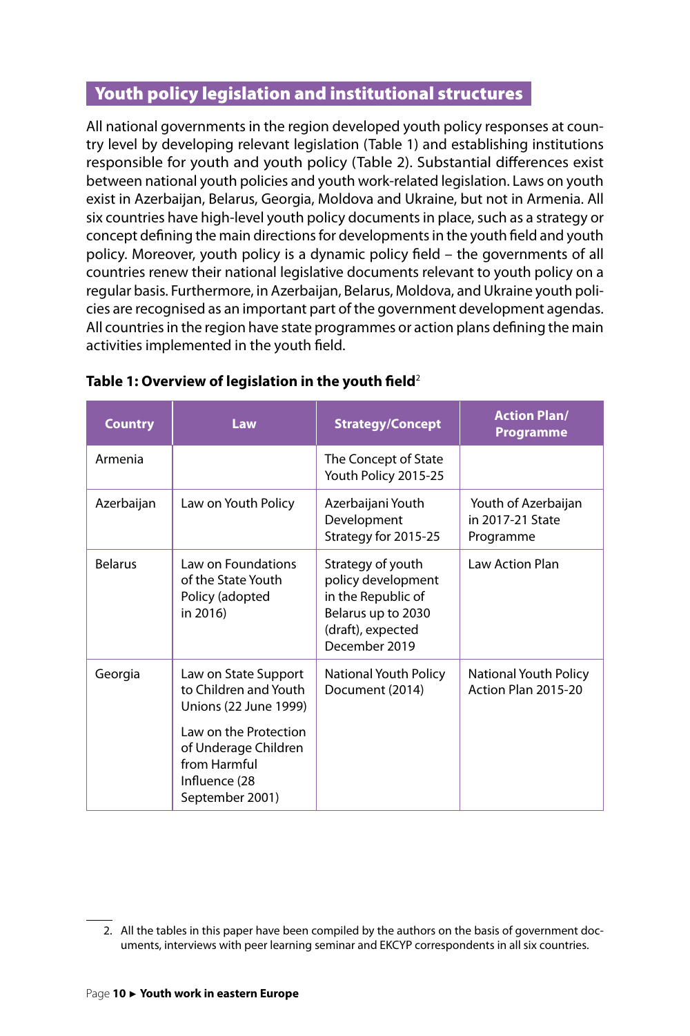# <span id="page-10-0"></span>Youth policy legislation and institutional structures

All national governments in the region developed youth policy responses at country level by developing relevant legislation (Table 1) and establishing institutions responsible for youth and youth policy (Table 2). Substantial differences exist between national youth policies and youth work-related legislation. Laws on youth exist in Azerbaijan, Belarus, Georgia, Moldova and Ukraine, but not in Armenia. All six countries have high-level youth policy documents in place, such as a strategy or concept defining the main directions for developments in the youth field and youth policy. Moreover, youth policy is a dynamic policy field – the governments of all countries renew their national legislative documents relevant to youth policy on a regular basis. Furthermore, in Azerbaijan, Belarus, Moldova, and Ukraine youth policies are recognised as an important part of the government development agendas. All countries in the region have state programmes or action plans defining the main activities implemented in the youth field.

| <b>Country</b> | Law                                                                                               | <b>Strategy/Concept</b>                                                                                                   | <b>Action Plan/</b><br><b>Programme</b>              |
|----------------|---------------------------------------------------------------------------------------------------|---------------------------------------------------------------------------------------------------------------------------|------------------------------------------------------|
| Armenia        |                                                                                                   | The Concept of State<br>Youth Policy 2015-25                                                                              |                                                      |
| Azerbaijan     | Law on Youth Policy                                                                               | Azerbaijani Youth<br>Development<br>Strategy for 2015-25                                                                  | Youth of Azerbaijan<br>in 2017-21 State<br>Programme |
| <b>Belarus</b> | Law on Foundations<br>of the State Youth<br>Policy (adopted<br>in 2016)                           | Strategy of youth<br>policy development<br>in the Republic of<br>Belarus up to 2030<br>(draft), expected<br>December 2019 | Law Action Plan                                      |
| Georgia        | Law on State Support<br>to Children and Youth<br>Unions (22 June 1999)                            | National Youth Policy<br>Document (2014)                                                                                  | National Youth Policy<br>Action Plan 2015-20         |
|                | Law on the Protection<br>of Underage Children<br>from Harmful<br>Influence (28<br>September 2001) |                                                                                                                           |                                                      |

#### **Table 1: Overview of legislation in the youth field**<sup>2</sup>

<sup>2.</sup> All the tables in this paper have been compiled by the authors on the basis of government documents, interviews with peer learning seminar and EKCYP correspondents in all six countries.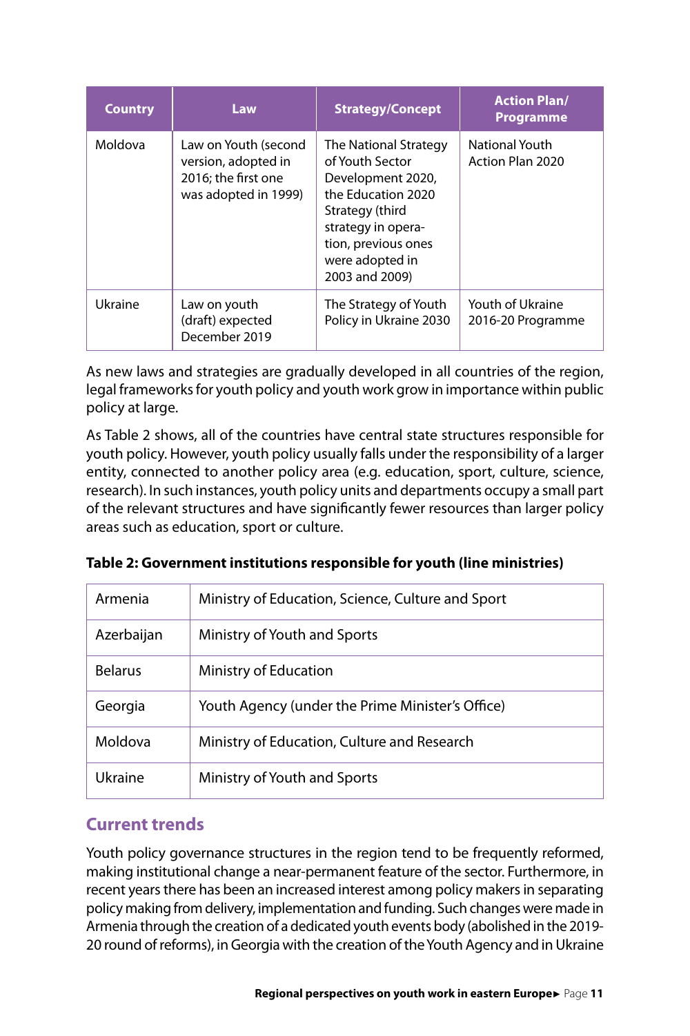| <b>Country</b> | Law                                                                                        | <b>Strategy/Concept</b>                                                                                                                                                                  | <b>Action Plan/</b><br><b>Programme</b>   |
|----------------|--------------------------------------------------------------------------------------------|------------------------------------------------------------------------------------------------------------------------------------------------------------------------------------------|-------------------------------------------|
| Moldova        | Law on Youth (second<br>version, adopted in<br>2016: the first one<br>was adopted in 1999) | The National Strategy<br>of Youth Sector<br>Development 2020,<br>the Education 2020<br>Strategy (third<br>strategy in opera-<br>tion, previous ones<br>were adopted in<br>2003 and 2009) | <b>National Youth</b><br>Action Plan 2020 |
| Ukraine        | Law on youth<br>(draft) expected<br>December 2019                                          | The Strategy of Youth<br>Policy in Ukraine 2030                                                                                                                                          | Youth of Ukraine<br>2016-20 Programme     |

As new laws and strategies are gradually developed in all countries of the region, legal frameworks for youth policy and youth work grow in importance within public policy at large.

As Table 2 shows, all of the countries have central state structures responsible for youth policy. However, youth policy usually falls under the responsibility of a larger entity, connected to another policy area (e.g. education, sport, culture, science, research). In such instances, youth policy units and departments occupy a small part of the relevant structures and have significantly fewer resources than larger policy areas such as education, sport or culture.

| Armenia        | Ministry of Education, Science, Culture and Sport |
|----------------|---------------------------------------------------|
| Azerbaijan     | Ministry of Youth and Sports                      |
| <b>Belarus</b> | Ministry of Education                             |
| Georgia        | Youth Agency (under the Prime Minister's Office)  |
| Moldova        | Ministry of Education, Culture and Research       |
| Ukraine        | Ministry of Youth and Sports                      |

**Table 2: Government institutions responsible for youth (line ministries)**

# **Current trends**

Youth policy governance structures in the region tend to be frequently reformed, making institutional change a near-permanent feature of the sector. Furthermore, in recent years there has been an increased interest among policy makers in separating policy making from delivery, implementation and funding. Such changes were made in Armenia through the creation of a dedicated youth events body (abolished in the 2019- 20 round of reforms), in Georgia with the creation of the Youth Agency and in Ukraine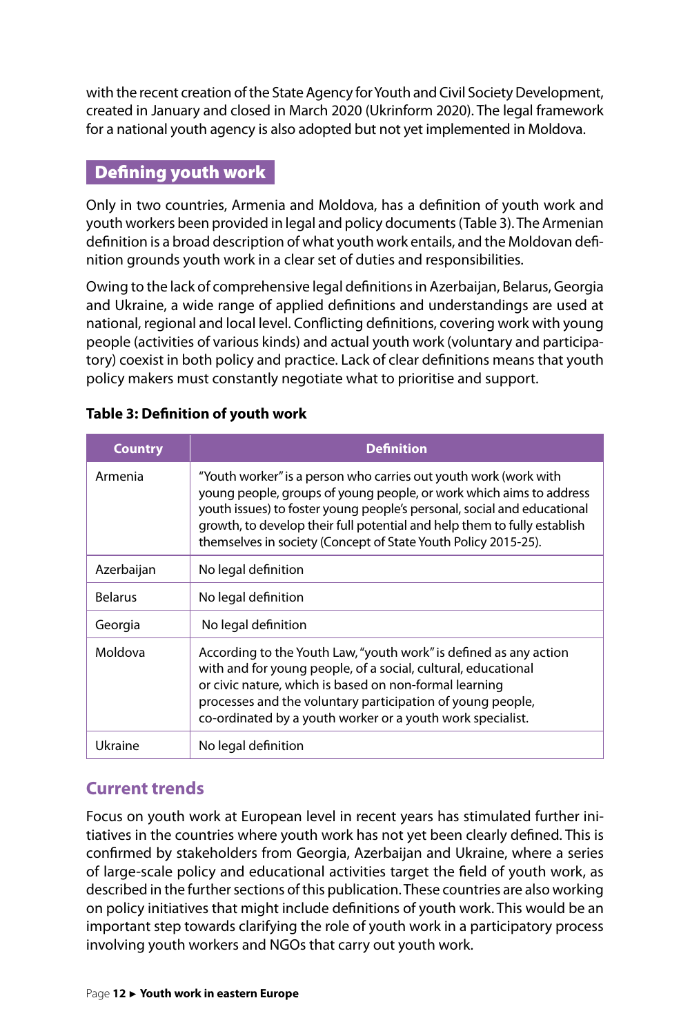<span id="page-12-0"></span>with the recent creation of the State Agency for Youth and Civil Society Development, created in January and closed in March 2020 (Ukrinform 2020). The legal framework for a national youth agency is also adopted but not yet implemented in Moldova.

# Defining youth work

Only in two countries, Armenia and Moldova, has a definition of youth work and youth workers been provided in legal and policy documents (Table 3). The Armenian definition is a broad description of what youth work entails, and the Moldovan definition grounds youth work in a clear set of duties and responsibilities.

Owing to the lack of comprehensive legal definitions in Azerbaijan, Belarus, Georgia and Ukraine, a wide range of applied definitions and understandings are used at national, regional and local level. Conflicting definitions, covering work with young people (activities of various kinds) and actual youth work (voluntary and participatory) coexist in both policy and practice. Lack of clear definitions means that youth policy makers must constantly negotiate what to prioritise and support.

| <b>Country</b> | <b>Definition</b>                                                                                                                                                                                                                                                                                                                                                |
|----------------|------------------------------------------------------------------------------------------------------------------------------------------------------------------------------------------------------------------------------------------------------------------------------------------------------------------------------------------------------------------|
| Armenia        | "Youth worker" is a person who carries out youth work (work with<br>young people, groups of young people, or work which aims to address<br>youth issues) to foster young people's personal, social and educational<br>growth, to develop their full potential and help them to fully establish<br>themselves in society (Concept of State Youth Policy 2015-25). |
| Azerbaijan     | No legal definition                                                                                                                                                                                                                                                                                                                                              |
| <b>Belarus</b> | No legal definition                                                                                                                                                                                                                                                                                                                                              |
| Georgia        | No legal definition                                                                                                                                                                                                                                                                                                                                              |
| Moldova        | According to the Youth Law, "youth work" is defined as any action<br>with and for young people, of a social, cultural, educational<br>or civic nature, which is based on non-formal learning<br>processes and the voluntary participation of young people,<br>co-ordinated by a youth worker or a youth work specialist.                                         |
| Ukraine        | No legal definition                                                                                                                                                                                                                                                                                                                                              |

#### **Table 3: Definition of youth work**

# **Current trends**

Focus on youth work at European level in recent years has stimulated further initiatives in the countries where youth work has not yet been clearly defined. This is confirmed by stakeholders from Georgia, Azerbaijan and Ukraine, where a series of large-scale policy and educational activities target the field of youth work, as described in the further sections of this publication. These countries are also working on policy initiatives that might include definitions of youth work. This would be an important step towards clarifying the role of youth work in a participatory process involving youth workers and NGOs that carry out youth work.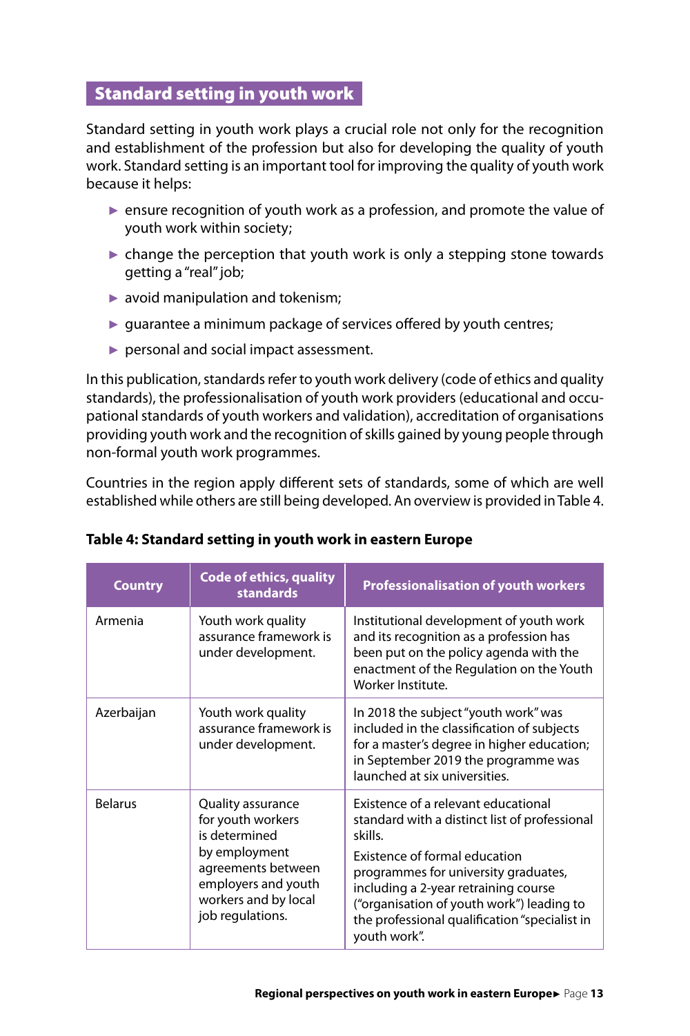# <span id="page-13-0"></span>Standard setting in youth work

Standard setting in youth work plays a crucial role not only for the recognition and establishment of the profession but also for developing the quality of youth work. Standard setting is an important tool for improving the quality of youth work because it helps:

- ► ensure recognition of youth work as a profession, and promote the value of youth work within society;
- $\triangleright$  change the perception that youth work is only a stepping stone towards getting a "real" job;
- $\blacktriangleright$  avoid manipulation and tokenism;
- $\blacktriangleright$  guarantee a minimum package of services offered by youth centres;
- ► personal and social impact assessment.

In this publication, standards refer to youth work delivery (code of ethics and quality standards), the professionalisation of youth work providers (educational and occupational standards of youth workers and validation), accreditation of organisations providing youth work and the recognition of skills gained by young people through non-formal youth work programmes.

Countries in the region apply different sets of standards, some of which are well established while others are still being developed. An overview is provided in Table 4.

| <b>Country</b> | <b>Code of ethics, quality</b><br><b>standards</b>                                                                                                                | <b>Professionalisation of youth workers</b>                                                                                                                                                                                                                                                                                   |
|----------------|-------------------------------------------------------------------------------------------------------------------------------------------------------------------|-------------------------------------------------------------------------------------------------------------------------------------------------------------------------------------------------------------------------------------------------------------------------------------------------------------------------------|
| Armenia        | Youth work quality<br>assurance framework is<br>under development.                                                                                                | Institutional development of youth work<br>and its recognition as a profession has<br>been put on the policy agenda with the<br>enactment of the Regulation on the Youth<br>Worker Institute.                                                                                                                                 |
| Azerbaijan     | Youth work quality<br>assurance framework is<br>under development.                                                                                                | In 2018 the subject "youth work" was<br>included in the classification of subjects<br>for a master's degree in higher education;<br>in September 2019 the programme was<br>launched at six universities.                                                                                                                      |
| <b>Belarus</b> | Quality assurance<br>for youth workers<br>is determined<br>by employment<br>agreements between<br>employers and youth<br>workers and by local<br>job regulations. | Existence of a relevant educational<br>standard with a distinct list of professional<br>skills<br>Existence of formal education<br>programmes for university graduates,<br>including a 2-year retraining course<br>("organisation of youth work") leading to<br>the professional qualification "specialist in<br>youth work". |

#### **Table 4: Standard setting in youth work in eastern Europe**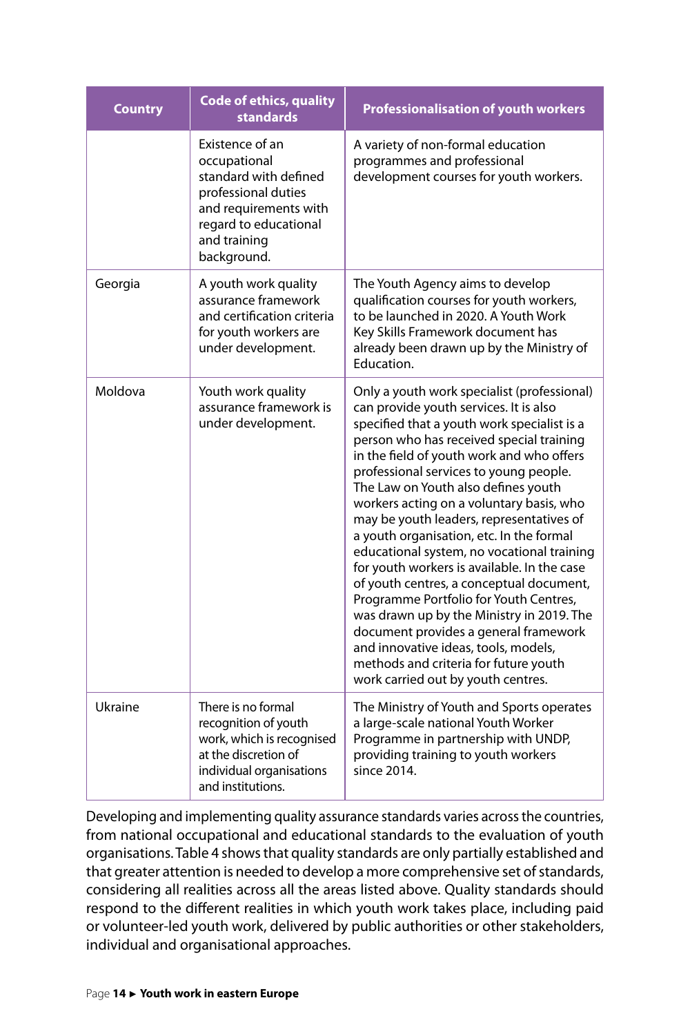| <b>Country</b> | <b>Code of ethics, quality</b><br><b>standards</b>                                                                                                               | <b>Professionalisation of youth workers</b>                                                                                                                                                                                                                                                                                                                                                                                                                                                                                                                                                                                                                                                                                                                                                                                                        |
|----------------|------------------------------------------------------------------------------------------------------------------------------------------------------------------|----------------------------------------------------------------------------------------------------------------------------------------------------------------------------------------------------------------------------------------------------------------------------------------------------------------------------------------------------------------------------------------------------------------------------------------------------------------------------------------------------------------------------------------------------------------------------------------------------------------------------------------------------------------------------------------------------------------------------------------------------------------------------------------------------------------------------------------------------|
|                | Existence of an<br>occupational<br>standard with defined<br>professional duties<br>and requirements with<br>regard to educational<br>and training<br>background. | A variety of non-formal education<br>programmes and professional<br>development courses for youth workers.                                                                                                                                                                                                                                                                                                                                                                                                                                                                                                                                                                                                                                                                                                                                         |
| Georgia        | A youth work quality<br>assurance framework<br>and certification criteria<br>for youth workers are<br>under development.                                         | The Youth Agency aims to develop<br>qualification courses for youth workers,<br>to be launched in 2020. A Youth Work<br>Key Skills Framework document has<br>already been drawn up by the Ministry of<br>Education.                                                                                                                                                                                                                                                                                                                                                                                                                                                                                                                                                                                                                                |
| Moldova        | Youth work quality<br>assurance framework is<br>under development.                                                                                               | Only a youth work specialist (professional)<br>can provide youth services. It is also<br>specified that a youth work specialist is a<br>person who has received special training<br>in the field of youth work and who offers<br>professional services to young people.<br>The Law on Youth also defines youth<br>workers acting on a voluntary basis, who<br>may be youth leaders, representatives of<br>a youth organisation, etc. In the formal<br>educational system, no vocational training<br>for youth workers is available. In the case<br>of youth centres, a conceptual document,<br>Programme Portfolio for Youth Centres,<br>was drawn up by the Ministry in 2019. The<br>document provides a general framework<br>and innovative ideas, tools, models,<br>methods and criteria for future youth<br>work carried out by youth centres. |
| Ukraine        | There is no formal<br>recognition of youth<br>work, which is recognised<br>at the discretion of<br>individual organisations<br>and institutions.                 | The Ministry of Youth and Sports operates<br>a large-scale national Youth Worker<br>Programme in partnership with UNDP,<br>providing training to youth workers<br>since 2014.                                                                                                                                                                                                                                                                                                                                                                                                                                                                                                                                                                                                                                                                      |

Developing and implementing quality assurance standards varies across the countries, from national occupational and educational standards to the evaluation of youth organisations. Table 4 shows that quality standards are only partially established and that greater attention is needed to develop a more comprehensive set of standards, considering all realities across all the areas listed above. Quality standards should respond to the different realities in which youth work takes place, including paid or volunteer-led youth work, delivered by public authorities or other stakeholders, individual and organisational approaches.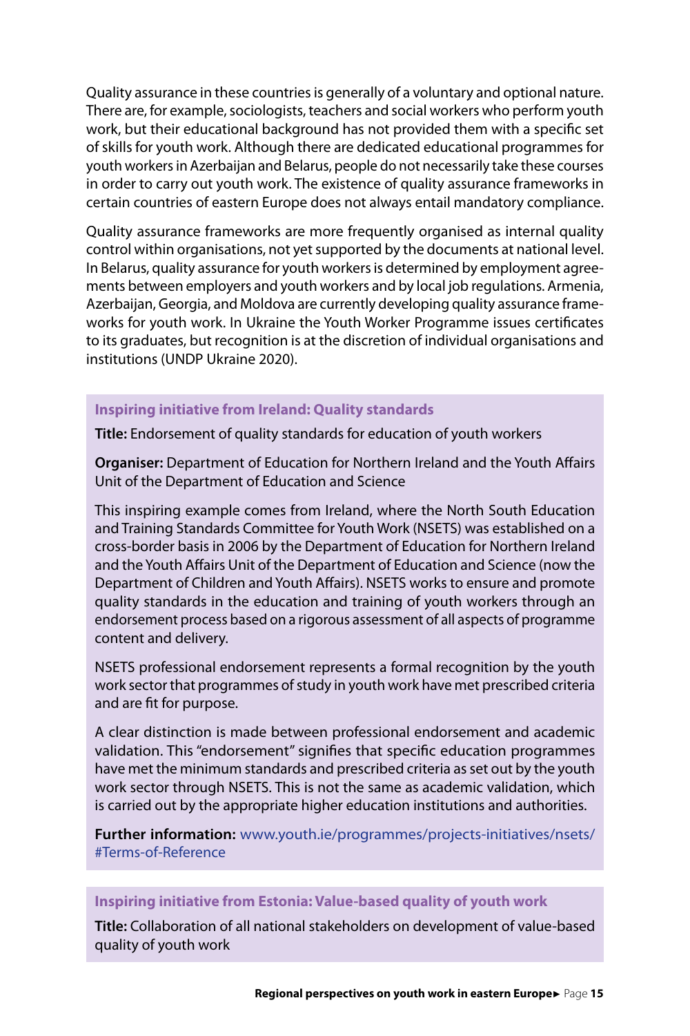Quality assurance in these countries is generally of a voluntary and optional nature. There are, for example, sociologists, teachers and social workers who perform youth work, but their educational background has not provided them with a specific set of skills for youth work. Although there are dedicated educational programmes for youth workers in Azerbaijan and Belarus, people do not necessarily take these courses in order to carry out youth work. The existence of quality assurance frameworks in certain countries of eastern Europe does not always entail mandatory compliance.

Quality assurance frameworks are more frequently organised as internal quality control within organisations, not yet supported by the documents at national level. In Belarus, quality assurance for youth workers is determined by employment agreements between employers and youth workers and by local job regulations. Armenia, Azerbaijan, Georgia, and Moldova are currently developing quality assurance frameworks for youth work. In Ukraine the Youth Worker Programme issues certificates to its graduates, but recognition is at the discretion of individual organisations and institutions (UNDP Ukraine 2020).

#### **Inspiring initiative from Ireland: Quality standards**

**Title:** Endorsement of quality standards for education of youth workers

**Organiser:** Department of Education for Northern Ireland and the Youth Affairs Unit of the Department of Education and Science

This inspiring example comes from Ireland, where the North South Education and Training Standards Committee for Youth Work (NSETS) was established on a cross-border basis in 2006 by the Department of Education for Northern Ireland and the Youth Affairs Unit of the Department of Education and Science (now the Department of Children and Youth Affairs). NSETS works to ensure and promote quality standards in the education and training of youth workers through an endorsement process based on a rigorous assessment of all aspects of programme content and delivery.

NSETS professional endorsement represents a formal recognition by the youth work sector that programmes of study in youth work have met prescribed criteria and are fit for purpose.

A clear distinction is made between professional endorsement and academic validation. This "endorsement" signifies that specific education programmes have met the minimum standards and prescribed criteria as set out by the youth work sector through NSETS. This is not the same as academic validation, which is carried out by the appropriate higher education institutions and authorities.

**Further information:** [www.youth.ie/programmes/projects-initiatives/nsets/](http://www.youth.ie/programmes/projects-initiatives/nsets/#Terms-of-Reference ) [#Terms-of-Reference](http://www.youth.ie/programmes/projects-initiatives/nsets/#Terms-of-Reference )

#### **Inspiring initiative from Estonia: Value-based quality of youth work**

**Title:** Collaboration of all national stakeholders on development of value-based quality of youth work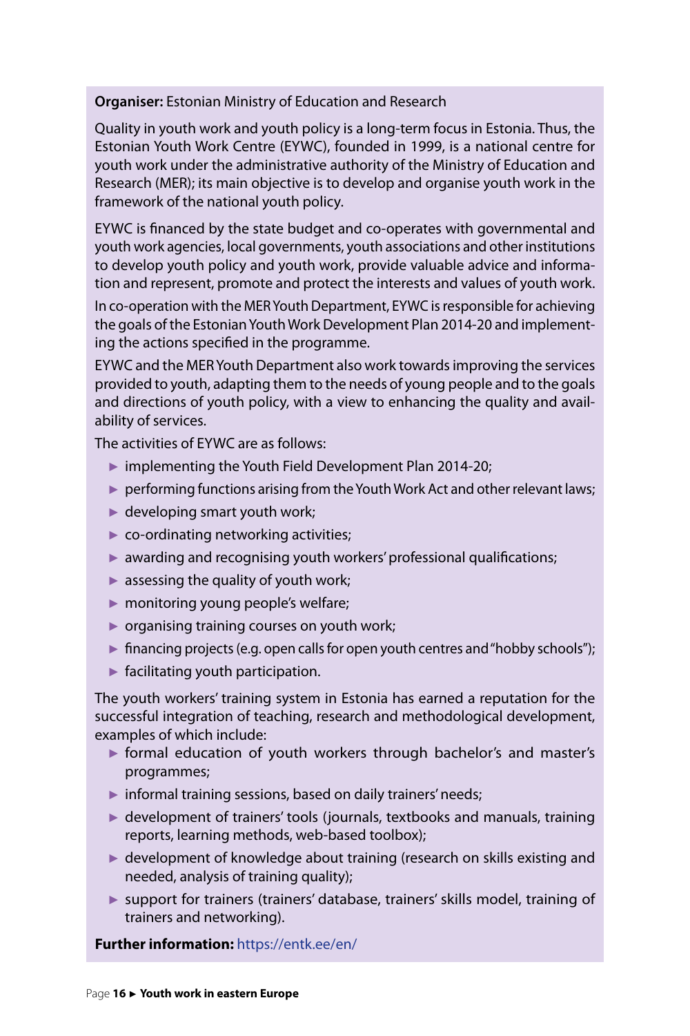#### **Organiser:** Estonian Ministry of Education and Research

Quality in youth work and youth policy is a long-term focus in Estonia. Thus, the Estonian Youth Work Centre (EYWC), founded in 1999, is a national centre for youth work under the administrative authority of the Ministry of Education and Research (MER); its main objective is to develop and organise youth work in the framework of the national youth policy.

EYWC is financed by the state budget and co-operates with governmental and youth work agencies, local governments, youth associations and other institutions to develop youth policy and youth work, provide valuable advice and information and represent, promote and protect the interests and values of youth work.

In co-operation with the MER Youth Department, EYWC is responsible for achieving the goals of the Estonian Youth Work Development Plan 2014-20 and implementing the actions specified in the programme.

EYWC and the MER Youth Department also work towards improving the services provided to youth, adapting them to the needs of young people and to the goals and directions of youth policy, with a view to enhancing the quality and availability of services.

The activities of EYWC are as follows:

- ► implementing the Youth Field Development Plan 2014-20;
- ► performing functions arising from the Youth Work Act and other relevant laws;
- $\blacktriangleright$  developing smart youth work;
- $\triangleright$  co-ordinating networking activities;
- $\triangleright$  awarding and recognising youth workers' professional qualifications;
- $\blacktriangleright$  assessing the quality of youth work;
- ► monitoring young people's welfare;
- $\triangleright$  organising training courses on youth work;
- ► financing projects (e.g. open calls for open youth centres and "hobby schools");
- $\blacktriangleright$  facilitating youth participation.

The youth workers' training system in Estonia has earned a reputation for the successful integration of teaching, research and methodological development, examples of which include:

- ► formal education of youth workers through bachelor's and master's programmes;
- ► informal training sessions, based on daily trainers' needs;
- ► development of trainers' tools (journals, textbooks and manuals, training reports, learning methods, web-based toolbox);
- ► development of knowledge about training (research on skills existing and needed, analysis of training quality);
- ► support for trainers (trainers' database, trainers' skills model, training of trainers and networking).

**Further information:** <https://entk.ee/en/>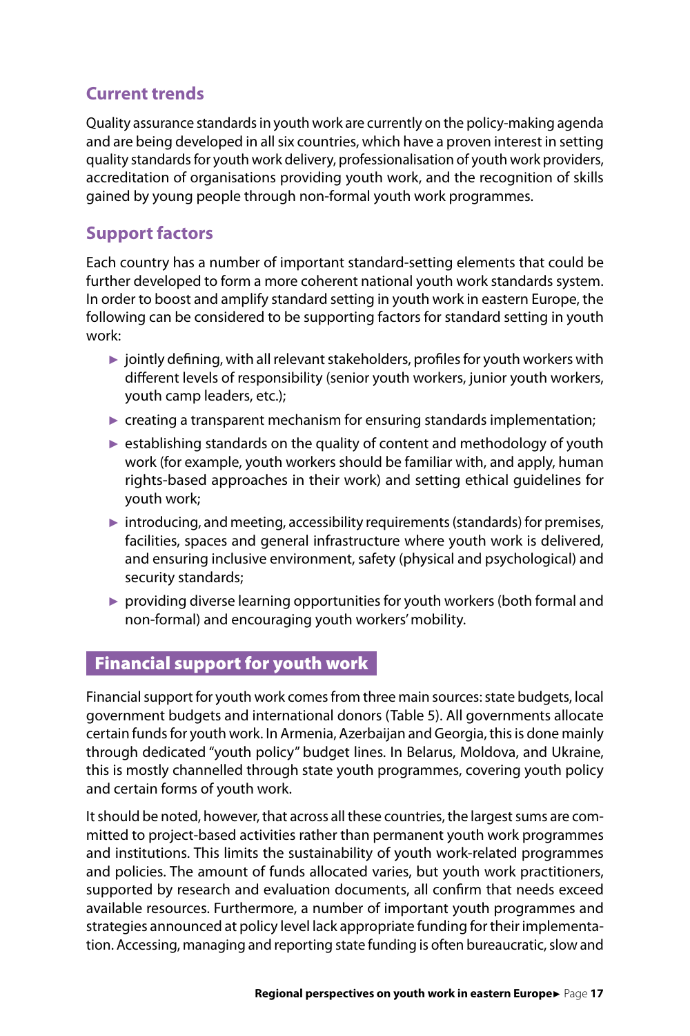# <span id="page-17-0"></span>**Current trends**

Quality assurance standards in youth work are currently on the policy-making agenda and are being developed in all six countries, which have a proven interest in setting quality standards for youth work delivery, professionalisation of youth work providers, accreditation of organisations providing youth work, and the recognition of skills gained by young people through non-formal youth work programmes.

# **Support factors**

Each country has a number of important standard-setting elements that could be further developed to form a more coherent national youth work standards system. In order to boost and amplify standard setting in youth work in eastern Europe, the following can be considered to be supporting factors for standard setting in youth work:

- $\triangleright$  jointly defining, with all relevant stakeholders, profiles for youth workers with different levels of responsibility (senior youth workers, junior youth workers, youth camp leaders, etc.);
- $\blacktriangleright$  creating a transparent mechanism for ensuring standards implementation;
- $\blacktriangleright$  establishing standards on the quality of content and methodology of youth work (for example, youth workers should be familiar with, and apply, human rights-based approaches in their work) and setting ethical guidelines for youth work;
- $\triangleright$  introducing, and meeting, accessibility requirements (standards) for premises, facilities, spaces and general infrastructure where youth work is delivered, and ensuring inclusive environment, safety (physical and psychological) and security standards;
- ► providing diverse learning opportunities for youth workers (both formal and non-formal) and encouraging youth workers' mobility.

### Financial support for youth work

Financial support for youth work comes from three main sources: state budgets, local government budgets and international donors (Table 5). All governments allocate certain funds for youth work. In Armenia, Azerbaijan and Georgia, this is done mainly through dedicated "youth policy" budget lines. In Belarus, Moldova, and Ukraine, this is mostly channelled through state youth programmes, covering youth policy and certain forms of youth work.

It should be noted, however, that across all these countries, the largest sums are committed to project-based activities rather than permanent youth work programmes and institutions. This limits the sustainability of youth work-related programmes and policies. The amount of funds allocated varies, but youth work practitioners, supported by research and evaluation documents, all confirm that needs exceed available resources. Furthermore, a number of important youth programmes and strategies announced at policy level lack appropriate funding for their implementation. Accessing, managing and reporting state funding is often bureaucratic, slow and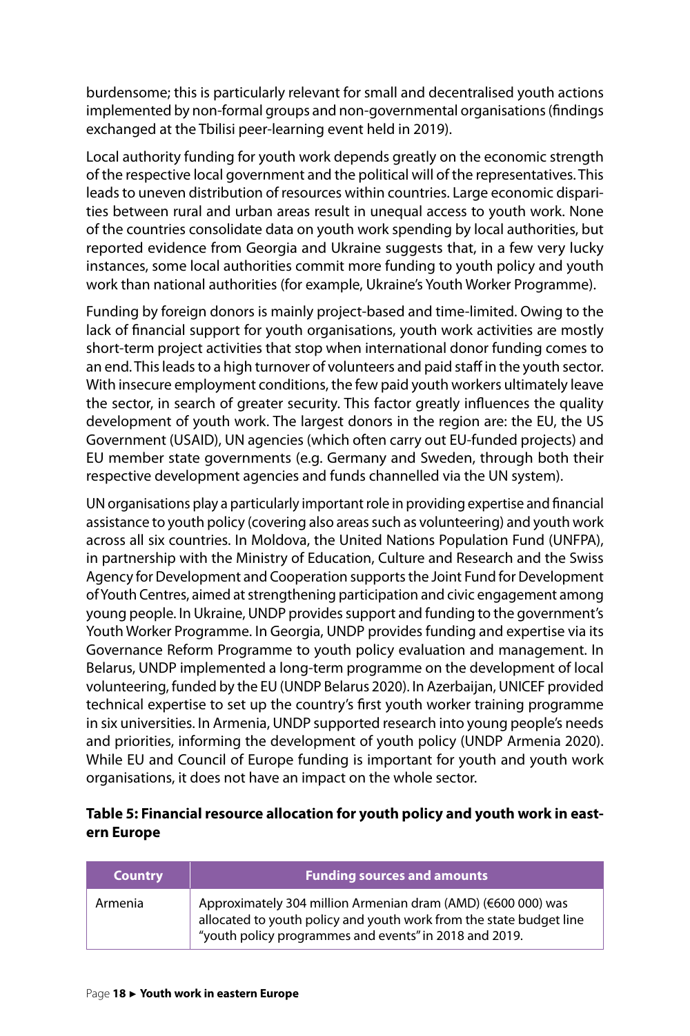burdensome; this is particularly relevant for small and decentralised youth actions implemented by non-formal groups and non-governmental organisations (findings exchanged at the Tbilisi peer-learning event held in 2019).

Local authority funding for youth work depends greatly on the economic strength of the respective local government and the political will of the representatives. This leads to uneven distribution of resources within countries. Large economic disparities between rural and urban areas result in unequal access to youth work. None of the countries consolidate data on youth work spending by local authorities, but reported evidence from Georgia and Ukraine suggests that, in a few very lucky instances, some local authorities commit more funding to youth policy and youth work than national authorities (for example, Ukraine's Youth Worker Programme).

Funding by foreign donors is mainly project-based and time-limited. Owing to the lack of financial support for youth organisations, youth work activities are mostly short-term project activities that stop when international donor funding comes to an end. This leads to a high turnover of volunteers and paid staff in the youth sector. With insecure employment conditions, the few paid youth workers ultimately leave the sector, in search of greater security. This factor greatly influences the quality development of youth work. The largest donors in the region are: the EU, the US Government (USAID), UN agencies (which often carry out EU-funded projects) and EU member state governments (e.g. Germany and Sweden, through both their respective development agencies and funds channelled via the UN system).

UN organisations play a particularly important role in providing expertise and financial assistance to youth policy (covering also areas such as volunteering) and youth work across all six countries. In Moldova, the United Nations Population Fund (UNFPA), in partnership with the Ministry of Education, Culture and Research and the Swiss Agency for Development and Cooperation supports the Joint Fund for Development of Youth Centres, aimed at strengthening participation and civic engagement among young people. In Ukraine, UNDP provides support and funding to the government's Youth Worker Programme. In Georgia, UNDP provides funding and expertise via its Governance Reform Programme to youth policy evaluation and management. In Belarus, UNDP implemented a long-term programme on the development of local volunteering, funded by the EU (UNDP Belarus 2020). In Azerbaijan, UNICEF provided technical expertise to set up the country's first youth worker training programme in six universities. In Armenia, UNDP supported research into young people's needs and priorities, informing the development of youth policy (UNDP Armenia 2020). While EU and Council of Europe funding is important for youth and youth work organisations, it does not have an impact on the whole sector.

#### **Table 5: Financial resource allocation for youth policy and youth work in eastern Europe**

| <b>Country</b> | <b>Funding sources and amounts</b>                                                                                                                                                            |
|----------------|-----------------------------------------------------------------------------------------------------------------------------------------------------------------------------------------------|
| Armenia        | Approximately 304 million Armenian dram (AMD) (€600 000) was<br>allocated to youth policy and youth work from the state budget line<br>"youth policy programmes and events" in 2018 and 2019. |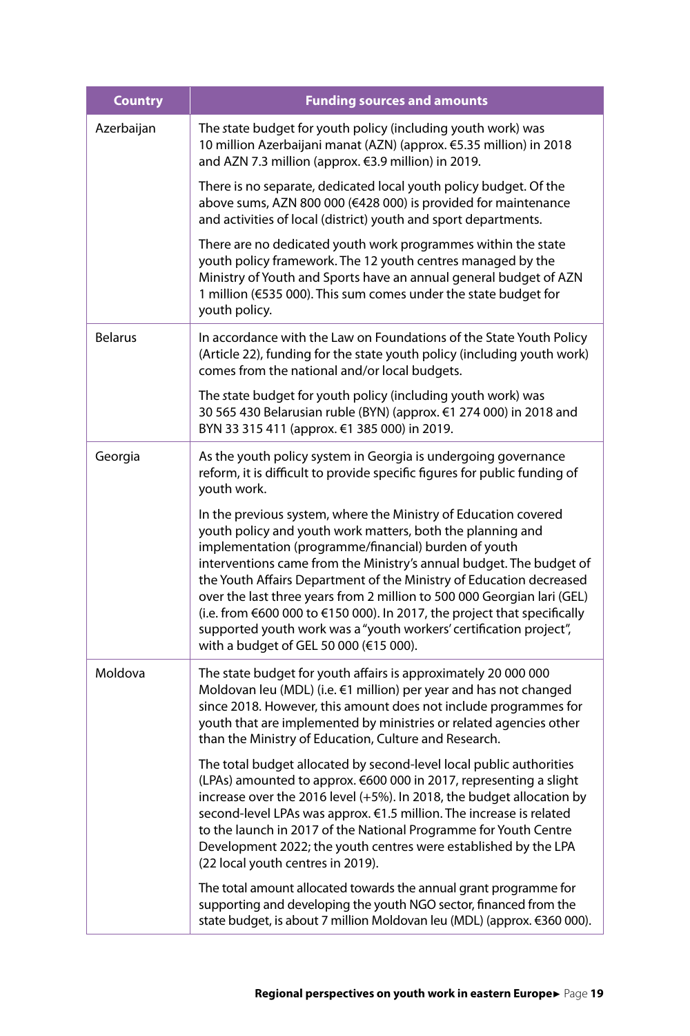| <b>Country</b> | <b>Funding sources and amounts</b>                                                                                                                                                                                                                                                                                                                                                                                                                                                                                                                                                                         |
|----------------|------------------------------------------------------------------------------------------------------------------------------------------------------------------------------------------------------------------------------------------------------------------------------------------------------------------------------------------------------------------------------------------------------------------------------------------------------------------------------------------------------------------------------------------------------------------------------------------------------------|
| Azerbaijan     | The state budget for youth policy (including youth work) was<br>10 million Azerbaijani manat (AZN) (approx. €5.35 million) in 2018<br>and AZN 7.3 million (approx. €3.9 million) in 2019.                                                                                                                                                                                                                                                                                                                                                                                                                  |
|                | There is no separate, dedicated local youth policy budget. Of the<br>above sums, AZN 800 000 (€428 000) is provided for maintenance<br>and activities of local (district) youth and sport departments.                                                                                                                                                                                                                                                                                                                                                                                                     |
|                | There are no dedicated youth work programmes within the state<br>youth policy framework. The 12 youth centres managed by the<br>Ministry of Youth and Sports have an annual general budget of AZN<br>1 million (€535 000). This sum comes under the state budget for<br>youth policy.                                                                                                                                                                                                                                                                                                                      |
| <b>Belarus</b> | In accordance with the Law on Foundations of the State Youth Policy<br>(Article 22), funding for the state youth policy (including youth work)<br>comes from the national and/or local budgets.                                                                                                                                                                                                                                                                                                                                                                                                            |
|                | The state budget for youth policy (including youth work) was<br>30 565 430 Belarusian ruble (BYN) (approx. €1 274 000) in 2018 and<br>BYN 33 315 411 (approx. €1 385 000) in 2019.                                                                                                                                                                                                                                                                                                                                                                                                                         |
| Georgia        | As the youth policy system in Georgia is undergoing governance<br>reform, it is difficult to provide specific figures for public funding of<br>youth work.                                                                                                                                                                                                                                                                                                                                                                                                                                                 |
|                | In the previous system, where the Ministry of Education covered<br>youth policy and youth work matters, both the planning and<br>implementation (programme/financial) burden of youth<br>interventions came from the Ministry's annual budget. The budget of<br>the Youth Affairs Department of the Ministry of Education decreased<br>over the last three years from 2 million to 500 000 Georgian lari (GEL)<br>(i.e. from €600 000 to €150 000). In 2017, the project that specifically<br>supported youth work was a "youth workers' certification project",<br>with a budget of GEL 50 000 (€15 000). |
| Moldova        | The state budget for youth affairs is approximately 20 000 000<br>Moldovan leu (MDL) (i.e. €1 million) per year and has not changed<br>since 2018. However, this amount does not include programmes for<br>youth that are implemented by ministries or related agencies other<br>than the Ministry of Education, Culture and Research.                                                                                                                                                                                                                                                                     |
|                | The total budget allocated by second-level local public authorities<br>(LPAs) amounted to approx. €600 000 in 2017, representing a slight<br>increase over the 2016 level (+5%). In 2018, the budget allocation by<br>second-level LPAs was approx. €1.5 million. The increase is related<br>to the launch in 2017 of the National Programme for Youth Centre<br>Development 2022; the youth centres were established by the LPA<br>(22 local youth centres in 2019).                                                                                                                                      |
|                | The total amount allocated towards the annual grant programme for<br>supporting and developing the youth NGO sector, financed from the<br>state budget, is about 7 million Moldovan leu (MDL) (approx. €360 000).                                                                                                                                                                                                                                                                                                                                                                                          |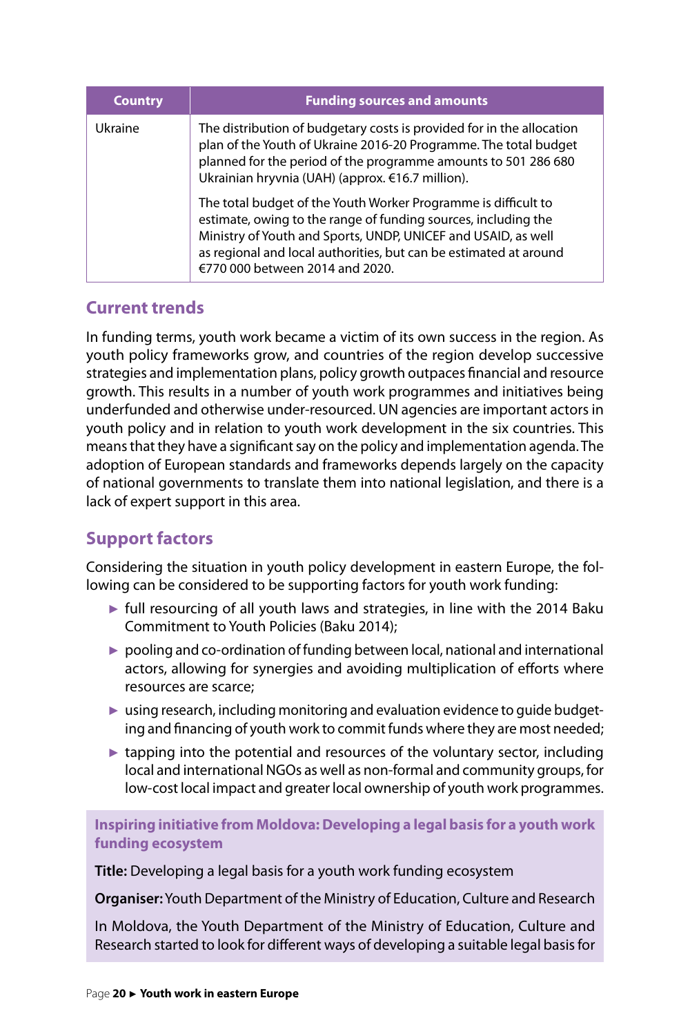| <b>Country</b> | <b>Funding sources and amounts</b>                                                                                                                                                                                                                                                                        |
|----------------|-----------------------------------------------------------------------------------------------------------------------------------------------------------------------------------------------------------------------------------------------------------------------------------------------------------|
| Ukraine        | The distribution of budgetary costs is provided for in the allocation<br>plan of the Youth of Ukraine 2016-20 Programme. The total budget<br>planned for the period of the programme amounts to 501 286 680<br>Ukrainian hryvnia (UAH) (approx. €16.7 million).                                           |
|                | The total budget of the Youth Worker Programme is difficult to<br>estimate, owing to the range of funding sources, including the<br>Ministry of Youth and Sports, UNDP, UNICEF and USAID, as well<br>as regional and local authorities, but can be estimated at around<br>€770 000 between 2014 and 2020. |

# **Current trends**

In funding terms, youth work became a victim of its own success in the region. As youth policy frameworks grow, and countries of the region develop successive strategies and implementation plans, policy growth outpaces financial and resource growth. This results in a number of youth work programmes and initiatives being underfunded and otherwise under-resourced. UN agencies are important actors in youth policy and in relation to youth work development in the six countries. This means that they have a significant say on the policy and implementation agenda. The adoption of European standards and frameworks depends largely on the capacity of national governments to translate them into national legislation, and there is a lack of expert support in this area.

# **Support factors**

Considering the situation in youth policy development in eastern Europe, the following can be considered to be supporting factors for youth work funding:

- ► full resourcing of all youth laws and strategies, in line with the 2014 Baku Commitment to Youth Policies (Baku 2014);
- ► pooling and co-ordination of funding between local, national and international actors, allowing for synergies and avoiding multiplication of efforts where resources are scarce;
- ► using research, including monitoring and evaluation evidence to quide budgeting and financing of youth work to commit funds where they are most needed;
- $\triangleright$  tapping into the potential and resources of the voluntary sector, including local and international NGOs as well as non-formal and community groups, for low-cost local impact and greater local ownership of youth work programmes.

**Inspiring initiative from Moldova: Developing a legal basis for a youth work funding ecosystem** 

**Title:** Developing a legal basis for a youth work funding ecosystem

**Organiser:** Youth Department of the Ministry of Education, Culture and Research

In Moldova, the Youth Department of the Ministry of Education, Culture and Research started to look for different ways of developing a suitable legal basis for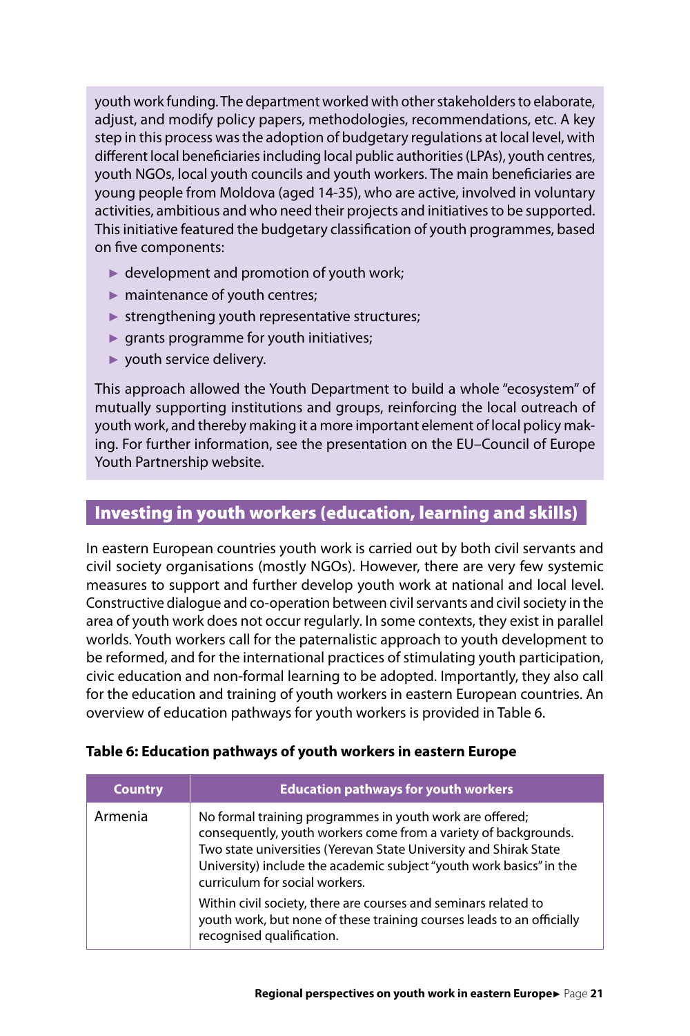<span id="page-21-0"></span>youth work funding. The department worked with other stakeholders to elaborate, adjust, and modify policy papers, methodologies, recommendations, etc. A key step in this process was the adoption of budgetary regulations at local level, with different local beneficiaries including local public authorities (LPAs), youth centres, youth NGOs, local youth councils and youth workers. The main beneficiaries are young people from Moldova (aged 14-35), who are active, involved in voluntary activities, ambitious and who need their projects and initiatives to be supported. This initiative featured the budgetary classification of youth programmes, based on five components:

- $\blacktriangleright$  development and promotion of youth work;
- ► maintenance of youth centres;
- $\blacktriangleright$  strengthening youth representative structures;
- $\blacktriangleright$  grants programme for youth initiatives;
- ► youth service delivery.

This approach allowed the Youth Department to build a whole "ecosystem" of mutually supporting institutions and groups, reinforcing the local outreach of youth work, and thereby making it a more important element of local policy making. For further information, see the presentation on the EU–Council of Europe Youth Partnership website.

## Investing in youth workers (education, learning and skills)

In eastern European countries youth work is carried out by both civil servants and civil society organisations (mostly NGOs). However, there are very few systemic measures to support and further develop youth work at national and local level. Constructive dialogue and co-operation between civil servants and civil society in the area of youth work does not occur regularly. In some contexts, they exist in parallel worlds. Youth workers call for the paternalistic approach to youth development to be reformed, and for the international practices of stimulating youth participation, civic education and non-formal learning to be adopted. Importantly, they also call for the education and training of youth workers in eastern European countries. An overview of education pathways for youth workers is provided in Table 6.

| <b>Country</b> | <b>Education pathways for youth workers</b>                                                                                                                                                                                                                                                                                                                                                                                                                                        |
|----------------|------------------------------------------------------------------------------------------------------------------------------------------------------------------------------------------------------------------------------------------------------------------------------------------------------------------------------------------------------------------------------------------------------------------------------------------------------------------------------------|
| Armenia        | No formal training programmes in youth work are offered;<br>consequently, youth workers come from a variety of backgrounds.<br>Two state universities (Yerevan State University and Shirak State<br>University) include the academic subject "youth work basics" in the<br>curriculum for social workers.<br>Within civil society, there are courses and seminars related to<br>youth work, but none of these training courses leads to an officially<br>recognised qualification. |

#### **Table 6: Education pathways of youth workers in eastern Europe**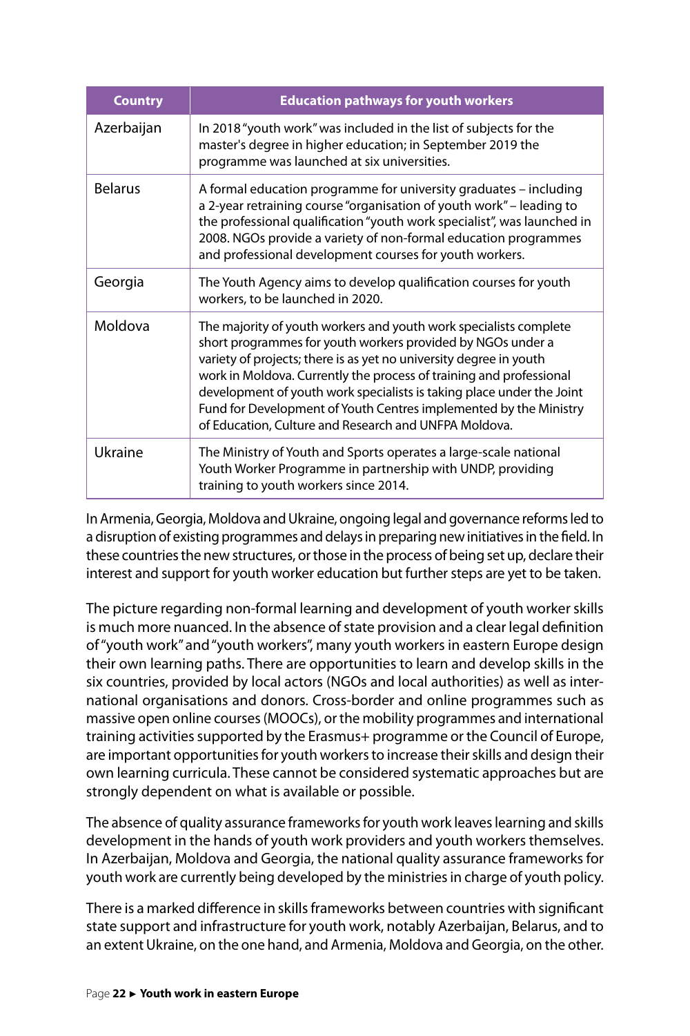| <b>Country</b> | <b>Education pathways for youth workers</b>                                                                                                                                                                                                                                                                                                                                                                                                                                          |
|----------------|--------------------------------------------------------------------------------------------------------------------------------------------------------------------------------------------------------------------------------------------------------------------------------------------------------------------------------------------------------------------------------------------------------------------------------------------------------------------------------------|
| Azerbaijan     | In 2018 "youth work" was included in the list of subjects for the<br>master's degree in higher education; in September 2019 the<br>programme was launched at six universities.                                                                                                                                                                                                                                                                                                       |
| <b>Belarus</b> | A formal education programme for university graduates – including<br>a 2-year retraining course "organisation of youth work" – leading to<br>the professional qualification "youth work specialist", was launched in<br>2008. NGOs provide a variety of non-formal education programmes<br>and professional development courses for youth workers.                                                                                                                                   |
| Georgia        | The Youth Agency aims to develop qualification courses for youth<br>workers, to be launched in 2020.                                                                                                                                                                                                                                                                                                                                                                                 |
| Moldova        | The majority of youth workers and youth work specialists complete<br>short programmes for youth workers provided by NGOs under a<br>variety of projects; there is as yet no university degree in youth<br>work in Moldova. Currently the process of training and professional<br>development of youth work specialists is taking place under the Joint<br>Fund for Development of Youth Centres implemented by the Ministry<br>of Education, Culture and Research and UNFPA Moldova. |
| Ukraine        | The Ministry of Youth and Sports operates a large-scale national<br>Youth Worker Programme in partnership with UNDP, providing<br>training to youth workers since 2014.                                                                                                                                                                                                                                                                                                              |

In Armenia, Georgia, Moldova and Ukraine, ongoing legal and governance reforms led to a disruption of existing programmes and delays in preparing new initiatives in the field. In these countries the new structures, or those in the process of being set up, declare their interest and support for youth worker education but further steps are yet to be taken.

The picture regarding non-formal learning and development of youth worker skills is much more nuanced. In the absence of state provision and a clear legal definition of "youth work" and "youth workers", many youth workers in eastern Europe design their own learning paths. There are opportunities to learn and develop skills in the six countries, provided by local actors (NGOs and local authorities) as well as international organisations and donors. Cross-border and online programmes such as massive open online courses (MOOCs), or the mobility programmes and international training activities supported by the Erasmus+ programme or the Council of Europe, are important opportunities for youth workers to increase their skills and design their own learning curricula. These cannot be considered systematic approaches but are strongly dependent on what is available or possible.

The absence of quality assurance frameworks for youth work leaves learning and skills development in the hands of youth work providers and youth workers themselves. In Azerbaijan, Moldova and Georgia, the national quality assurance frameworks for youth work are currently being developed by the ministries in charge of youth policy.

There is a marked difference in skills frameworks between countries with significant state support and infrastructure for youth work, notably Azerbaijan, Belarus, and to an extent Ukraine, on the one hand, and Armenia, Moldova and Georgia, on the other.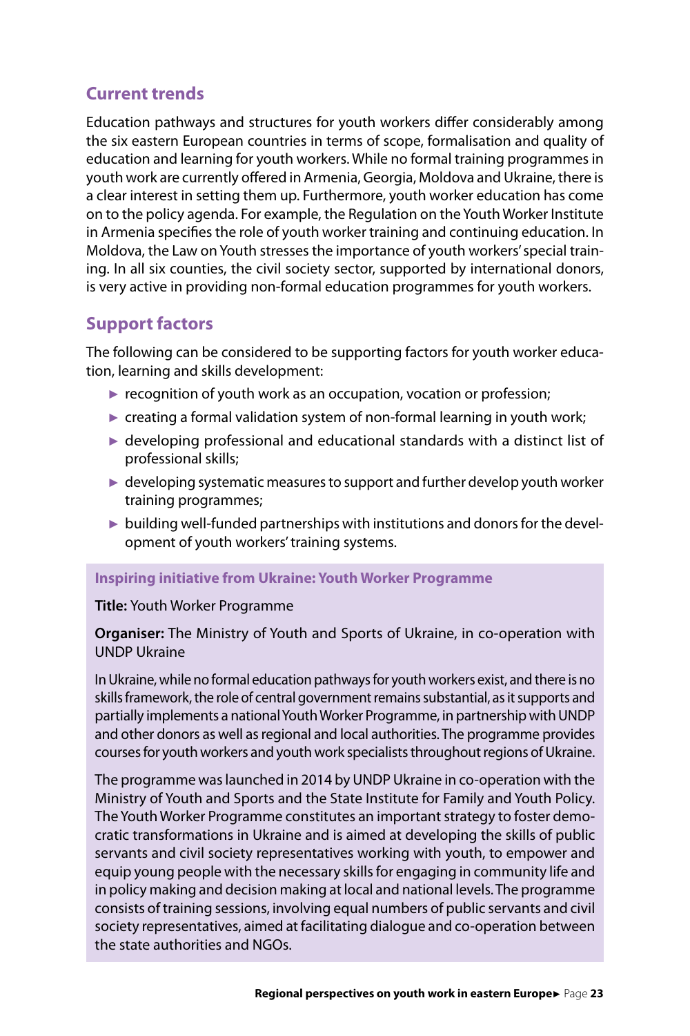# **Current trends**

Education pathways and structures for youth workers differ considerably among the six eastern European countries in terms of scope, formalisation and quality of education and learning for youth workers. While no formal training programmes in youth work are currently offered in Armenia, Georgia, Moldova and Ukraine, there is a clear interest in setting them up. Furthermore, youth worker education has come on to the policy agenda. For example, the Regulation on the Youth Worker Institute in Armenia specifies the role of youth worker training and continuing education. In Moldova, the Law on Youth stresses the importance of youth workers' special training. In all six counties, the civil society sector, supported by international donors, is very active in providing non-formal education programmes for youth workers.

# **Support factors**

The following can be considered to be supporting factors for youth worker education, learning and skills development:

- $\triangleright$  recognition of youth work as an occupation, vocation or profession;
- $\triangleright$  creating a formal validation system of non-formal learning in youth work;
- ► developing professional and educational standards with a distinct list of professional skills;
- ► developing systematic measures to support and further develop youth worker training programmes;
- ► building well-funded partnerships with institutions and donors for the development of youth workers' training systems.

#### **Inspiring initiative from Ukraine: Youth Worker Programme**

#### **Title:** Youth Worker Programme

#### **Organiser:** The Ministry of Youth and Sports of Ukraine, in co-operation with UNDP Ukraine

In Ukraine, while no formal education pathways for youth workers exist, and there is no skills framework, the role of central government remains substantial, as it supports and partially implements a national Youth Worker Programme, in partnership with UNDP and other donors as well as regional and local authorities. The programme provides courses for youth workers and youth work specialists throughout regions of Ukraine.

The programme was launched in 2014 by UNDP Ukraine in co-operation with the Ministry of Youth and Sports and the State Institute for Family and Youth Policy. The Youth Worker Programme constitutes an important strategy to foster democratic transformations in Ukraine and is aimed at developing the skills of public servants and civil society representatives working with youth, to empower and equip young people with the necessary skills for engaging in community life and in policy making and decision making at local and national levels. The programme consists of training sessions, involving equal numbers of public servants and civil society representatives, aimed at facilitating dialogue and co-operation between the state authorities and NGOs.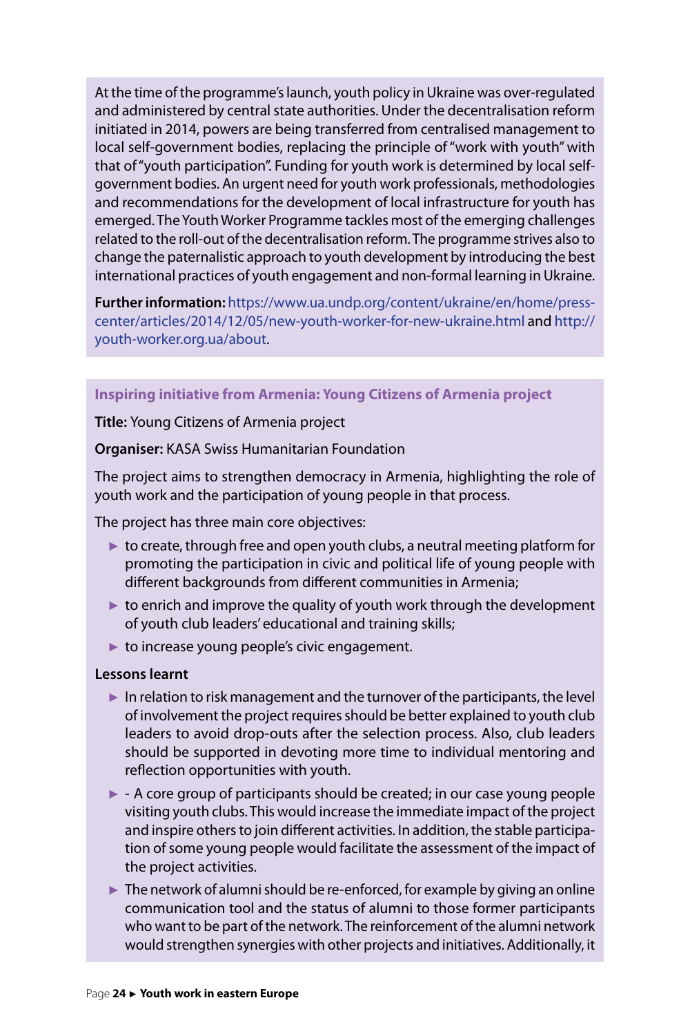At the time of the programme's launch, youth policy in Ukraine was over-regulated and administered by central state authorities. Under the decentralisation reform initiated in 2014, powers are being transferred from centralised management to local self-government bodies, replacing the principle of "work with youth" with that of "youth participation". Funding for youth work is determined by local selfgovernment bodies. An urgent need for youth work professionals, methodologies and recommendations for the development of local infrastructure for youth has emerged. The Youth Worker Programme tackles most of the emerging challenges related to the roll-out of the decentralisation reform. The programme strives also to change the paternalistic approach to youth development by introducing the best international practices of youth engagement and non-formal learning in Ukraine.

**Further information:** [https://www.ua.undp.org/content/ukraine/en/home/press](https://www.ua.undp.org/content/ukraine/en/home/presscenter/articles/2014/12/05/new-youth-worker-for-new-ukraine.html)[center/articles/2014/12/05/new-youth-worker-for-new-ukraine.html](https://www.ua.undp.org/content/ukraine/en/home/presscenter/articles/2014/12/05/new-youth-worker-for-new-ukraine.html) and http:// youth-worker.org.ua/about.

#### **Inspiring initiative from Armenia: Young Citizens of Armenia project**

**Title:** Young Citizens of Armenia project

#### **Organiser:** KASA Swiss Humanitarian Foundation

The project aims to strengthen democracy in Armenia, highlighting the role of youth work and the participation of young people in that process.

The project has three main core objectives:

- ► to create, through free and open youth clubs, a neutral meeting platform for promoting the participation in civic and political life of young people with different backgrounds from different communities in Armenia;
- $\triangleright$  to enrich and improve the quality of youth work through the development of youth club leaders' educational and training skills;
- $\blacktriangleright$  to increase young people's civic engagement.

#### **Lessons learnt**

- ► In relation to risk management and the turnover of the participants, the level of involvement the project requires should be better explained to youth club leaders to avoid drop-outs after the selection process. Also, club leaders should be supported in devoting more time to individual mentoring and reflection opportunities with youth.
- ► A core group of participants should be created; in our case young people visiting youth clubs. This would increase the immediate impact of the project and inspire others to join different activities. In addition, the stable participation of some young people would facilitate the assessment of the impact of the project activities.
- $\blacktriangleright$  The network of alumni should be re-enforced, for example by giving an online communication tool and the status of alumni to those former participants who want to be part of the network. The reinforcement of the alumni network would strengthen synergies with other projects and initiatives. Additionally, it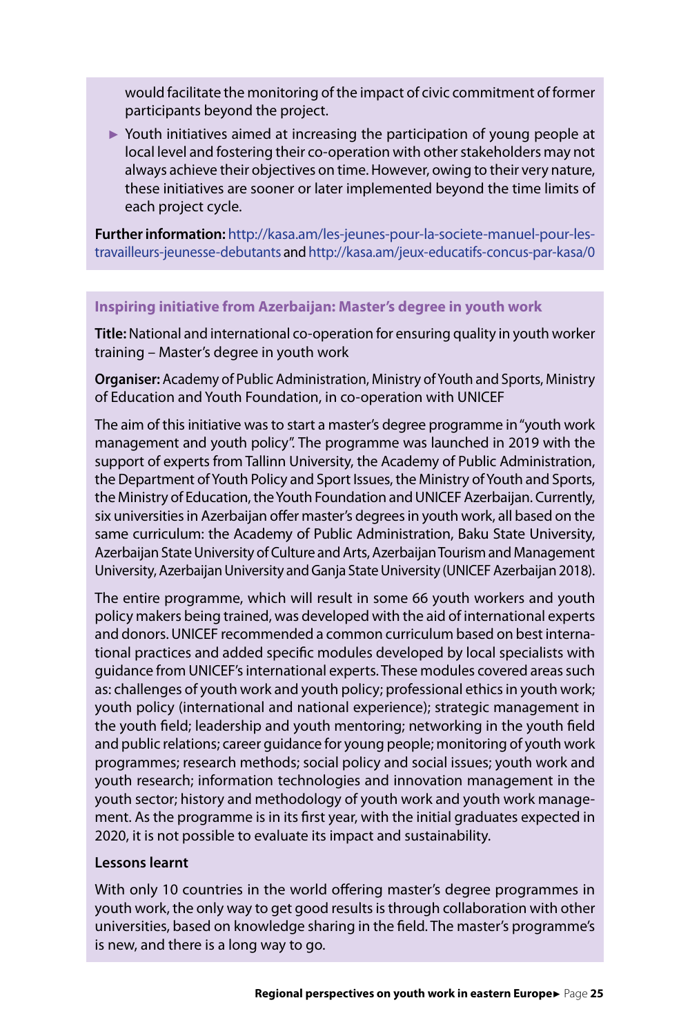would facilitate the monitoring of the impact of civic commitment of former participants beyond the project.

► Youth initiatives aimed at increasing the participation of young people at local level and fostering their co-operation with other stakeholders may not always achieve their objectives on time. However, owing to their very nature, these initiatives are sooner or later implemented beyond the time limits of each project cycle.

**Further information:** [http://kasa.am/les-jeunes-pour-la-societe-manuel-pour-les](http://kasa.am/les-jeunes-pour-la-societe-manuel-pour-les-travailleurs-jeunesse-debutants)[travailleurs-jeunesse-debutants](http://kasa.am/les-jeunes-pour-la-societe-manuel-pour-les-travailleurs-jeunesse-debutants) and<http://kasa.am/jeux-educatifs-concus-par-kasa/0>

#### **Inspiring initiative from Azerbaijan: Master's degree in youth work**

**Title:**National and international co-operation for ensuring quality in youth worker training – Master's degree in youth work

**Organiser:** Academy of Public Administration, Ministry of Youth and Sports, Ministry of Education and Youth Foundation, in co-operation with UNICEF

The aim of this initiative was to start a master's degree programme in "youth work management and youth policy". The programme was launched in 2019 with the support of experts from Tallinn University, the Academy of Public Administration, the Department of Youth Policy and Sport Issues, the Ministry of Youth and Sports, the Ministry of Education, the Youth Foundation and UNICEF Azerbaijan. Currently, six universities in Azerbaijan offer master's degrees in youth work, all based on the same curriculum: the Academy of Public Administration, Baku State University, Azerbaijan State University of Culture and Arts, Azerbaijan Tourism and Management University, Azerbaijan University and Ganja State University (UNICEF Azerbaijan 2018).

The entire programme, which will result in some 66 youth workers and youth policy makers being trained, was developed with the aid of international experts and donors. UNICEF recommended a common curriculum based on best international practices and added specific modules developed by local specialists with guidance from UNICEF's international experts. These modules covered areas such as: challenges of youth work and youth policy; professional ethics in youth work; youth policy (international and national experience); strategic management in the youth field; leadership and youth mentoring; networking in the youth field and public relations; career guidance for young people; monitoring of youth work programmes; research methods; social policy and social issues; youth work and youth research; information technologies and innovation management in the youth sector; history and methodology of youth work and youth work management. As the programme is in its first year, with the initial graduates expected in 2020, it is not possible to evaluate its impact and sustainability.

#### **Lessons learnt**

With only 10 countries in the world offering master's degree programmes in youth work, the only way to get good results is through collaboration with other universities, based on knowledge sharing in the field. The master's programme's is new, and there is a long way to go.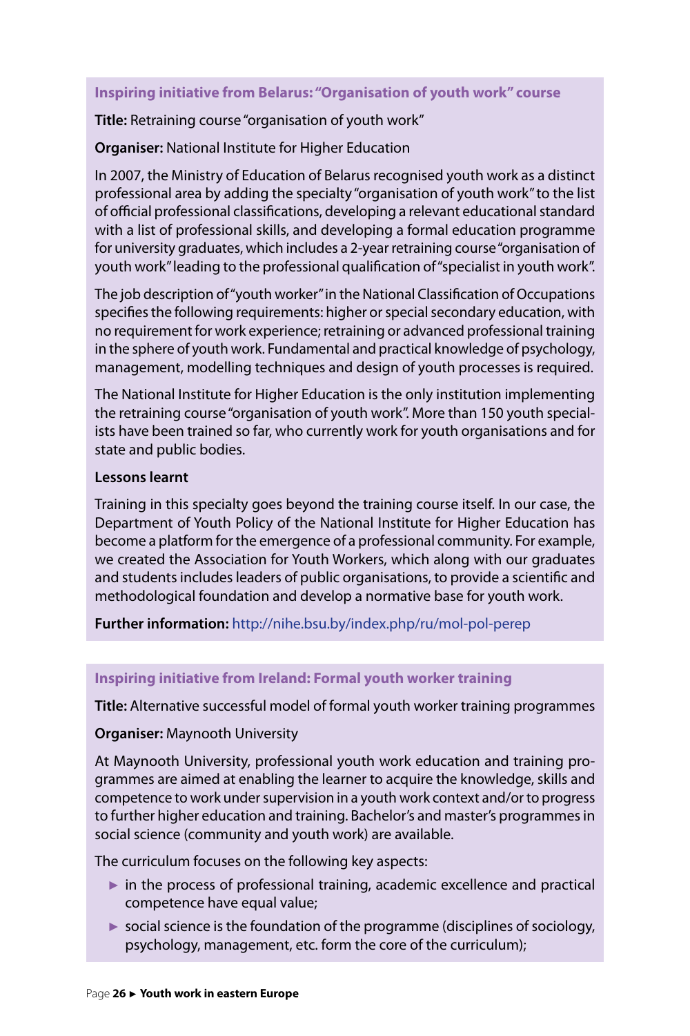#### **Inspiring initiative from Belarus: "Organisation of youth work" course**

**Title:** Retraining course "organisation of youth work"

**Organiser:** National Institute for Higher Education

In 2007, the Ministry of Education of Belarus recognised youth work as a distinct professional area by adding the specialty "organisation of youth work" to the list of official professional classifications, developing a relevant educational standard with a list of professional skills, and developing a formal education programme for university graduates, which includes a 2-year retraining course "organisation of youth work" leading to the professional qualification of "specialist in youth work".

The job description of "youth worker" in the National Classification of Occupations specifies the following requirements: higher or special secondary education, with no requirement for work experience; retraining or advanced professional training in the sphere of youth work. Fundamental and practical knowledge of psychology, management, modelling techniques and design of youth processes is required.

The National Institute for Higher Education is the only institution implementing the retraining course "organisation of youth work". More than 150 youth specialists have been trained so far, who currently work for youth organisations and for state and public bodies.

#### **Lessons learnt**

Training in this specialty goes beyond the training course itself. In our case, the Department of Youth Policy of the National Institute for Higher Education has become a platform for the emergence of a professional community. For example, we created the Association for Youth Workers, which along with our graduates and students includes leaders of public organisations, to provide a scientific and methodological foundation and develop a normative base for youth work.

**Further information:** <http://nihe.bsu.by/index.php/ru/mol-pol-perep>

#### **Inspiring initiative from Ireland: Formal youth worker training**

**Title:** Alternative successful model of formal youth worker training programmes

#### **Organiser:** Maynooth University

At Maynooth University, professional youth work education and training programmes are aimed at enabling the learner to acquire the knowledge, skills and competence to work under supervision in a youth work context and/or to progress to further higher education and training. Bachelor's and master's programmes in social science (community and youth work) are available.

The curriculum focuses on the following key aspects:

- $\triangleright$  in the process of professional training, academic excellence and practical competence have equal value;
- $\triangleright$  social science is the foundation of the programme (disciplines of sociology, psychology, management, etc. form the core of the curriculum);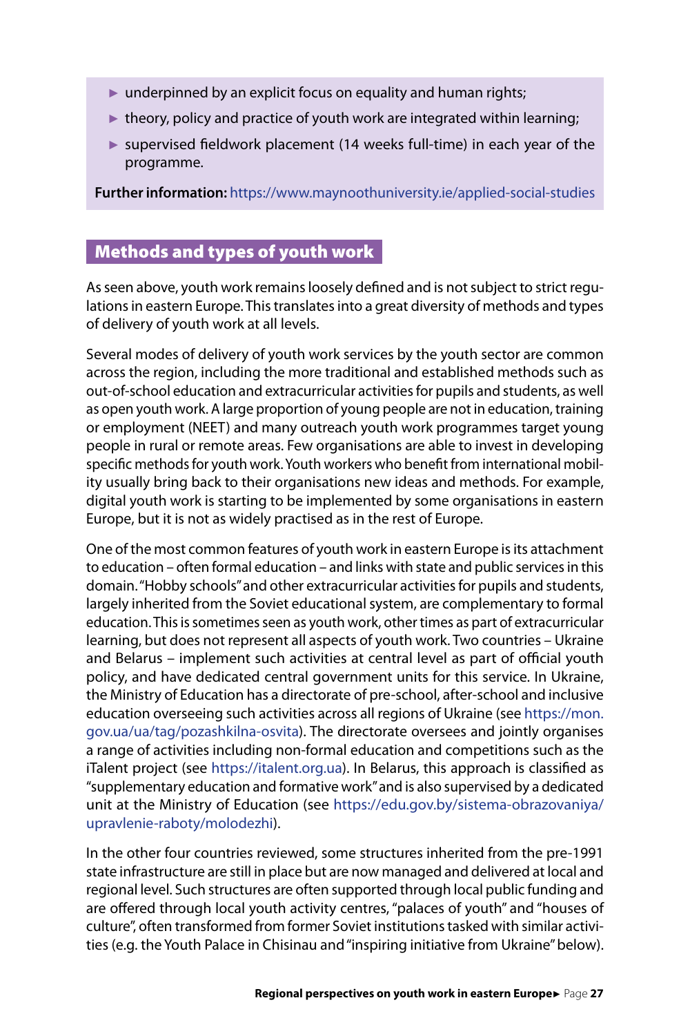- <span id="page-27-0"></span> $\triangleright$  underpinned by an explicit focus on equality and human rights;
- $\blacktriangleright$  theory, policy and practice of youth work are integrated within learning;
- ► supervised fieldwork placement (14 weeks full-time) in each year of the programme.

**Further information:** <https://www.maynoothuniversity.ie/applied-social-studies>

# Methods and types of youth work

As seen above, youth work remains loosely defined and is not subject to strict regulations in eastern Europe. This translates into a great diversity of methods and types of delivery of youth work at all levels.

Several modes of delivery of youth work services by the youth sector are common across the region, including the more traditional and established methods such as out-of-school education and extracurricular activities for pupils and students, as well as open youth work. A large proportion of young people are not in education, training or employment (NEET) and many outreach youth work programmes target young people in rural or remote areas. Few organisations are able to invest in developing specific methods for youth work. Youth workers who benefit from international mobility usually bring back to their organisations new ideas and methods. For example, digital youth work is starting to be implemented by some organisations in eastern Europe, but it is not as widely practised as in the rest of Europe.

One of the most common features of youth work in eastern Europe is its attachment to education – often formal education – and links with state and public services in this domain. "Hobby schools" and other extracurricular activities for pupils and students, largely inherited from the Soviet educational system, are complementary to formal education. This is sometimes seen as youth work, other times as part of extracurricular learning, but does not represent all aspects of youth work. Two countries – Ukraine and Belarus – implement such activities at central level as part of official youth policy, and have dedicated central government units for this service. In Ukraine, the Ministry of Education has a directorate of pre-school, after-school and inclusive education overseeing such activities across all regions of Ukraine (see [https://mon.](https://mon.gov.ua/ua/tag/pozashkilna-osvita) [gov.ua/ua/tag/pozashkilna-osvita](https://mon.gov.ua/ua/tag/pozashkilna-osvita)). The directorate oversees and jointly organises a range of activities including non-formal education and competitions such as the iTalent project (see [https://italent.org.ua\)](https://italent.org.ua). In Belarus, this approach is classified as "supplementary education and formative work" and is also supervised by a dedicated unit at the Ministry of Education (see [https://edu.gov.by/sistema-obrazovaniya/](https://edu.gov.by/sistema-obrazovaniya/upravlenie-raboty/molodezhi) [upravlenie-raboty/molodezhi\)](https://edu.gov.by/sistema-obrazovaniya/upravlenie-raboty/molodezhi).

In the other four countries reviewed, some structures inherited from the pre-1991 state infrastructure are still in place but are now managed and delivered at local and regional level. Such structures are often supported through local public funding and are offered through local youth activity centres, "palaces of youth" and "houses of culture", often transformed from former Soviet institutions tasked with similar activities (e.g. the Youth Palace in Chisinau and "inspiring initiative from Ukraine" below).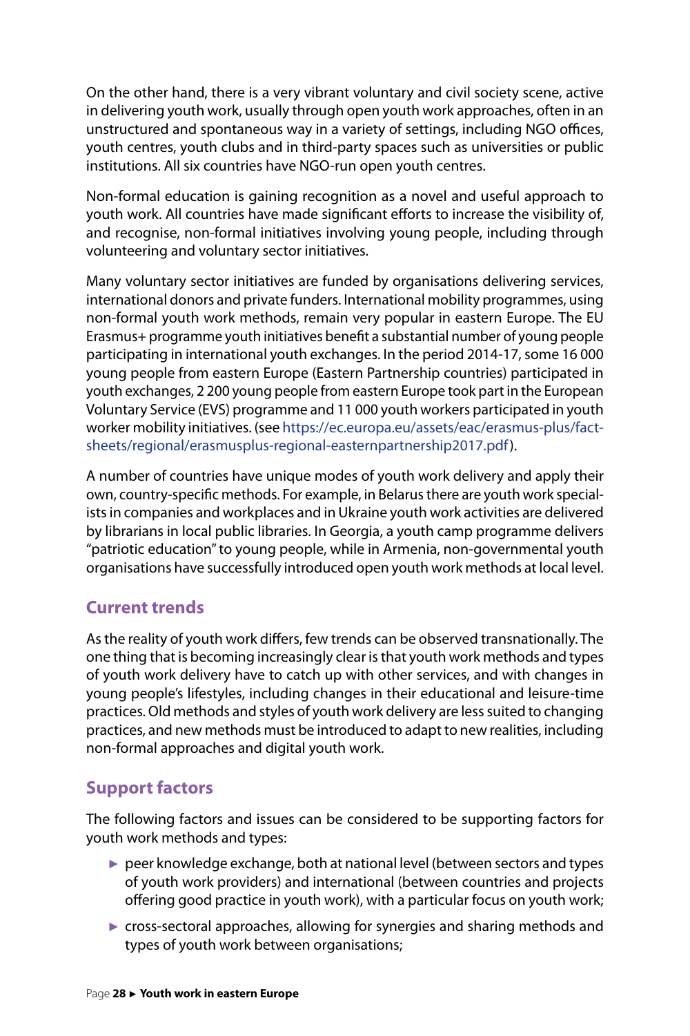On the other hand, there is a very vibrant voluntary and civil society scene, active in delivering youth work, usually through open youth work approaches, often in an unstructured and spontaneous way in a variety of settings, including NGO offices, youth centres, youth clubs and in third-party spaces such as universities or public institutions. All six countries have NGO-run open youth centres.

Non-formal education is gaining recognition as a novel and useful approach to youth work. All countries have made significant efforts to increase the visibility of, and recognise, non-formal initiatives involving young people, including through volunteering and voluntary sector initiatives.

Many voluntary sector initiatives are funded by organisations delivering services, international donors and private funders. International mobility programmes, using non-formal youth work methods, remain very popular in eastern Europe. The EU Erasmus+ programme youth initiatives benefit a substantial number of young people participating in international youth exchanges. In the period 2014-17, some 16 000 young people from eastern Europe (Eastern Partnership countries) participated in youth exchanges, 2 200 young people from eastern Europe took part in the European Voluntary Service (EVS) programme and 11 000 youth workers participated in youth worker mobility initiatives. (see [https://ec.europa.eu/assets/eac/erasmus-plus/fact](https://ec.europa.eu/assets/eac/erasmus-plus/factsheets/regional/erasmusplus-regional-easternpartnership2017.pdf)[sheets/regional/erasmusplus-regional-easternpartnership2017.pdf](https://ec.europa.eu/assets/eac/erasmus-plus/factsheets/regional/erasmusplus-regional-easternpartnership2017.pdf)).

A number of countries have unique modes of youth work delivery and apply their own, country-specific methods. For example, in Belarus there are youth work specialists in companies and workplaces and in Ukraine youth work activities are delivered by librarians in local public libraries. In Georgia, a youth camp programme delivers "patriotic education" to young people, while in Armenia, non-governmental youth organisations have successfully introduced open youth work methods at local level.

# **Current trends**

As the reality of youth work differs, few trends can be observed transnationally. The one thing that is becoming increasingly clear is that youth work methods and types of youth work delivery have to catch up with other services, and with changes in young people's lifestyles, including changes in their educational and leisure-time practices. Old methods and styles of youth work delivery are less suited to changing practices, and new methods must be introduced to adapt to new realities, including non-formal approaches and digital youth work.

# **Support factors**

The following factors and issues can be considered to be supporting factors for youth work methods and types:

- ► peer knowledge exchange, both at national level (between sectors and types of youth work providers) and international (between countries and projects offering good practice in youth work), with a particular focus on youth work;
- ► cross-sectoral approaches, allowing for synergies and sharing methods and types of youth work between organisations;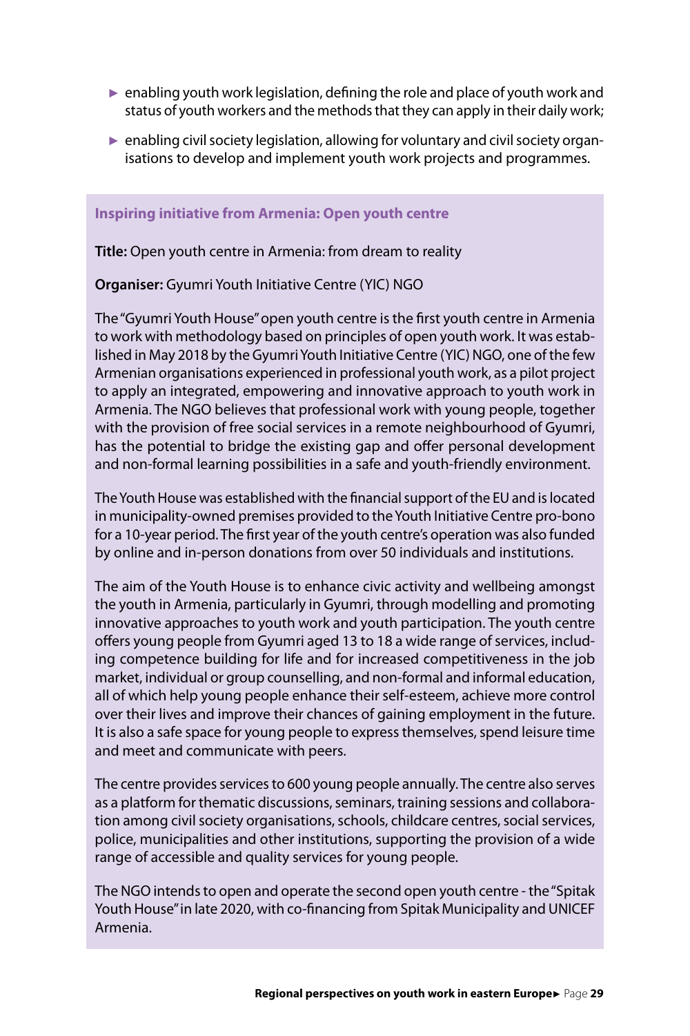- $\triangleright$  enabling youth work legislation, defining the role and place of youth work and status of youth workers and the methods that they can apply in their daily work;
- ► enabling civil society legislation, allowing for voluntary and civil society organisations to develop and implement youth work projects and programmes.

#### **Inspiring initiative from Armenia: Open youth centre**

**Title:** Open youth centre in Armenia: from dream to reality

**Organiser:** Gyumri Youth Initiative Centre (YIC) NGO

The "Gyumri Youth House" open youth centre is the first youth centre in Armenia to work with methodology based on principles of open youth work. It was established in May 2018 by the Gyumri Youth Initiative Centre (YIC) NGO, one of the few Armenian organisations experienced in professional youth work, as a pilot project to apply an integrated, empowering and innovative approach to youth work in Armenia. The NGO believes that professional work with young people, together with the provision of free social services in a remote neighbourhood of Gyumri, has the potential to bridge the existing gap and offer personal development and non-formal learning possibilities in a safe and youth-friendly environment.

The Youth House was established with the financial support of the EU and is located in municipality-owned premises provided to the Youth Initiative Centre pro-bono for a 10-year period. The first year of the youth centre's operation was also funded by online and in-person donations from over 50 individuals and institutions.

The aim of the Youth House is to enhance civic activity and wellbeing amongst the youth in Armenia, particularly in Gyumri, through modelling and promoting innovative approaches to youth work and youth participation. The youth centre offers young people from Gyumri aged 13 to 18 a wide range of services, including competence building for life and for increased competitiveness in the job market, individual or group counselling, and non-formal and informal education, all of which help young people enhance their self-esteem, achieve more control over their lives and improve their chances of gaining employment in the future. It is also a safe space for young people to express themselves, spend leisure time and meet and communicate with peers.

The centre provides services to 600 young people annually. The centre also serves as a platform for thematic discussions, seminars, training sessions and collaboration among civil society organisations, schools, childcare centres, social services, police, municipalities and other institutions, supporting the provision of a wide range of accessible and quality services for young people.

The NGO intends to open and operate the second open youth centre - the "Spitak Youth House" in late 2020, with co-financing from Spitak Municipality and UNICEF Armenia.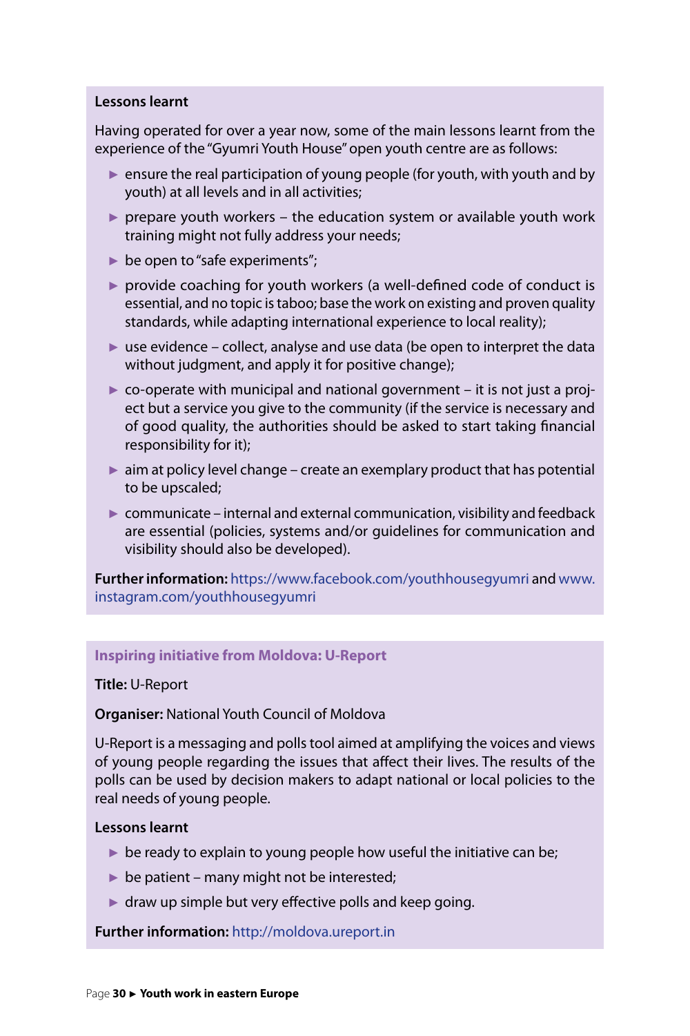#### **Lessons learnt**

Having operated for over a year now, some of the main lessons learnt from the experience of the "Gyumri Youth House" open youth centre are as follows:

- $\triangleright$  ensure the real participation of young people (for youth, with youth and by youth) at all levels and in all activities;
- $\triangleright$  prepare youth workers the education system or available youth work training might not fully address your needs;
- $\triangleright$  be open to "safe experiments";
- ► provide coaching for youth workers (a well-defined code of conduct is essential, and no topic is taboo; base the work on existing and proven quality standards, while adapting international experience to local reality);
- $\triangleright$  use evidence collect, analyse and use data (be open to interpret the data without judgment, and apply it for positive change);
- $\triangleright$  co-operate with municipal and national government it is not just a project but a service you give to the community (if the service is necessary and of good quality, the authorities should be asked to start taking financial responsibility for it);
- $\triangleright$  aim at policy level change create an exemplary product that has potential to be upscaled;
- $\triangleright$  communicate internal and external communication, visibility and feedback are essential (policies, systems and/or guidelines for communication and visibility should also be developed).

**Further information:** [https://www.facebook.com/youthhousegyumri](https://www.facebook.com/youthhousegyumri/) and [www.](http://www.instagram.com/youthhousegyumri) [instagram.com/youthhousegyumri](http://www.instagram.com/youthhousegyumri)

#### **Inspiring initiative from Moldova: U-Report**

#### **Title:** U-Report

**Organiser:** National Youth Council of Moldova

U-Report is a messaging and polls tool aimed at amplifying the voices and views of young people regarding the issues that affect their lives. The results of the polls can be used by decision makers to adapt national or local policies to the real needs of young people.

#### **Lessons learnt**

- $\triangleright$  be ready to explain to young people how useful the initiative can be;
- $\triangleright$  be patient many might not be interested;
- $\blacktriangleright$  draw up simple but very effective polls and keep going.

#### **Further information:** <http://moldova.ureport.in>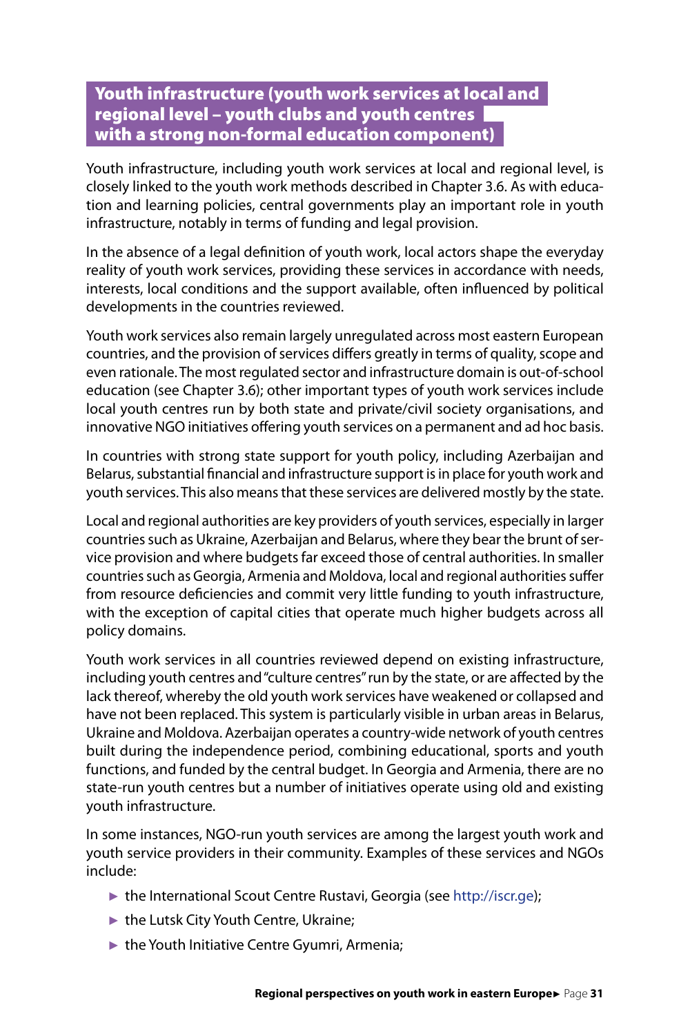## <span id="page-31-0"></span>Youth infrastructure (youth work services at local and regional level – youth clubs and youth centres with a strong non-formal education component)

Youth infrastructure, including youth work services at local and regional level, is closely linked to the youth work methods described in Chapter 3.6. As with education and learning policies, central governments play an important role in youth infrastructure, notably in terms of funding and legal provision.

In the absence of a legal definition of youth work, local actors shape the everyday reality of youth work services, providing these services in accordance with needs, interests, local conditions and the support available, often influenced by political developments in the countries reviewed.

Youth work services also remain largely unregulated across most eastern European countries, and the provision of services differs greatly in terms of quality, scope and even rationale. The most regulated sector and infrastructure domain is out-of-school education (see Chapter 3.6); other important types of youth work services include local youth centres run by both state and private/civil society organisations, and innovative NGO initiatives offering youth services on a permanent and ad hoc basis.

In countries with strong state support for youth policy, including Azerbaijan and Belarus, substantial financial and infrastructure support is in place for youth work and youth services. This also means that these services are delivered mostly by the state.

Local and regional authorities are key providers of youth services, especially in larger countries such as Ukraine, Azerbaijan and Belarus, where they bear the brunt of service provision and where budgets far exceed those of central authorities. In smaller countries such as Georgia, Armenia and Moldova, local and regional authorities suffer from resource deficiencies and commit very little funding to youth infrastructure, with the exception of capital cities that operate much higher budgets across all policy domains.

Youth work services in all countries reviewed depend on existing infrastructure, including youth centres and "culture centres" run by the state, or are affected by the lack thereof, whereby the old youth work services have weakened or collapsed and have not been replaced. This system is particularly visible in urban areas in Belarus, Ukraine and Moldova. Azerbaijan operates a country-wide network of youth centres built during the independence period, combining educational, sports and youth functions, and funded by the central budget. In Georgia and Armenia, there are no state-run youth centres but a number of initiatives operate using old and existing youth infrastructure.

In some instances, NGO-run youth services are among the largest youth work and youth service providers in their community. Examples of these services and NGOs include:

- ► the International Scout Centre Rustavi, Georgia (see [http://iscr.ge\)](http://iscr.ge);
- ► the Lutsk City Youth Centre, Ukraine;
- ► the Youth Initiative Centre Gyumri, Armenia;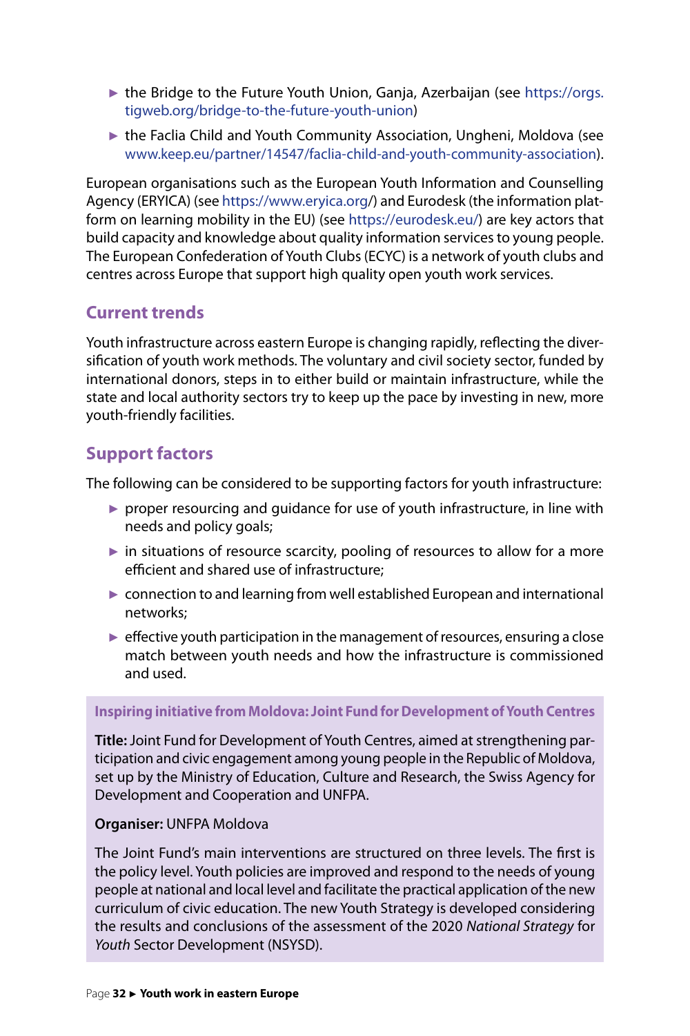- ► the Bridge to the Future Youth Union, Ganja, Azerbaijan (see [https://orgs.](https://orgs.tigweb.org/bridge-to-the-future-youth-union) [tigweb.org/bridge-to-the-future-youth-union\)](https://orgs.tigweb.org/bridge-to-the-future-youth-union)
- ► the Faclia Child and Youth Community Association, Ungheni, Moldova (see [www.keep.eu/partner/14547/faclia-child-and-youth-community-association](http://www.keep.eu/partner/14547/faclia-child-and-youth-community-association)).

European organisations such as the European Youth Information and Counselling Agency (ERYICA) (see<https://www.eryica.org/>) and Eurodesk (the information platform on learning mobility in the EU) (see [https://eurodesk.eu/\)](https://eurodesk.eu/) are key actors that build capacity and knowledge about quality information services to young people. The European Confederation of Youth Clubs (ECYC) is a network of youth clubs and centres across Europe that support high quality open youth work services.

# **Current trends**

Youth infrastructure across eastern Europe is changing rapidly, reflecting the diversification of youth work methods. The voluntary and civil society sector, funded by international donors, steps in to either build or maintain infrastructure, while the state and local authority sectors try to keep up the pace by investing in new, more youth-friendly facilities.

# **Support factors**

The following can be considered to be supporting factors for youth infrastructure:

- $\triangleright$  proper resourcing and guidance for use of youth infrastructure, in line with needs and policy goals;
- $\blacktriangleright$  in situations of resource scarcity, pooling of resources to allow for a more efficient and shared use of infrastructure;
- ► connection to and learning from well established European and international networks;
- $\blacktriangleright$  effective youth participation in the management of resources, ensuring a close match between youth needs and how the infrastructure is commissioned and used.

#### **Inspiring initiative from Moldova: Joint Fund for Development of Youth Centres**

**Title:** Joint Fund for Development of Youth Centres, aimed at strengthening participation and civic engagement among young people in the Republic of Moldova, set up by the Ministry of Education, Culture and Research, the Swiss Agency for Development and Cooperation and UNFPA.

#### **Organiser:** UNFPA Moldova

The Joint Fund's main interventions are structured on three levels. The first is the policy level. Youth policies are improved and respond to the needs of young people at national and local level and facilitate the practical application of the new curriculum of civic education. The new Youth Strategy is developed considering the results and conclusions of the assessment of the 2020 *National Strategy* for *Youth* Sector Development (NSYSD).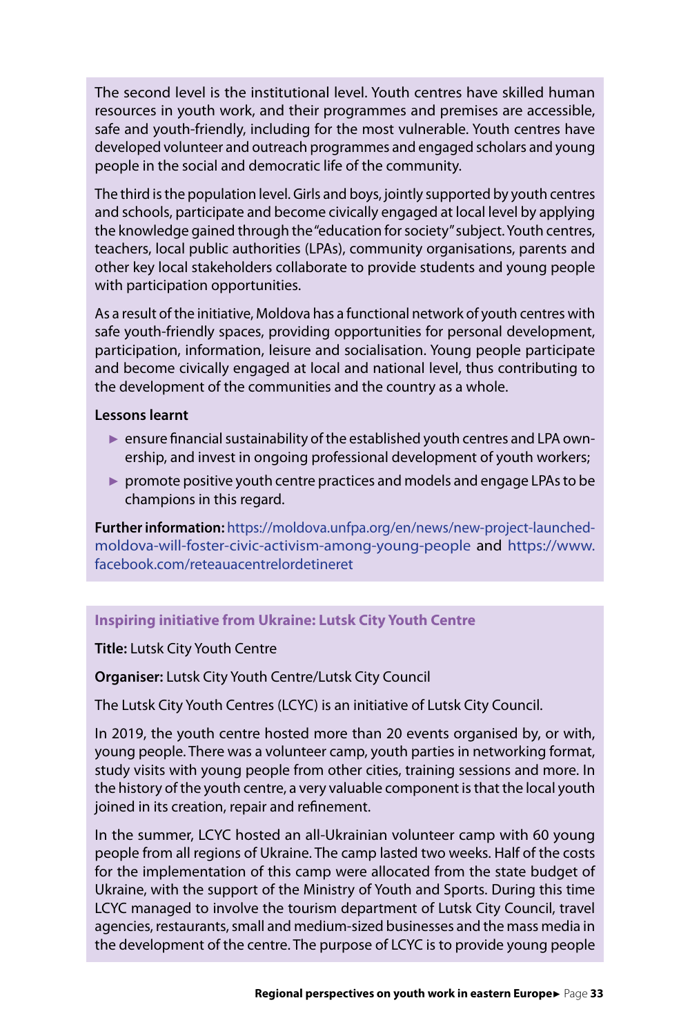The second level is the institutional level. Youth centres have skilled human resources in youth work, and their programmes and premises are accessible, safe and youth-friendly, including for the most vulnerable. Youth centres have developed volunteer and outreach programmes and engaged scholars and young people in the social and democratic life of the community.

The third is the population level. Girls and boys, jointly supported by youth centres and schools, participate and become civically engaged at local level by applying the knowledge gained through the "education for society" subject. Youth centres, teachers, local public authorities (LPAs), community organisations, parents and other key local stakeholders collaborate to provide students and young people with participation opportunities.

As a result of the initiative, Moldova has a functional network of youth centres with safe youth-friendly spaces, providing opportunities for personal development, participation, information, leisure and socialisation. Young people participate and become civically engaged at local and national level, thus contributing to the development of the communities and the country as a whole.

#### **Lessons learnt**

- ► ensure financial sustainability of the established youth centres and LPA ownership, and invest in ongoing professional development of youth workers;
- ► promote positive youth centre practices and models and engage LPAs to be champions in this regard.

**Further information:** [https://moldova.unfpa.org/en/news/new-project-launched](https://moldova.unfpa.org/en/news/new-project-launched-moldova-will-foster-civic-activism-among-young-people)[moldova-will-foster-civic-activism-among-young-people](https://moldova.unfpa.org/en/news/new-project-launched-moldova-will-foster-civic-activism-among-young-people) and https://www. facebook.com/reteauacentrelordetineret

#### **Inspiring initiative from Ukraine: Lutsk City Youth Centre**

**Title:** Lutsk City Youth Centre

**Organiser:** Lutsk City Youth Centre/Lutsk City Council

The Lutsk City Youth Centres (LCYC) is an initiative of Lutsk City Council.

In 2019, the youth centre hosted more than 20 events organised by, or with, young people. There was a volunteer camp, youth parties in networking format, study visits with young people from other cities, training sessions and more. In the history of the youth centre, a very valuable component is that the local youth joined in its creation, repair and refinement.

In the summer, LCYC hosted an all-Ukrainian volunteer camp with 60 young people from all regions of Ukraine. The camp lasted two weeks. Half of the costs for the implementation of this camp were allocated from the state budget of Ukraine, with the support of the Ministry of Youth and Sports. During this time LCYC managed to involve the tourism department of Lutsk City Council, travel agencies, restaurants, small and medium-sized businesses and the mass media in the development of the centre. The purpose of LCYC is to provide young people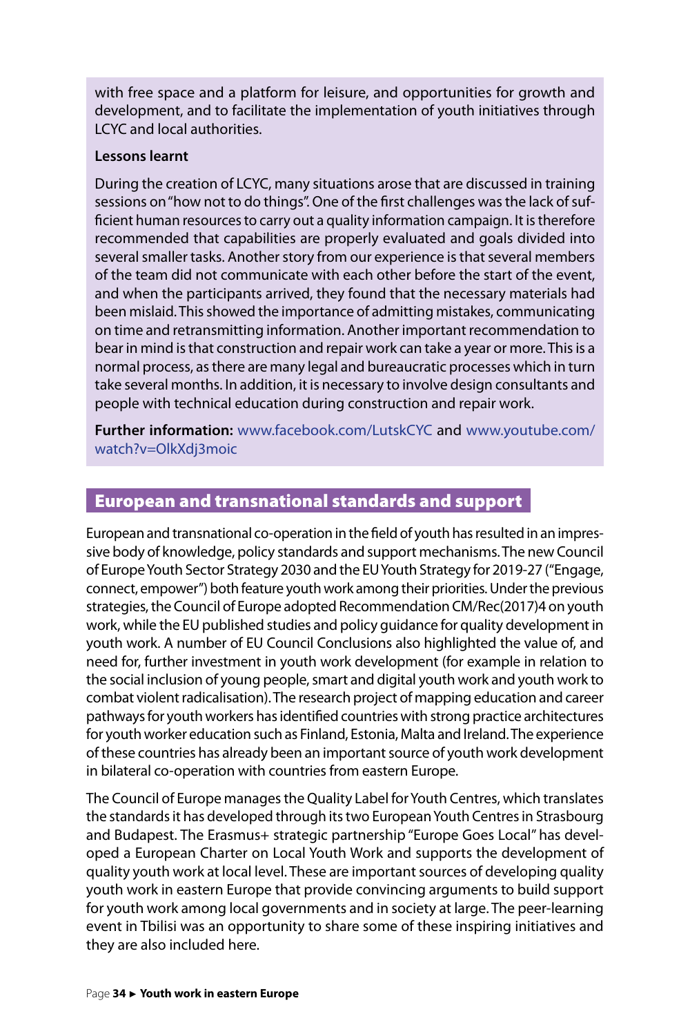<span id="page-34-0"></span>with free space and a platform for leisure, and opportunities for growth and development, and to facilitate the implementation of youth initiatives through LCYC and local authorities.

#### **Lessons learnt**

During the creation of LCYC, many situations arose that are discussed in training sessions on "how not to do things". One of the first challenges was the lack of sufficient human resources to carry out a quality information campaign. It is therefore recommended that capabilities are properly evaluated and goals divided into several smaller tasks. Another story from our experience is that several members of the team did not communicate with each other before the start of the event, and when the participants arrived, they found that the necessary materials had been mislaid. This showed the importance of admitting mistakes, communicating on time and retransmitting information. Another important recommendation to bear in mind is that construction and repair work can take a year or more. This is a normal process, as there are many legal and bureaucratic processes which in turn take several months. In addition, it is necessary to involve design consultants and people with technical education during construction and repair work.

**Further information:** [www.facebook.com/LutskCYC](http://www.facebook.com/LutskCYC) and [www.youtube.com/](http://www.youtube.com/watch?v=OlkXdj3moic) [watch?v=OlkXdj3moic](http://www.youtube.com/watch?v=OlkXdj3moic)

#### European and transnational standards and support

European and transnational co-operation in the field of youth has resulted in an impressive body of knowledge, policy standards and support mechanisms. The new Council of Europe Youth Sector Strategy 2030 and the EU Youth Strategy for 2019-27 ("Engage, connect, empower") both feature youth work among their priorities. Under the previous strategies, the Council of Europe adopted Recommendation CM/Rec(2017)4 on youth work, while the EU published studies and policy guidance for quality development in youth work. A number of EU Council Conclusions also highlighted the value of, and need for, further investment in youth work development (for example in relation to the social inclusion of young people, smart and digital youth work and youth work to combat violent radicalisation). The research project of mapping education and career pathways for youth workers has identified countries with strong practice architectures for youth worker education such as Finland, Estonia, Malta and Ireland. The experience of these countries has already been an important source of youth work development in bilateral co-operation with countries from eastern Europe.

The Council of Europe manages the Quality Label for Youth Centres, which translates the standards it has developed through its two European Youth Centres in Strasbourg and Budapest. The Erasmus+ strategic partnership "Europe Goes Local" has developed a European Charter on Local Youth Work and supports the development of quality youth work at local level. These are important sources of developing quality youth work in eastern Europe that provide convincing arguments to build support for youth work among local governments and in society at large. The peer-learning event in Tbilisi was an opportunity to share some of these inspiring initiatives and they are also included here.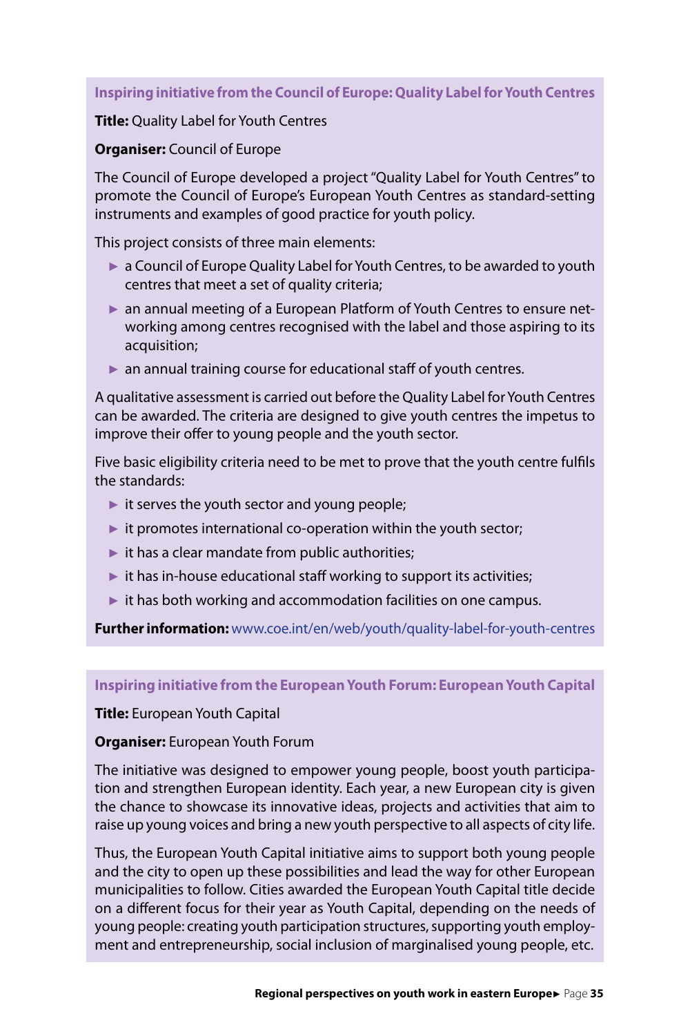#### **Inspiring initiative from the Council of Europe: Quality Label for Youth Centres**

#### **Title:** Quality Label for Youth Centres

#### **Organiser:** Council of Europe

The Council of Europe developed a project "Quality Label for Youth Centres" to promote the Council of Europe's European Youth Centres as standard-setting instruments and examples of good practice for youth policy.

This project consists of three main elements:

- ► a Council of Europe Quality Label for Youth Centres, to be awarded to youth centres that meet a [set of quality criteria](https://www.coe.int/web/youth/ql-how-to-apply1);
- an annual meeting of a European Platform of Youth Centres to ensure networking among centres recognised with the label and those aspiring to its acquisition;
- $\triangleright$  an annual training course for educational staff of youth centres.

A qualitative assessment is carried out before the Quality Label for Youth Centres can be awarded. The criteria are designed to give youth centres the impetus to improve their offer to young people and the youth sector.

Five basic eligibility criteria need to be met to prove that the youth centre fulfils the standards:

- $\blacktriangleright$  it serves the youth sector and young people;
- ► it promotes international co-operation within the youth sector;
- $\blacktriangleright$  it has a clear mandate from public authorities;
- $\triangleright$  it has in-house educational staff working to support its activities;
- $\triangleright$  it has both working and accommodation facilities on one campus.

**Further information:** [www.coe.int/en/web/youth/quality-label-for-youth-centres](http://www.coe.int/en/web/youth/quality-label-for-youth-centres)

**Inspiring initiative from the European Youth Forum: European Youth Capital**

#### **Title:** European Youth Capital

#### **Organiser:** European Youth Forum

The initiative was designed to empower young people, boost youth participation and strengthen European identity. Each year, a new European city is given the chance to showcase its innovative ideas, projects and activities that aim to raise up young voices and bring a new youth perspective to all aspects of city life.

Thus, the European Youth Capital initiative aims to support both young people and the city to open up these possibilities and lead the way for other European municipalities to follow. Cities awarded the European Youth Capital title decide on a different focus for their year as Youth Capital, depending on the needs of young people: creating youth participation structures, supporting youth employment and entrepreneurship, social inclusion of marginalised young people, etc.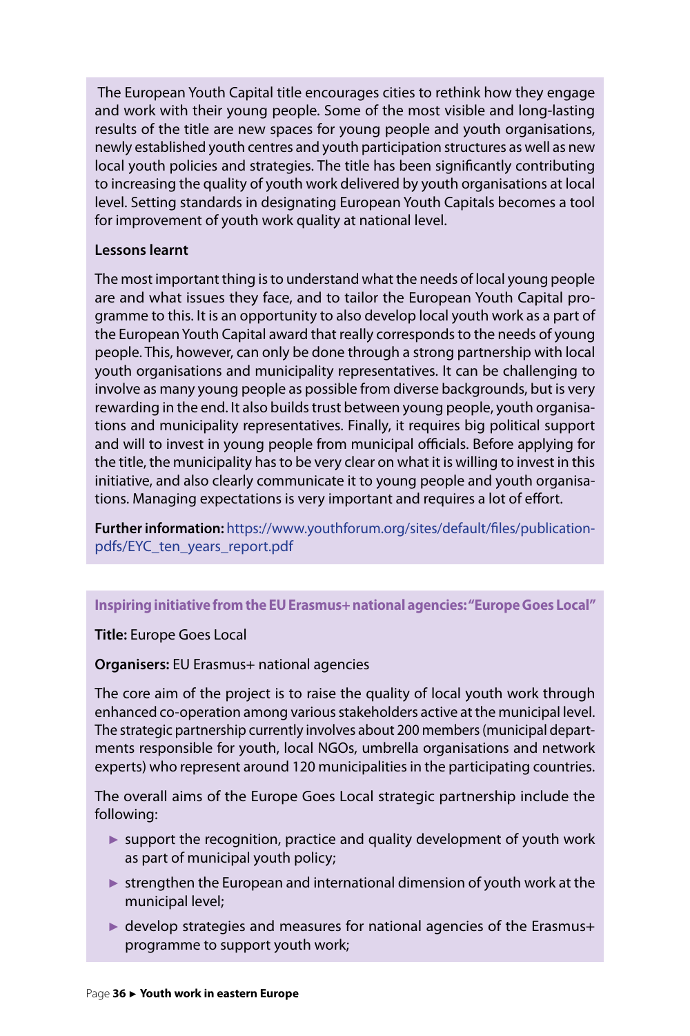The European Youth Capital title encourages cities to rethink how they engage and work with their young people. Some of the most visible and long-lasting results of the title are new spaces for young people and youth organisations, newly established youth centres and youth participation structures as well as new local youth policies and strategies. The title has been significantly contributing to increasing the quality of youth work delivered by youth organisations at local level. Setting standards in designating European Youth Capitals becomes a tool for improvement of youth work quality at national level.

#### **Lessons learnt**

The most important thing is to understand what the needs of local young people are and what issues they face, and to tailor the European Youth Capital programme to this. It is an opportunity to also develop local youth work as a part of the European Youth Capital award that really corresponds to the needs of young people. This, however, can only be done through a strong partnership with local youth organisations and municipality representatives. It can be challenging to involve as many young people as possible from diverse backgrounds, but is very rewarding in the end. It also builds trust between young people, youth organisations and municipality representatives. Finally, it requires big political support and will to invest in young people from municipal officials. Before applying for the title, the municipality has to be very clear on what it is willing to invest in this initiative, and also clearly communicate it to young people and youth organisations. Managing expectations is very important and requires a lot of effort.

**Further information:** [https://www.youthforum.org/sites/default/files/publication](https://www.youthforum.org/sites/default/files/publication-pdfs/EYC_ten_years_report.pdf)[pdfs/EYC\\_ten\\_years\\_report.pdf](https://www.youthforum.org/sites/default/files/publication-pdfs/EYC_ten_years_report.pdf)

#### **Inspiring initiative from the EU Erasmus+ national agencies: "Europe Goes Local"**

#### **Title:** Europe Goes Local

#### **Organisers:** EU Erasmus+ national agencies

The core aim of the project is to raise the quality of local youth work through enhanced co-operation among various stakeholders active at the municipal level. The strategic partnership currently involves about 200 members (municipal departments responsible for youth, local NGOs, umbrella organisations and network experts) who represent around 120 municipalities in the participating countries.

The overall aims of the Europe Goes Local strategic partnership include the following:

- ► support the recognition, practice and quality development of youth work as part of municipal youth policy;
- ► strengthen the European and international dimension of youth work at the municipal level;
- ► develop strategies and measures for national agencies of the Erasmus+ programme to support youth work;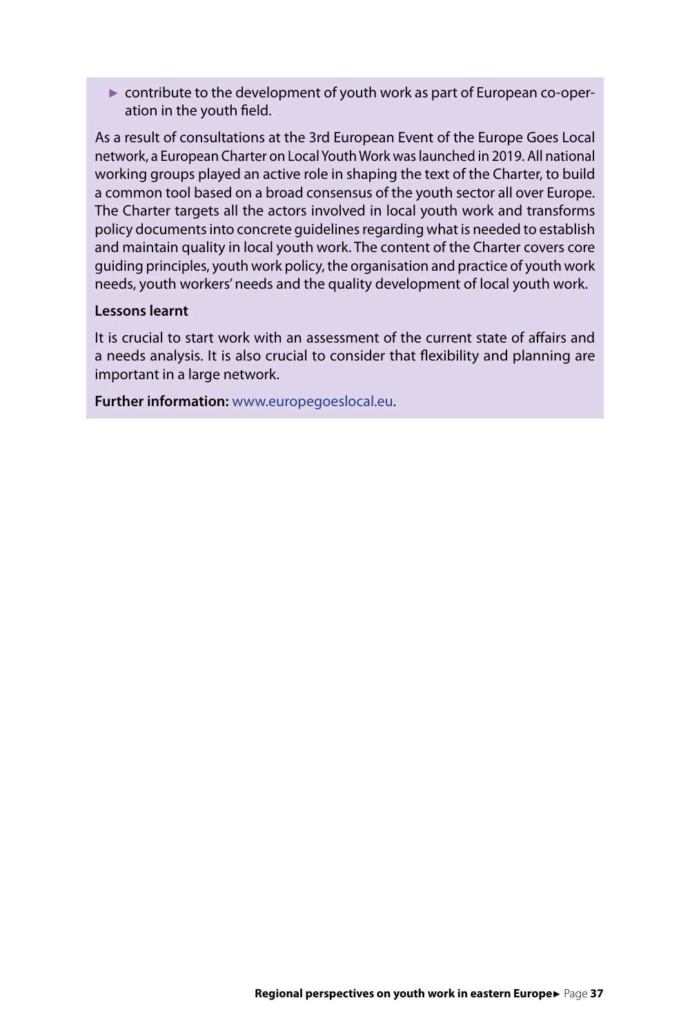► contribute to the development of youth work as part of European co-operation in the youth field.

As a result of consultations at the 3rd European Event of the Europe Goes Local network, a European Charter on Local Youth Work was launched in 2019. All national working groups played an active role in shaping the text of the Charter, to build a common tool based on a broad consensus of the youth sector all over Europe. The Charter targets all the actors involved in local youth work and transforms policy documents into concrete guidelines regarding what is needed to establish and maintain quality in local youth work. The content of the Charter covers core guiding principles, youth work policy, the organisation and practice of youth work needs, youth workers' needs and the quality development of local youth work.

#### **Lessons learnt**

It is crucial to start work with an assessment of the current state of affairs and a needs analysis. It is also crucial to consider that flexibility and planning are important in a large network.

**Further information:** [www.europegoeslocal.eu](http://www.europegoeslocal.eu).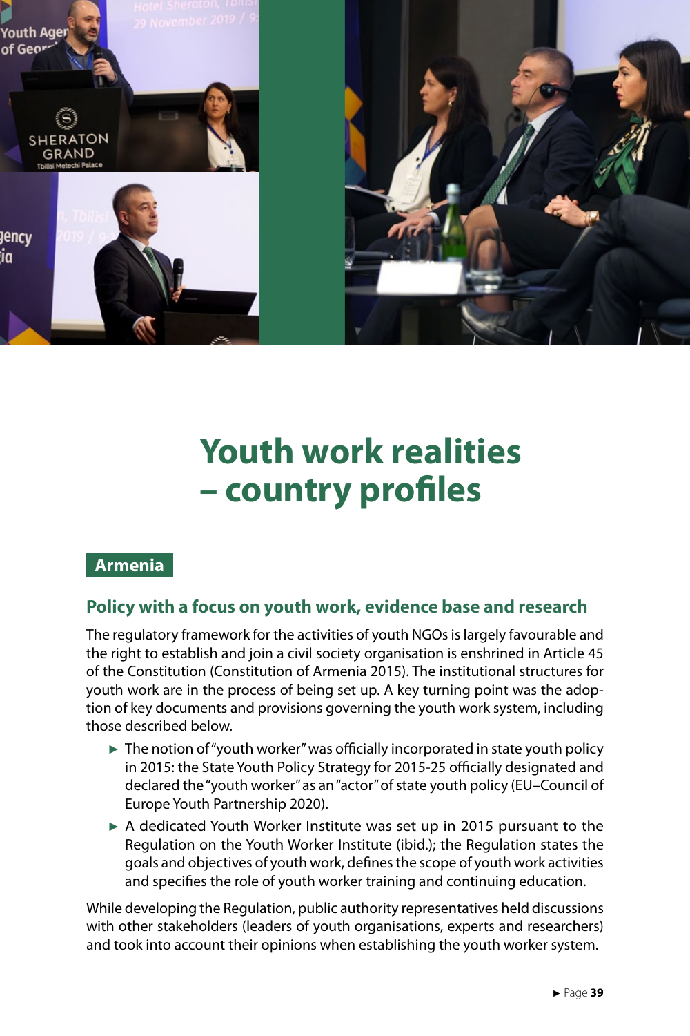<span id="page-39-0"></span>![](_page_39_Picture_0.jpeg)

# **Youth work realities – country profiles**

# **Armenia**

### **Policy with a focus on youth work, evidence base and research**

The regulatory framework for the activities of youth NGOs is largely favourable and the right to establish and join a civil society organisation is enshrined in Article 45 of the Constitution (Constitution of Armenia 2015). The institutional structures for youth work are in the process of being set up. A key turning point was the adoption of key documents and provisions governing the youth work system, including those described below.

- $\triangleright$  The notion of "youth worker" was officially incorporated in state youth policy in 2015: the State Youth Policy Strategy for 2015-25 officially designated and declared the "youth worker" as an "actor" of state youth policy (EU–Council of Europe Youth Partnership 2020).
- ► A dedicated Youth Worker Institute was set up in 2015 pursuant to the Regulation on the Youth Worker Institute (ibid.); the Regulation states the goals and objectives of youth work, defines the scope of youth work activities and specifies the role of youth worker training and continuing education.

While developing the Regulation, public authority representatives held discussions with other stakeholders (leaders of youth organisations, experts and researchers) and took into account their opinions when establishing the youth worker system.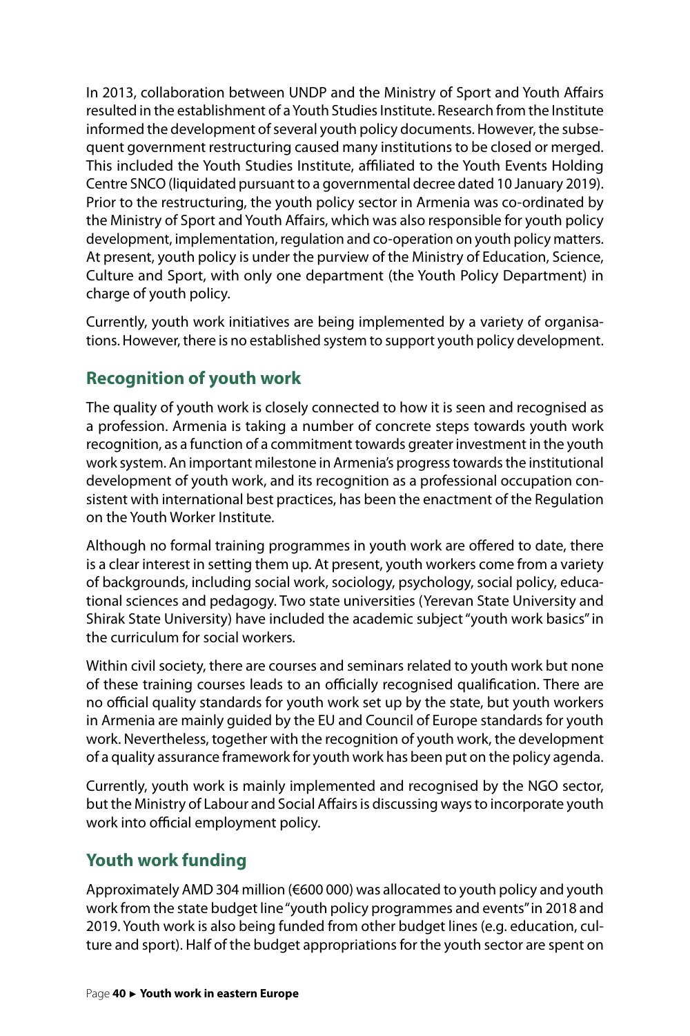In 2013, collaboration between UNDP and the Ministry of Sport and Youth Affairs resulted in the establishment of a Youth Studies Institute. Research from the Institute informed the development of several youth policy documents. However, the subsequent government restructuring caused many institutions to be closed or merged. This included the Youth Studies Institute, affiliated to the Youth Events Holding Centre SNCO (liquidated pursuant to a governmental decree dated 10 January 2019). Prior to the restructuring, the youth policy sector in Armenia was co-ordinated by the Ministry of Sport and Youth Affairs, which was also responsible for youth policy development, implementation, regulation and co-operation on youth policy matters. At present, youth policy is under the purview of the Ministry of Education, Science, Culture and Sport, with only one department (the Youth Policy Department) in charge of youth policy.

Currently, youth work initiatives are being implemented by a variety of organisations. However, there is no established system to support youth policy development.

# **Recognition of youth work**

The quality of youth work is closely connected to how it is seen and recognised as a profession. Armenia is taking a number of concrete steps towards youth work recognition, as a function of a commitment towards greater investment in the youth work system. An important milestone in Armenia's progress towards the institutional development of youth work, and its recognition as a professional occupation consistent with international best practices, has been the enactment of the Regulation on the Youth Worker Institute.

Although no formal training programmes in youth work are offered to date, there is a clear interest in setting them up. At present, youth workers come from a variety of backgrounds, including social work, sociology, psychology, social policy, educational sciences and pedagogy. Two state universities (Yerevan State University and Shirak State University) have included the academic subject "youth work basics" in the curriculum for social workers.

Within civil society, there are courses and seminars related to youth work but none of these training courses leads to an officially recognised qualification. There are no official quality standards for youth work set up by the state, but youth workers in Armenia are mainly guided by the EU and Council of Europe standards for youth work. Nevertheless, together with the recognition of youth work, the development of a quality assurance framework for youth work has been put on the policy agenda.

Currently, youth work is mainly implemented and recognised by the NGO sector, but the Ministry of Labour and Social Affairs is discussing ways to incorporate youth work into official employment policy.

# **Youth work funding**

Approximately AMD 304 million (€600 000) was allocated to youth policy and youth work from the state budget line "youth policy programmes and events" in 2018 and 2019. Youth work is also being funded from other budget lines (e.g. education, culture and sport). Half of the budget appropriations for the youth sector are spent on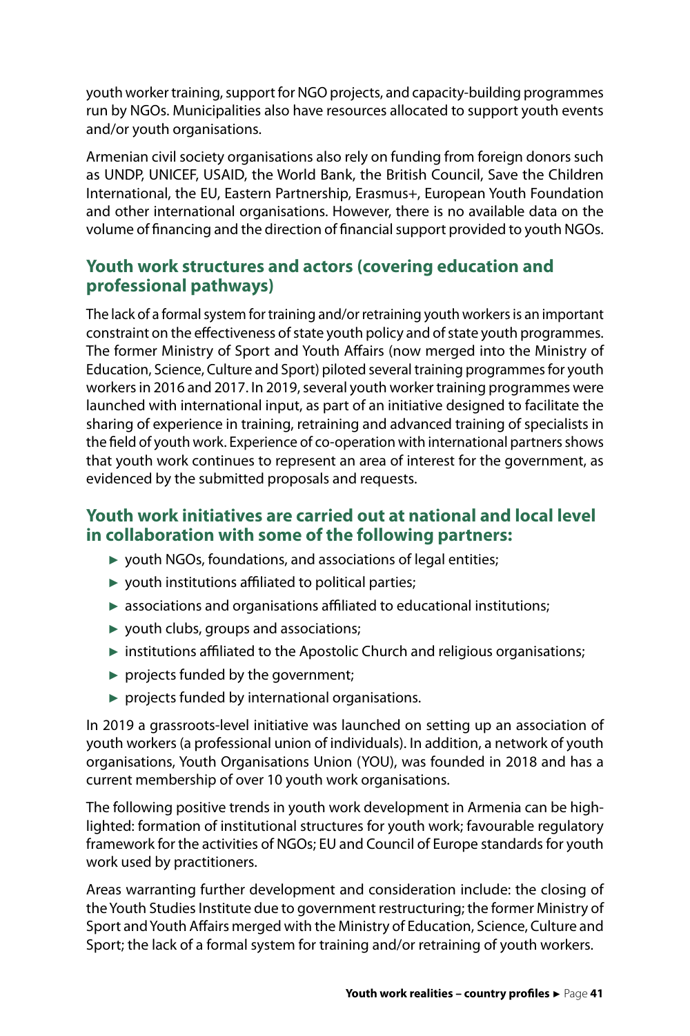youth worker training, support for NGO projects, and capacity-building programmes run by NGOs. Municipalities also have resources allocated to support youth events and/or youth organisations.

Armenian civil society organisations also rely on funding from foreign donors such as UNDP, UNICEF, USAID, the World Bank, the British Council, Save the Children International, the EU, Eastern Partnership, Erasmus+, European Youth Foundation and other international organisations. However, there is no available data on the volume of financing and the direction of financial support provided to youth NGOs.

# **Youth work structures and actors (covering education and professional pathways)**

The lack of a formal system for training and/or retraining youth workers is an important constraint on the effectiveness of state youth policy and of state youth programmes. The former Ministry of Sport and Youth Affairs (now merged into the Ministry of Education, Science, Culture and Sport) piloted several training programmes for youth workers in 2016 and 2017. In 2019, several youth worker training programmes were launched with international input, as part of an initiative designed to facilitate the sharing of experience in training, retraining and advanced training of specialists in the field of youth work. Experience of co-operation with international partners shows that youth work continues to represent an area of interest for the government, as evidenced by the submitted proposals and requests.

# **Youth work initiatives are carried out at national and local level in collaboration with some of the following partners:**

- ► youth NGOs, foundations, and associations of legal entities;
- $\triangleright$  youth institutions affiliated to political parties;
- ► associations and organisations affiliated to educational institutions;
- ► youth clubs, groups and associations;
- ► institutions affiliated to the Apostolic Church and religious organisations;
- $\blacktriangleright$  projects funded by the government;
- $\triangleright$  projects funded by international organisations.

In 2019 a grassroots-level initiative was launched on setting up an association of youth workers (a professional union of individuals). In addition, a network of youth organisations, Youth Organisations Union (YOU), was founded in 2018 and has a current membership of over 10 youth work organisations.

The following positive trends in youth work development in Armenia can be highlighted: formation of institutional structures for youth work; favourable regulatory framework for the activities of NGOs; EU and Council of Europe standards for youth work used by practitioners.

Areas warranting further development and consideration include: the closing of the Youth Studies Institute due to government restructuring; the former Ministry of Sport and Youth Affairs merged with the Ministry of Education, Science, Culture and Sport; the lack of a formal system for training and/or retraining of youth workers.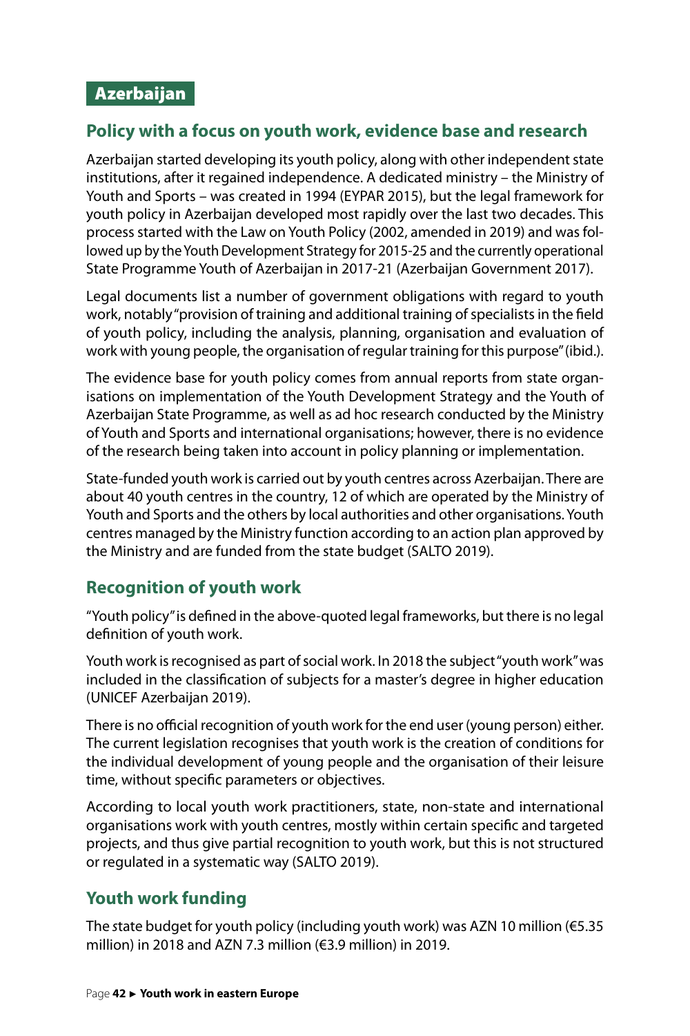# <span id="page-42-0"></span>**Policy with a focus on youth work, evidence base and research**

Azerbaijan started developing its youth policy, along with other independent state institutions, after it regained independence. A dedicated ministry – the Ministry of Youth and Sports – was created in 1994 (EYPAR 2015), but the legal framework for youth policy in Azerbaijan developed most rapidly over the last two decades. This process started with the Law on Youth Policy (2002, amended in 2019) and was followed up by the Youth Development Strategy for 2015-25 and the currently operational State Programme Youth of Azerbaijan in 2017-21 (Azerbaijan Government 2017).

Legal documents list a number of government obligations with regard to youth work, notably "provision of training and additional training of specialists in the field of youth policy, including the analysis, planning, organisation and evaluation of work with young people, the organisation of regular training for this purpose" (ibid.).

The evidence base for youth policy comes from annual reports from state organisations on implementation of the Youth Development Strategy and the Youth of Azerbaijan State Programme, as well as ad hoc research conducted by the Ministry of Youth and Sports and international organisations; however, there is no evidence of the research being taken into account in policy planning or implementation.

State-funded youth work is carried out by youth centres across Azerbaijan. There are about 40 youth centres in the country, 12 of which are operated by the Ministry of Youth and Sports and the others by local authorities and other organisations. Youth centres managed by the Ministry function according to an action plan approved by the Ministry and are funded from the state budget (SALTO 2019).

# **Recognition of youth work**

"Youth policy" is defined in the above-quoted legal frameworks, but there is no legal definition of youth work.

Youth work is recognised as part of social work. In 2018 the subject "youth work" was included in the classification of subjects for a master's degree in higher education (UNICEF Azerbaijan 2019).

There is no official recognition of youth work for the end user (young person) either. The current legislation recognises that youth work is the creation of conditions for the individual development of young people and the organisation of their leisure time, without specific parameters or objectives.

According to local youth work practitioners, state, non-state and international organisations work with youth centres, mostly within certain specific and targeted projects, and thus give partial recognition to youth work, but this is not structured or regulated in a systematic way (SALTO 2019).

# **Youth work funding**

The *s*tate budget for youth policy (including youth work) was AZN 10 million (€5.35 million) in 2018 and AZN 7.3 million (€3.9 million) in 2019.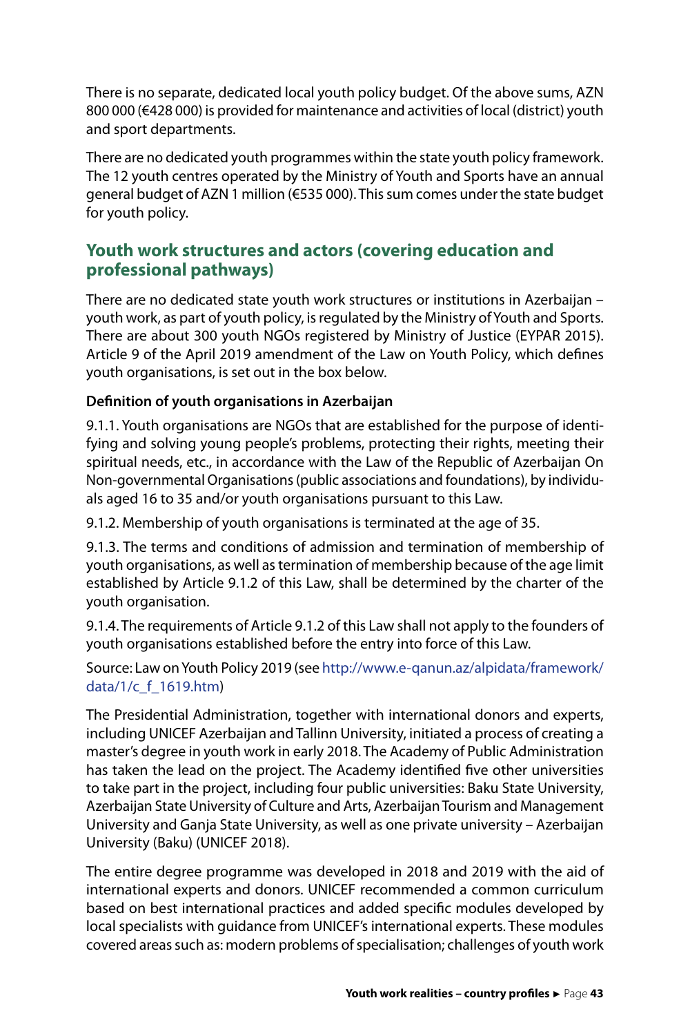There is no separate, dedicated local youth policy budget. Of the above sums, AZN 800 000 (€428 000) is provided for maintenance and activities of local (district) youth and sport departments.

There are no dedicated youth programmes within the state youth policy framework. The 12 youth centres operated by the Ministry of Youth and Sports have an annual general budget of AZN 1 million (€535 000). This sum comes under the state budget for youth policy.

### **Youth work structures and actors (covering education and professional pathways)**

There are no dedicated state youth work structures or institutions in Azerbaijan – youth work, as part of youth policy, is regulated by the Ministry of Youth and Sports. There are about 300 youth NGOs registered by Ministry of Justice (EYPAR 2015). Article 9 of the April 2019 amendment of the Law on Youth Policy, which defines youth organisations, is set out in the box below.

#### **Definition of youth organisations in Azerbaijan**

9.1.1. Youth organisations are NGOs that are established for the purpose of identifying and solving young people's problems, protecting their rights, meeting their spiritual needs, etc., in accordance with the Law of the Republic of Azerbaijan On Non-governmental Organisations (public associations and foundations), by individuals aged 16 to 35 and/or youth organisations pursuant to this Law.

9.1.2. Membership of youth organisations is terminated at the age of 35.

9.1.3. The terms and conditions of admission and termination of membership of youth organisations, as well as termination of membership because of the age limit established by Article 9.1.2 of this Law, shall be determined by the charter of the youth organisation.

9.1.4. The requirements of Article 9.1.2 of this Law shall not apply to the founders of youth organisations established before the entry into force of this Law.

Source: Law on Youth Policy 2019 (see [http://www.e-qanun.az/alpidata/framework/](http://www.e-qanun.az/alpidata/framework/data/1/c_f_1619.htm) [data/1/c\\_f\\_1619.htm](http://www.e-qanun.az/alpidata/framework/data/1/c_f_1619.htm))

The Presidential Administration, together with international donors and experts, including UNICEF Azerbaijan and Tallinn University, initiated a process of creating a master's degree in youth work in early 2018. The Academy of Public Administration has taken the lead on the project. The Academy identified five other universities to take part in the project, including four public universities: Baku State University, Azerbaijan State University of Culture and Arts, Azerbaijan Tourism and Management University and Ganja State University, as well as one private university – Azerbaijan University (Baku) (UNICEF 2018).

The entire degree programme was developed in 2018 and 2019 with the aid of international experts and donors. UNICEF recommended a common curriculum based on best international practices and added specific modules developed by local specialists with guidance from UNICEF's international experts. These modules covered areas such as: modern problems of specialisation; challenges of youth work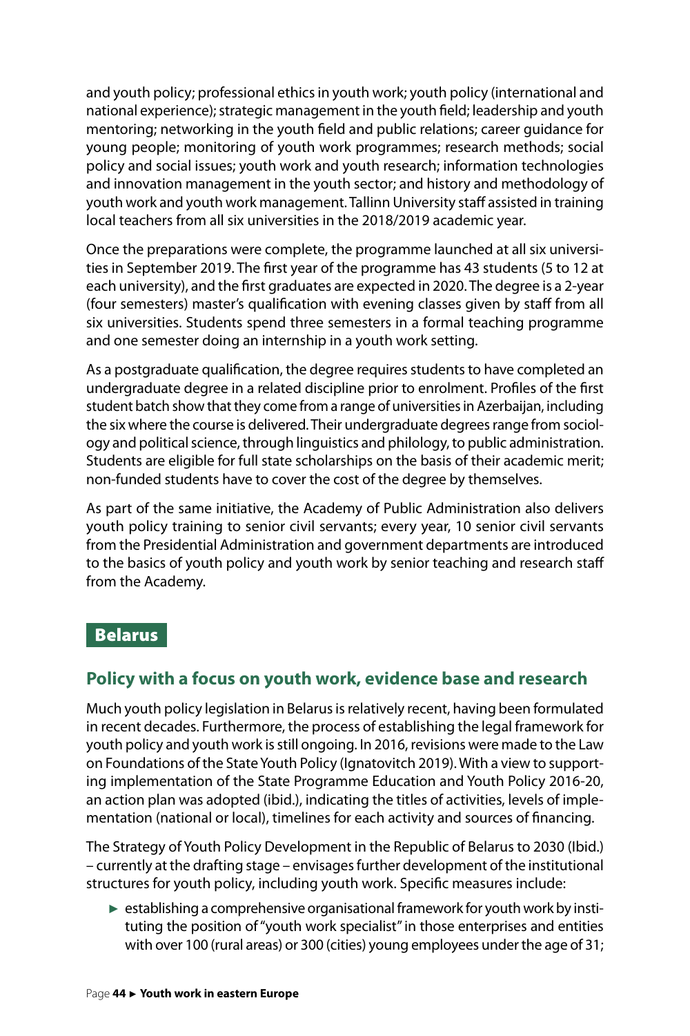<span id="page-44-0"></span>and youth policy; professional ethics in youth work; youth policy (international and national experience); strategic management in the youth field; leadership and youth mentoring; networking in the youth field and public relations; career guidance for young people; monitoring of youth work programmes; research methods; social policy and social issues; youth work and youth research; information technologies and innovation management in the youth sector; and history and methodology of youth work and youth work management. Tallinn University staff assisted in training local teachers from all six universities in the 2018/2019 academic year.

Once the preparations were complete, the programme launched at all six universities in September 2019. The first year of the programme has 43 students (5 to 12 at each university), and the first graduates are expected in 2020. The degree is a 2-year (four semesters) master's qualification with evening classes given by staff from all six universities. Students spend three semesters in a formal teaching programme and one semester doing an internship in a youth work setting.

As a postgraduate qualification, the degree requires students to have completed an undergraduate degree in a related discipline prior to enrolment. Profiles of the first student batch show that they come from a range of universities in Azerbaijan, including the six where the course is delivered. Their undergraduate degrees range from sociology and political science, through linguistics and philology, to public administration. Students are eligible for full state scholarships on the basis of their academic merit; non-funded students have to cover the cost of the degree by themselves.

As part of the same initiative, the Academy of Public Administration also delivers youth policy training to senior civil servants; every year, 10 senior civil servants from the Presidential Administration and government departments are introduced to the basics of youth policy and youth work by senior teaching and research staff from the Academy.

#### Belarus

### **Policy with a focus on youth work, evidence base and research**

Much youth policy legislation in Belarus is relatively recent, having been formulated in recent decades. Furthermore, the process of establishing the legal framework for youth policy and youth work is still ongoing. In 2016, revisions were made to the Law on Foundations of the State Youth Policy (Ignatovitch 2019). With a view to supporting implementation of the State Programme Education and Youth Policy 2016-20, an action plan was adopted (ibid.), indicating the titles of activities, levels of implementation (national or local), timelines for each activity and sources of financing.

The Strategy of Youth Policy Development in the Republic of Belarus to 2030 (Ibid.) – currently at the drafting stage – envisages further development of the institutional structures for youth policy, including youth work. Specific measures include:

► establishing a comprehensive organisational framework for youth work by instituting the position of "youth work specialist" in those enterprises and entities with over 100 (rural areas) or 300 (cities) young employees under the age of 31;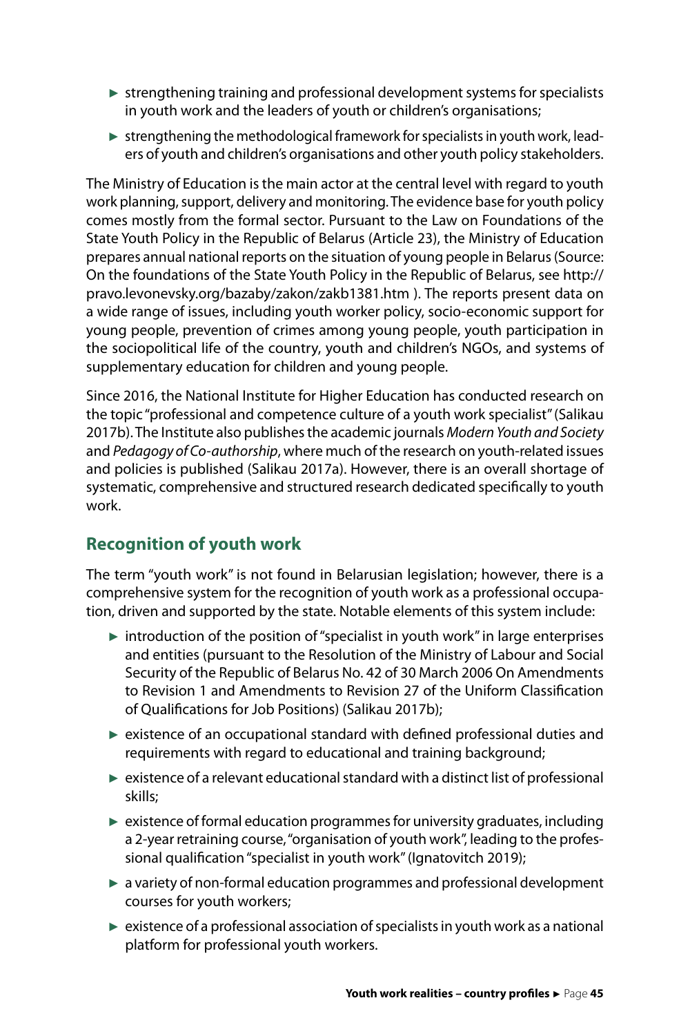- $\triangleright$  strengthening training and professional development systems for specialists in youth work and the leaders of youth or children's organisations;
- $\triangleright$  strengthening the methodological framework for specialists in youth work, leaders of youth and children's organisations and other youth policy stakeholders.

The Ministry of Education is the main actor at the central level with regard to youth work planning, support, delivery and monitoring. The evidence base for youth policy comes mostly from the formal sector. Pursuant to the Law on Foundations of the State Youth Policy in the Republic of Belarus (Article 23), the Ministry of Education prepares annual national reports on the situation of young people in Belarus (Source: On the foundations of the State Youth Policy in the Republic of Belarus, see [http://](http://pravo.levonevsky.org/bazaby/zakon/zakb1381.htm) [pravo.levonevsky.org/bazaby/zakon/zakb1381.htm](http://pravo.levonevsky.org/bazaby/zakon/zakb1381.htm) ). The reports present data on a wide range of issues, including youth worker policy, socio-economic support for young people, prevention of crimes among young people, youth participation in the sociopolitical life of the country, youth and children's NGOs, and systems of supplementary education for children and young people.

Since 2016, the National Institute for Higher Education has conducted research on the topic "professional and competence culture of a youth work specialist" (Salikau 2017b). The Institute also publishes the academic journals *Modern Youth and Society* and *Pedagogy of Co-authorship*, where much of the research on youth-related issues and policies is published (Salikau 2017a). However, there is an overall shortage of systematic, comprehensive and structured research dedicated specifically to youth work.

# **Recognition of youth work**

The term "youth work" is not found in Belarusian legislation; however, there is a comprehensive system for the recognition of youth work as a professional occupation, driven and supported by the state. Notable elements of this system include:

- $\triangleright$  introduction of the position of "specialist in youth work" in large enterprises and entities (pursuant to the Resolution of the Ministry of Labour and Social Security of the Republic of Belarus No. 42 of 30 March 2006 On Amendments to Revision 1 and Amendments to Revision 27 of the Uniform Classification of Qualifications for Job Positions) (Salikau 2017b);
- ► existence of an occupational standard with defined professional duties and requirements with regard to educational and training background;
- $\triangleright$  existence of a relevant educational standard with a distinct list of professional skills;
- $\triangleright$  existence of formal education programmes for university graduates, including a 2-year retraining course, "organisation of youth work", leading to the professional qualification "specialist in youth work" (Ignatovitch 2019);
- ► a variety of non-formal education programmes and professional development courses for youth workers;
- ► existence of a professional association of specialists in youth work as a national platform for professional youth workers.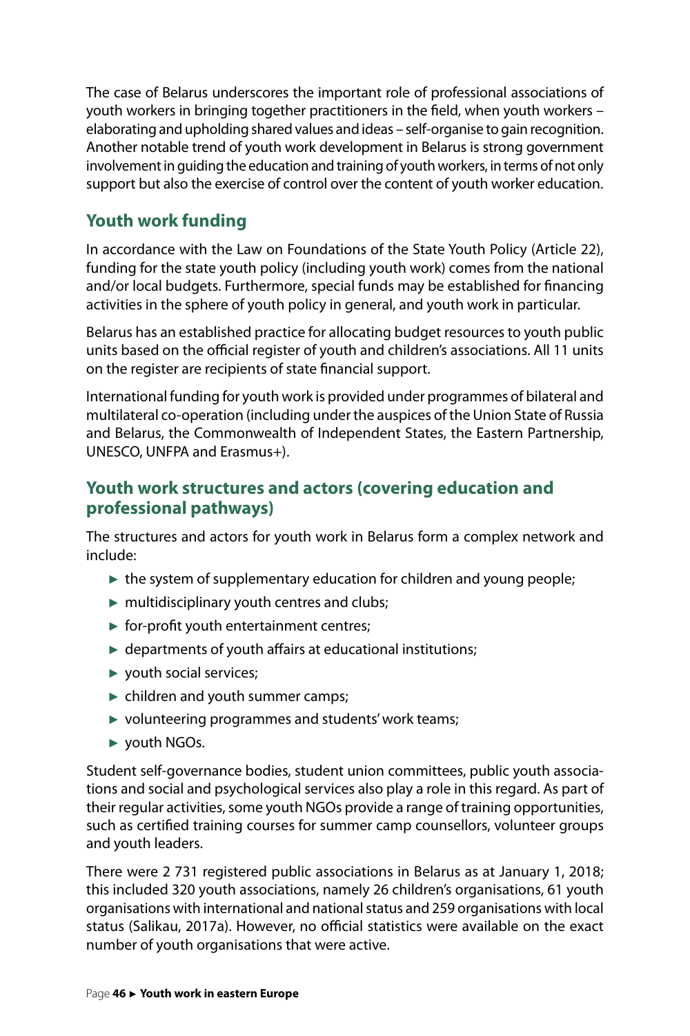The case of Belarus underscores the important role of professional associations of youth workers in bringing together practitioners in the field, when youth workers – elaborating and upholding shared values and ideas – self-organise to gain recognition. Another notable trend of youth work development in Belarus is strong government involvement in guiding the education and training of youth workers, in terms of not only support but also the exercise of control over the content of youth worker education.

# **Youth work funding**

In accordance with the Law on Foundations of the State Youth Policy (Article 22), funding for the state youth policy (including youth work) comes from the national and/or local budgets. Furthermore, special funds may be established for financing activities in the sphere of youth policy in general, and youth work in particular.

Belarus has an established practice for allocating budget resources to youth public units based on the official register of youth and children's associations. All 11 units on the register are recipients of state financial support.

International funding for youth work is provided under programmes of bilateral and multilateral co-operation (including under the auspices of the Union State of Russia and Belarus, the Commonwealth of Independent States, the Eastern Partnership, UNESCO, UNFPA and Erasmus+).

## **Youth work structures and actors (covering education and professional pathways)**

The structures and actors for youth work in Belarus form a complex network and include:

- $\triangleright$  the system of supplementary education for children and young people;
- $\blacktriangleright$  multidisciplinary youth centres and clubs;
- $\triangleright$  for-profit youth entertainment centres;
- $\blacktriangleright$  departments of youth affairs at educational institutions;
- ► youth social services;
- ► children and youth summer camps;
- ► volunteering programmes and students' work teams;
- ► youth NGOs.

Student self-governance bodies, student union committees, public youth associations and social and psychological services also play a role in this regard. As part of their regular activities, some youth NGOs provide a range of training opportunities, such as certified training courses for summer camp counsellors, volunteer groups and youth leaders.

There were 2 731 registered public associations in Belarus as at January 1, 2018; this included 320 youth associations, namely 26 children's organisations, 61 youth organisations with international and national status and 259 organisations with local status (Salikau, 2017a). However, no official statistics were available on the exact number of youth organisations that were active.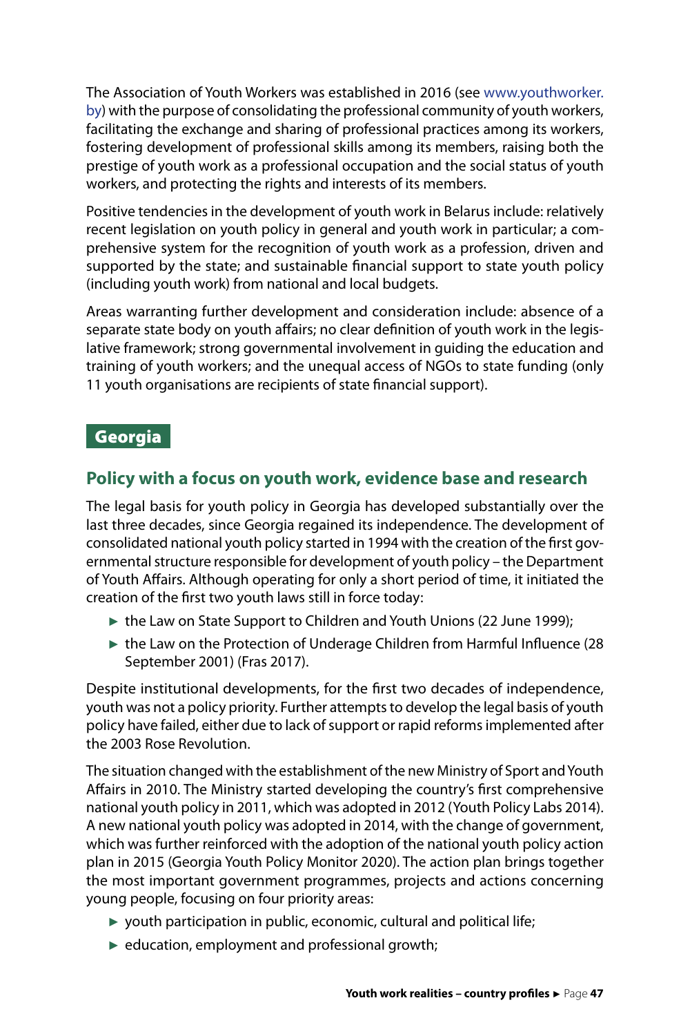<span id="page-47-0"></span>The Association of Youth Workers was established in 2016 (see [www.youthworker.](http://www.youthworker.by) [by\)](http://www.youthworker.by) with the purpose of consolidating the professional community of youth workers, facilitating the exchange and sharing of professional practices among its workers, fostering development of professional skills among its members, raising both the prestige of youth work as a professional occupation and the social status of youth workers, and protecting the rights and interests of its members.

Positive tendencies in the development of youth work in Belarus include: relatively recent legislation on youth policy in general and youth work in particular; a comprehensive system for the recognition of youth work as a profession, driven and supported by the state; and sustainable financial support to state youth policy (including youth work) from national and local budgets.

Areas warranting further development and consideration include: absence of a separate state body on youth affairs; no clear definition of youth work in the legislative framework; strong governmental involvement in guiding the education and training of youth workers; and the unequal access of NGOs to state funding (only 11 youth organisations are recipients of state financial support).

### Georgia

# **Policy with a focus on youth work, evidence base and research**

The legal basis for youth policy in Georgia has developed substantially over the last three decades, since Georgia regained its independence. The development of consolidated national youth policy started in 1994 with the creation of the first governmental structure responsible for development of youth policy – the Department of Youth Affairs. Although operating for only a short period of time, it initiated the creation of the first two youth laws still in force today:

- the Law on State Support to Children and Youth Unions (22 June 1999);
- ► the Law on the Protection of Underage Children from Harmful Influence (28 September 2001) (Fras 2017).

Despite institutional developments, for the first two decades of independence, youth was not a policy priority. Further attempts to develop the legal basis of youth policy have failed, either due to lack of support or rapid reforms implemented after the 2003 Rose Revolution.

The situation changed with the establishment of the new Ministry of Sport and Youth Affairs in 2010. The Ministry started developing the country's first comprehensive national youth policy in 2011, which was adopted in 2012 (Youth Policy Labs 2014). A new national youth policy was adopted in 2014, with the change of government, which was further reinforced with the adoption of the national youth policy action plan in 2015 (Georgia Youth Policy Monitor 2020). The action plan brings together the most important government programmes, projects and actions concerning young people, focusing on four priority areas:

- $\triangleright$  youth participation in public, economic, cultural and political life;
- $\blacktriangleright$  education, employment and professional growth;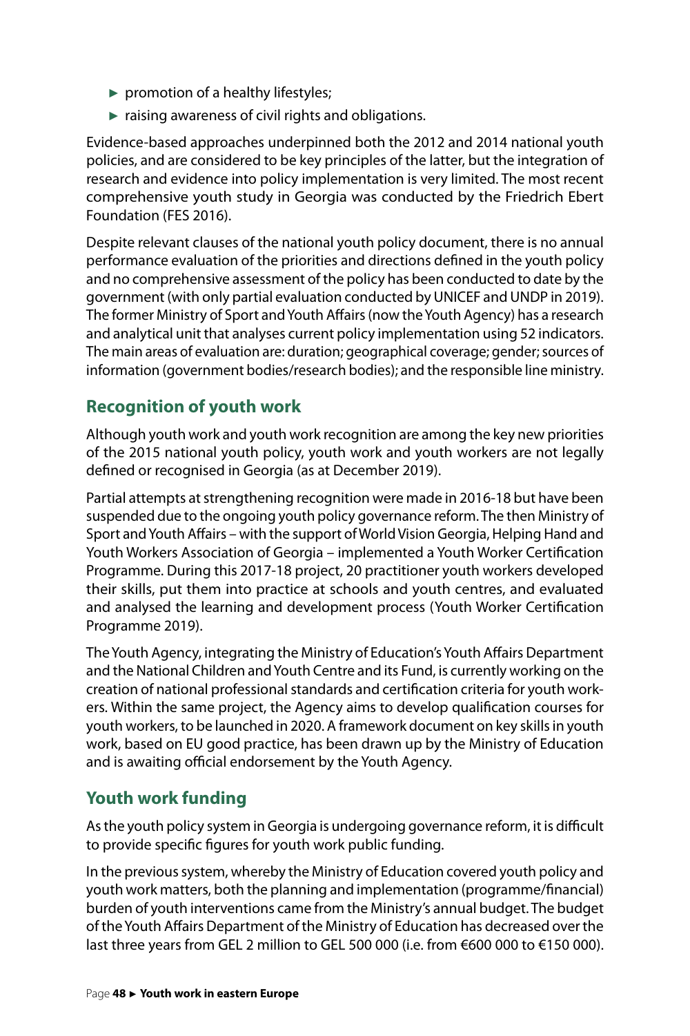- ► promotion of a healthy lifestyles;
- $\blacktriangleright$  raising awareness of civil rights and obligations.

Evidence-based approaches underpinned both the 2012 and 2014 national youth policies, and are considered to be key principles of the latter, but the integration of research and evidence into policy implementation is very limited. The most recent comprehensive youth study in Georgia was conducted by the Friedrich Ebert Foundation (FES 2016).

Despite relevant clauses of the national youth policy document, there is no annual performance evaluation of the priorities and directions defined in the youth policy and no comprehensive assessment of the policy has been conducted to date by the government (with only partial evaluation conducted by UNICEF and UNDP in 2019). The former Ministry of Sport and Youth Affairs (now the Youth Agency) has a research and analytical unit that analyses current policy implementation using 52 indicators. The main areas of evaluation are: duration; geographical coverage; gender; sources of information (government bodies/research bodies); and the responsible line ministry.

# **Recognition of youth work**

Although youth work and youth work recognition are among the key new priorities of the 2015 national youth policy, youth work and youth workers are not legally defined or recognised in Georgia (as at December 2019).

Partial attempts at strengthening recognition were made in 2016-18 but have been suspended due to the ongoing youth policy governance reform. The then Ministry of Sport and Youth Affairs – with the support of World Vision Georgia, Helping Hand and Youth Workers Association of Georgia – implemented a Youth Worker Certification Programme. During this 2017-18 project, 20 practitioner youth workers developed their skills, put them into practice at schools and youth centres, and evaluated and analysed the learning and development process (Youth Worker Certification Programme 2019).

The Youth Agency, integrating the Ministry of Education's Youth Affairs Department and the National Children and Youth Centre and its Fund, is currently working on the creation of national professional standards and certification criteria for youth workers. Within the same project, the Agency aims to develop qualification courses for youth workers, to be launched in 2020. A framework document on key skills in youth work, based on EU good practice, has been drawn up by the Ministry of Education and is awaiting official endorsement by the Youth Agency.

# **Youth work funding**

As the youth policy system in Georgia is undergoing governance reform, it is difficult to provide specific figures for youth work public funding.

In the previous system, whereby the Ministry of Education covered youth policy and youth work matters, both the planning and implementation (programme/financial) burden of youth interventions came from the Ministry's annual budget. The budget of the Youth Affairs Department of the Ministry of Education has decreased over the last three years from GEL 2 million to GEL 500 000 (i.e. from €600 000 to €150 000).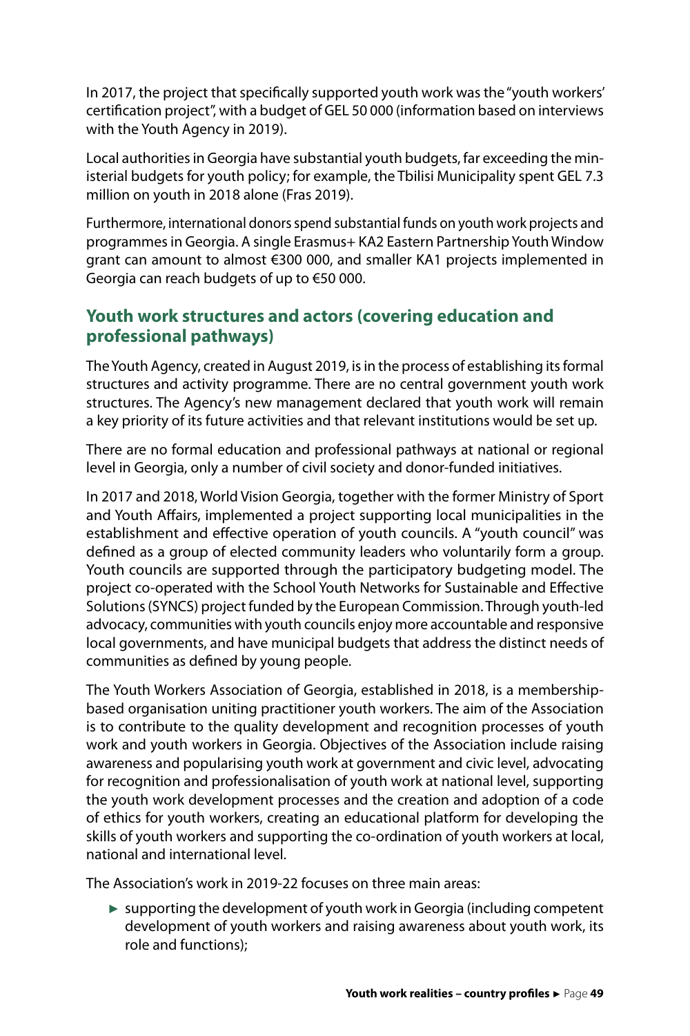In 2017, the project that specifically supported youth work was the "youth workers' certification project", with a budget of GEL 50 000 (information based on interviews with the Youth Agency in 2019).

Local authorities in Georgia have substantial youth budgets, far exceeding the ministerial budgets for youth policy; for example, the Tbilisi Municipality spent GEL 7.3 million on youth in 2018 alone (Fras 2019).

Furthermore, international donors spend substantial funds on youth work projects and programmes in Georgia. A single Erasmus+ KA2 Eastern Partnership Youth Window grant can amount to almost €300 000, and smaller KA1 projects implemented in Georgia can reach budgets of up to €50 000.

### **Youth work structures and actors (covering education and professional pathways)**

The Youth Agency, created in August 2019, is in the process of establishing its formal structures and activity programme. There are no central government youth work structures. The Agency's new management declared that youth work will remain a key priority of its future activities and that relevant institutions would be set up.

There are no formal education and professional pathways at national or regional level in Georgia, only a number of civil society and donor-funded initiatives.

In 2017 and 2018, World Vision Georgia, together with the former Ministry of Sport and Youth Affairs, implemented a project supporting local municipalities in the establishment and effective operation of youth councils. A "youth council" was defined as a group of elected community leaders who voluntarily form a group. Youth councils are supported through the participatory budgeting model. The project co-operated with the School Youth Networks for Sustainable and Effective Solutions (SYNCS) project funded by the European Commission. Through youth-led advocacy, communities with youth councils enjoy more accountable and responsive local governments, and have municipal budgets that address the distinct needs of communities as defined by young people.

The Youth Workers Association of Georgia, established in 2018, is a membershipbased organisation uniting practitioner youth workers. The aim of the Association is to contribute to the quality development and recognition processes of youth work and youth workers in Georgia. Objectives of the Association include raising awareness and popularising youth work at government and civic level, advocating for recognition and professionalisation of youth work at national level, supporting the youth work development processes and the creation and adoption of a code of ethics for youth workers, creating an educational platform for developing the skills of youth workers and supporting the co-ordination of youth workers at local, national and international level.

The Association's work in 2019-22 focuses on three main areas:

► supporting the development of youth work in Georgia (including competent development of youth workers and raising awareness about youth work, its role and functions);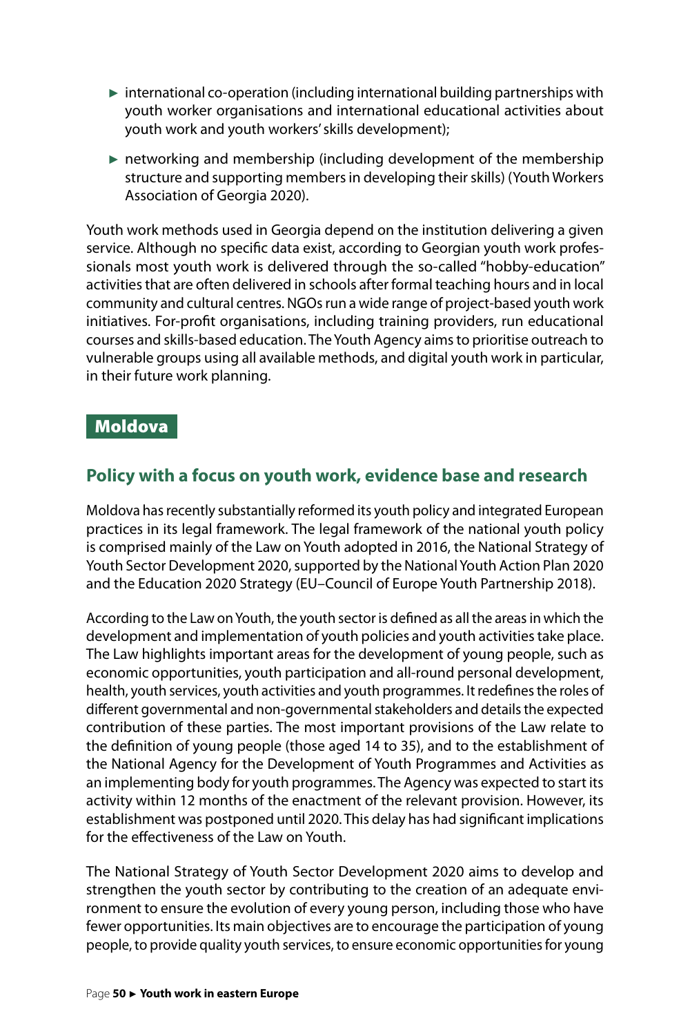- <span id="page-50-0"></span> $\triangleright$  international co-operation (including international building partnerships with youth worker organisations and international educational activities about youth work and youth workers' skills development);
- ► networking and membership (including development of the membership structure and supporting members in developing their skills) (Youth Workers Association of Georgia 2020).

Youth work methods used in Georgia depend on the institution delivering a given service. Although no specific data exist, according to Georgian youth work professionals most youth work is delivered through the so-called "hobby-education" activities that are often delivered in schools after formal teaching hours and in local community and cultural centres. NGOs run a wide range of project-based youth work initiatives. For-profit organisations, including training providers, run educational courses and skills-based education. The Youth Agency aims to prioritise outreach to vulnerable groups using all available methods, and digital youth work in particular, in their future work planning.

#### Moldova

# **Policy with a focus on youth work, evidence base and research**

Moldova has recently substantially reformed its youth policy and integrated European practices in its legal framework. The legal framework of the national youth policy is comprised mainly of the Law on Youth adopted in 2016, the National Strategy of Youth Sector Development 2020, supported by the National Youth Action Plan 2020 and the Education 2020 Strategy (EU–Council of Europe Youth Partnership 2018).

According to the Law on Youth, the youth sector is defined as all the areas in which the development and implementation of youth policies and youth activities take place. The Law highlights important areas for the development of young people, such as economic opportunities, youth participation and all-round personal development, health, youth services, youth activities and youth programmes. It redefines the roles of different governmental and non-governmental stakeholders and details the expected contribution of these parties. The most important provisions of the Law relate to the definition of young people (those aged 14 to 35), and to the establishment of the National Agency for the Development of Youth Programmes and Activities as an implementing body for youth programmes. The Agency was expected to start its activity within 12 months of the enactment of the relevant provision. However, its establishment was postponed until 2020. This delay has had significant implications for the effectiveness of the Law on Youth.

The National Strategy of Youth Sector Development 2020 aims to develop and strengthen the youth sector by contributing to the creation of an adequate environment to ensure the evolution of every young person, including those who have fewer opportunities. Its main objectives are to encourage the participation of young people, to provide quality youth services, to ensure economic opportunities for young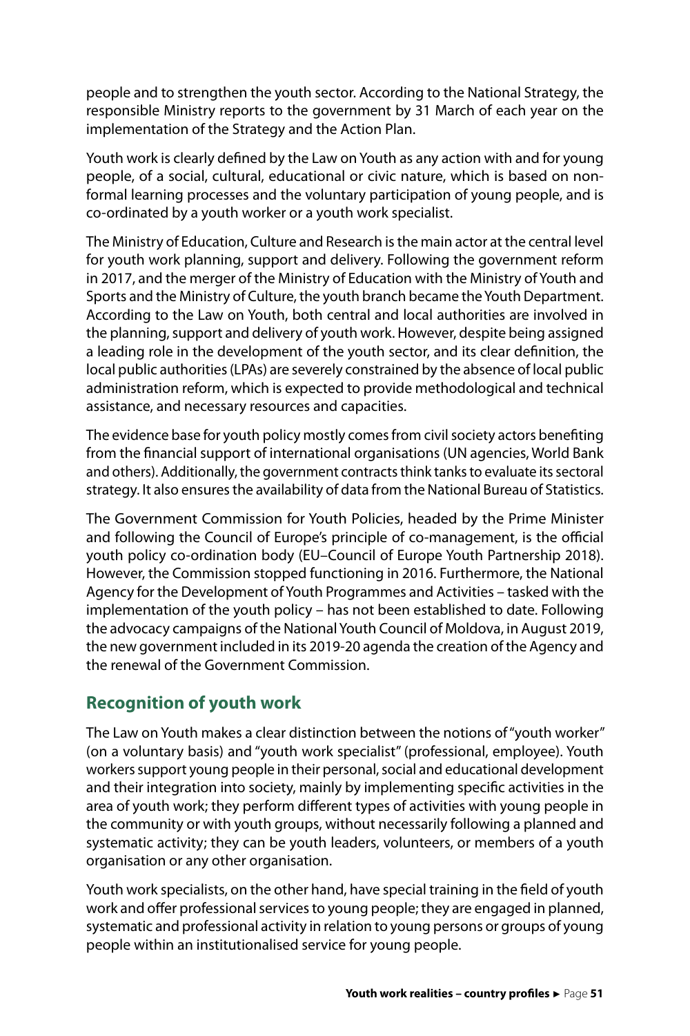people and to strengthen the youth sector. According to the National Strategy, the responsible Ministry reports to the government by 31 March of each year o[n the](https://mecc.gov.md/content/raportarea-autoritatilor-publice-centrale-si-locale-de-nivel-ii-pentru-sndst-2020)  [implementation of the Strategy and the Action Plan](https://mecc.gov.md/content/raportarea-autoritatilor-publice-centrale-si-locale-de-nivel-ii-pentru-sndst-2020).

Youth work is clearly defined by the Law on Youth as any action with and for young people, of a social, cultural, educational or civic nature, which is based on nonformal learning processes and the voluntary participation of young people, and is co-ordinated by a youth worker or a youth work specialist.

The Ministry of Education, Culture and Research is the main actor at the central level for youth work planning, support and delivery. Following the government reform in 2017, and the merger of the Ministry of Education with the Ministry of Youth and Sports and the Ministry of Culture, the youth branch became the Youth Department. According to the Law on Youth, both central and local authorities are involved in the planning, support and delivery of youth work. However, despite being assigned a leading role in the development of the youth sector, and its clear definition, the local public authorities (LPAs) are severely constrained by the absence of local public administration reform, which is expected to provide methodological and technical assistance, and necessary resources and capacities.

The evidence base for youth policy mostly comes from civil society actors benefiting from the financial support of international organisations (UN agencies, World Bank and others). Additionally, the government contracts think tanks to evaluate its sectoral strategy. It also ensures the availability of data from the National Bureau of Statistics.

The Government Commission for Youth Policies, headed by the Prime Minister and following the Council of Europe's principle of co-management, is the official youth policy co-ordination body (EU–Council of Europe Youth Partnership 2018). However, the Commission stopped functioning in 2016. Furthermore, the National Agency for the Development of Youth Programmes and Activities – tasked with the implementation of the youth policy – has not been established to date. Following the advocacy campaigns of the National Youth Council of Moldova, in August 2019, the new government included in its 2019-20 agenda the creation of the Agency and the renewal of the Government Commission.

# **Recognition of youth work**

The Law on Youth makes a clear distinction between the notions of "youth worker" (on a voluntary basis) and "youth work specialist" (professional, employee). Youth workers support young people in their personal, social and educational development and their integration into society, mainly by implementing specific activities in the area of youth work; they perform different types of activities with young people in the community or with youth groups, without necessarily following a planned and systematic activity; they can be youth leaders, volunteers, or members of a youth organisation or any other organisation.

Youth work specialists, on the other hand, have special training in the field of youth work and offer professional services to young people; they are engaged in planned, systematic and professional activity in relation to young persons or groups of young people within an institutionalised service for young people.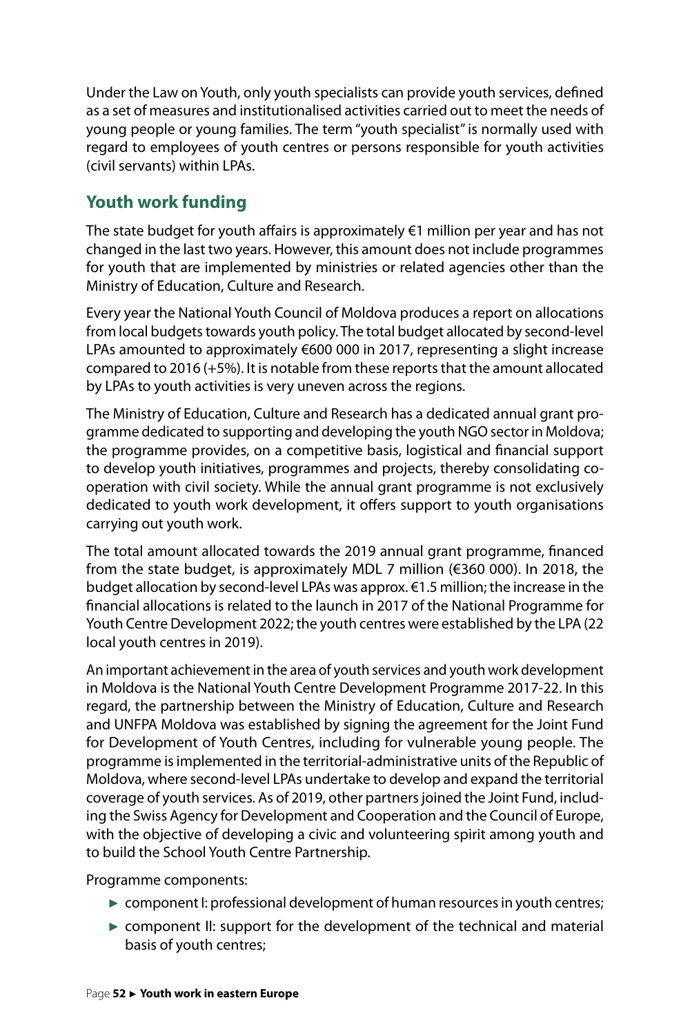Under the Law on Youth, only youth specialists can provide youth services, defined as a set of measures and institutionalised activities carried out to meet the needs of young people or young families. The term "youth specialist" is normally used with regard to employees of youth centres or persons responsible for youth activities (civil servants) within LPAs.

# **Youth work funding**

The state budget for youth affairs is approximately  $\epsilon$ 1 million per year and has not changed in the last two years. However, this amount does not include programmes for youth that are implemented by ministries or related agencies other than the Ministry of Education, Culture and Research.

Every year the National Youth Council of Moldova produces a report on allocations from local budgets towards youth policy. The total budget allocated by second-level LPAs amounted to approximately €600 000 in 2017, representing a slight increase compared to 2016 (+5%). It is notable from these reports that the amount allocated by LPAs to youth activities is very uneven across the regions.

The Ministry of Education, Culture and Research has a dedicated annual grant programme dedicated to supporting and developing the youth NGO sector in Moldova; the programme provides, on a competitive basis, logistical and financial support to develop youth initiatives, programmes and projects, thereby consolidating cooperation with civil society. While the annual grant programme is not exclusively dedicated to youth work development, it offers support to youth organisations carrying out youth work.

The total amount allocated towards the 2019 annual grant programme, financed from the state budget, is approximately MDL 7 million (€360 000). In 2018, the budget allocation by second-level LPAs was approx. €1.5 million; the increase in the financial allocations is related to the launch in 2017 of the National Programme for Youth Centre Development 2022; the youth centres were established by the LPA (22 local youth centres in 2019).

An important achievement in the area of youth services and youth work development in Moldova is the National Youth Centre Development Programme 2017-22. In this regard, the partnership between the Ministry of Education, Culture and Research and UNFPA Moldova was established by signing the agreement for the Joint Fund for Development of Youth Centres, including for vulnerable young people. The programme is implemented in the territorial-administrative units of the Republic of Moldova, where second-level LPAs undertake to develop and expand the territorial coverage of youth services. As of 2019, other partners joined the Joint Fund, including the Swiss Agency for Development and Cooperation and the Council of Europe, with the objective of developing a civic and volunteering spirit among youth and to build the School Youth Centre Partnership.

Programme components:

- ► component I: professional development of human resources in youth centres;
- ► component II: support for the development of the technical and material basis of youth centres;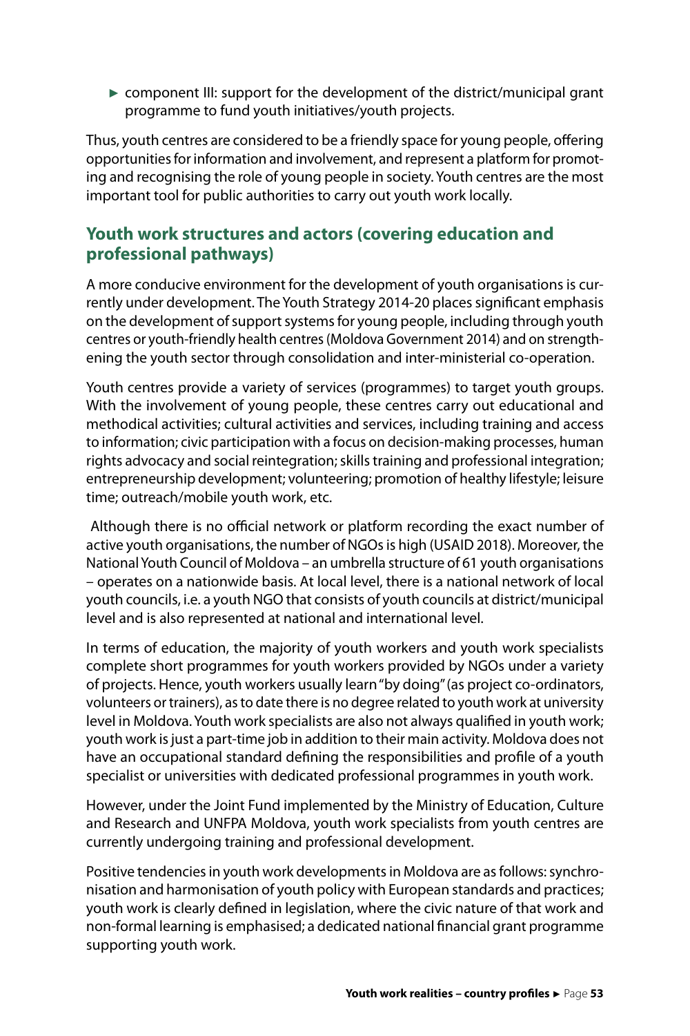► component III: support for the development of the district/municipal grant programme to fund youth initiatives/youth projects.

Thus, youth centres are considered to be a friendly space for young people, offering opportunities for information and involvement, and represent a platform for promoting and recognising the role of young people in society. Youth centres are the most important tool for public authorities to carry out youth work locally.

### **Youth work structures and actors (covering education and professional pathways)**

A more conducive environment for the development of youth organisations is currently under development. The Youth Strategy 2014-20 places significant emphasis on the development of support systems for young people, including through youth centres or youth-friendly health centres (Moldova Government 2014) and on strengthening the youth sector through consolidation and inter-ministerial co-operation.

Youth centres provide a variety of services (programmes) to target youth groups. With the involvement of young people, these centres carry out educational and methodical activities; cultural activities and services, including training and access to information; civic participation with a focus on decision-making processes, human rights advocacy and social reintegration; skills training and professional integration; entrepreneurship development; volunteering; promotion of healthy lifestyle; leisure time; outreach/mobile youth work, etc.

 Although there is no official network or platform recording the exact number of active youth organisations, the number of NGOs is high (USAID 2018). Moreover, the National Youth Council of Moldova – an umbrella structure of 61 youth organisations – operates on a nationwide basis. At local level, there is a national network of local youth councils, i.e. a youth NGO that consists of youth councils at district/municipal level and is also represented at national and international level.

In terms of education, the majority of youth workers and youth work specialists complete short programmes for youth workers provided by NGOs under a variety of projects. Hence, youth workers usually learn "by doing" (as project co-ordinators, volunteers or trainers), as to date there is no degree related to youth work at university level in Moldova. Youth work specialists are also not always qualified in youth work; youth work is just a part-time job in addition to their main activity. Moldova does not have an occupational standard defining the responsibilities and profile of a youth specialist or universities with dedicated professional programmes in youth work.

However, under the Joint Fund implemented by the Ministry of Education, Culture and Research and UNFPA Moldova, youth work specialists from youth centres are currently undergoing training and professional development.

Positive tendencies in youth work developments in Moldova are as follows: synchronisation and harmonisation of youth policy with European standards and practices; youth work is clearly defined in legislation, where the civic nature of that work and non-formal learning is emphasised; a dedicated national financial grant programme supporting youth work.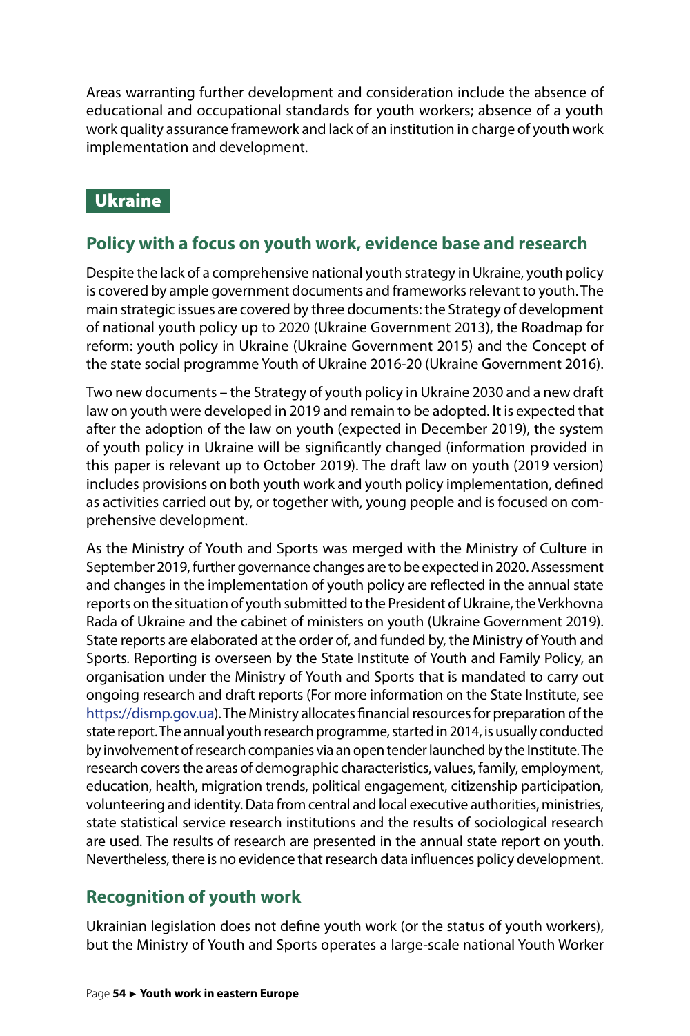<span id="page-54-0"></span>Areas warranting further development and consideration include the absence of educational and occupational standards for youth workers; absence of a youth work quality assurance framework and lack of an institution in charge of youth work implementation and development.

# Ukraine

# **Policy with a focus on youth work, evidence base and research**

Despite the lack of a comprehensive national youth strategy in Ukraine, youth policy is covered by ample government documents and frameworks relevant to youth. The main strategic issues are covered by three documents: the Strategy of development of national youth policy up to 2020 (Ukraine Government 2013), the [Roadmap for](https://rm.coe.int/16806b940b)  [reform: youth policy in Ukraine](https://rm.coe.int/16806b940b) (Ukraine Government 2015) and the Concept of the state social programme Youth of Ukraine 2016-20 (Ukraine Government 2016).

Two new documents – the Strategy of youth policy in Ukraine 2030 and a new draft law on youth were developed in 2019 and remain to be adopted. It is expected that after the adoption of the law on youth (expected in December 2019), the system of youth policy in Ukraine will be significantly changed (information provided in this paper is relevant up to October 2019). The draft law on youth (2019 version) includes provisions on both youth work and youth policy implementation, defined as activities carried out by, or together with, young people and is focused on comprehensive development.

As the Ministry of Youth and Sports was merged with the Ministry of Culture in September 2019, further governance changes are to be expected in 2020. Assessment and changes in the implementation of youth policy are reflected in the [annual state](http://dsmsu.gov.ua/index/ua/category/202)  [reports on the situation of youth submitted to the President of Ukraine, the Verkhovna](http://dsmsu.gov.ua/index/ua/category/202)  [Rada of Ukraine and the cabinet of ministers on youth](http://dsmsu.gov.ua/index/ua/category/202) (Ukraine Government 2019). State reports are elaborated at the order of, and funded by, the Ministry of Youth and Sports. Reporting is overseen by the [State Institute of Youth and Family Policy,](http://dismp.gov.ua/) an organisation under the Ministry of Youth and Sports that is mandated to carry out ongoing research and draft reports (For more information on the State Institute, see [https://dismp.gov.ua\)](https://dismp.gov.ua). The Ministry allocates financial resources for preparation of the state report. The annual youth research programme, started in 2014, is usually conducted by involvement of research companies via an open tender launched by the Institute. The research covers the areas of demographic characteristics, values, family, employment, education, health, migration trends, political engagement, citizenship participation, volunteering and identity. Data from central and local executive authorities, ministries, state statistical service research institutions and the results of sociological research are used. The results of research are presented in the annual state report on youth. Nevertheless, there is no evidence that research data influences policy development.

# **Recognition of youth work**

Ukrainian legislation does not define youth work (or the status of youth workers), but the Ministry of Youth and Sports operates a large-scale national Youth Worker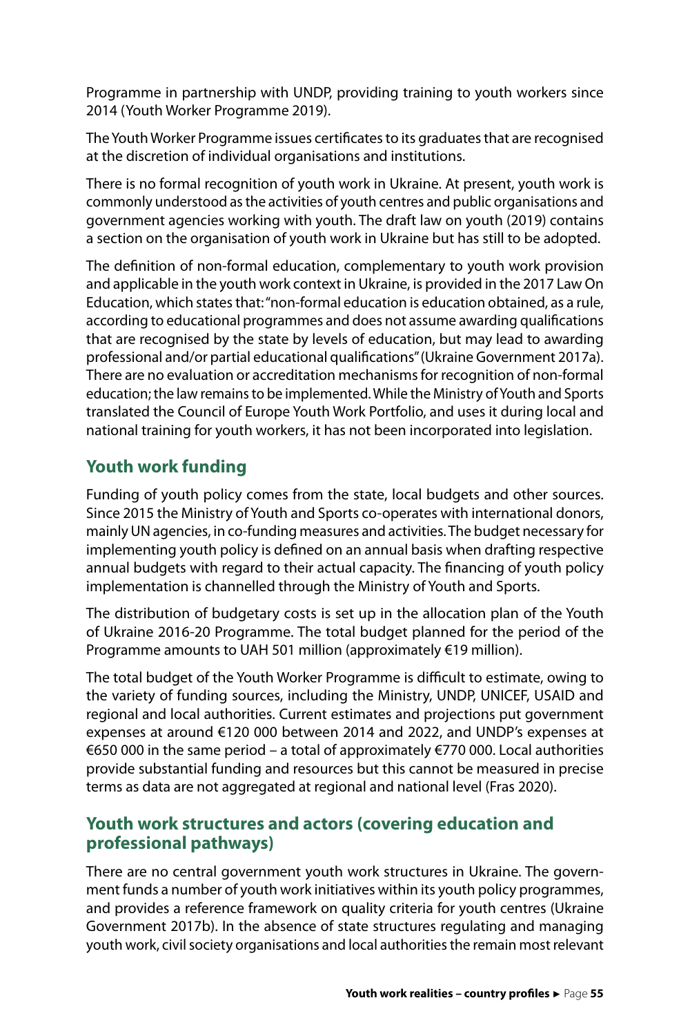Programme in partnership with UNDP, providing training to youth workers since 2014 (Youth Worker Programme 2019).

The Youth Worker Programme issues certificates to its graduates that are recognised at the discretion of individual organisations and institutions.

There is no formal recognition of youth work in Ukraine. At present, youth work is commonly understood as the activities of youth centres and public organisations and government agencies working with youth. The draft law on youth (2019) contains a section on the organisation of youth work in Ukraine but has still to be adopted.

The definition of non-formal education, complementary to youth work provision and applicable in the youth work context in Ukraine, is provided in the 2017 Law On Education, which states that: "non-formal education is education obtained, as a rule, according to educational programmes and does not assume awarding qualifications that are recognised by the state by levels of education, but may lead to awarding professional and/or partial educational qualifications" (Ukraine Government 2017a). There are no evaluation or accreditation mechanisms for recognition of non-formal education; the law remains to be implemented. While the Ministry of Youth and Sports translated the Council of Europe Youth Work Portfolio, and uses it during local and national training for youth workers, it has not been incorporated into legislation.

# **Youth work funding**

Funding of youth policy comes from the state, local budgets and other sources. Since 2015 the Ministry of Youth and Sports co-operates with international donors, mainly UN agencies, in co-funding measures and activities. The budget necessary for implementing youth policy is defined on an annual basis when drafting respective annual budgets with regard to their actual capacity. The financing of youth policy implementation is channelled through the Ministry of Youth and Sports.

The distribution of budgetary costs is set up in the allocation plan of the Youth of Ukraine 2016-20 Programme. The total budget planned for the period of the Programme amounts to UAH 501 million (approximately €19 million).

The total budget of the Youth Worker Programme is difficult to estimate, owing to the variety of funding sources, including the Ministry, UNDP, UNICEF, USAID and regional and local authorities. Current estimates and projections put government expenses at around €120 000 between 2014 and 2022, and UNDP's expenses at €650 000 in the same period – a total of approximately €770 000. Local authorities provide substantial funding and resources but this cannot be measured in precise terms as data are not aggregated at regional and national level (Fras 2020).

### **Youth work structures and actors (covering education and professional pathways)**

There are no central government youth work structures in Ukraine. The government funds a number of youth work initiatives within its youth policy programmes, and provides a reference framework on quality criteria for youth centres (Ukraine Government 2017b). In the absence of state structures regulating and managing youth work, civil society organisations and local authorities the remain most relevant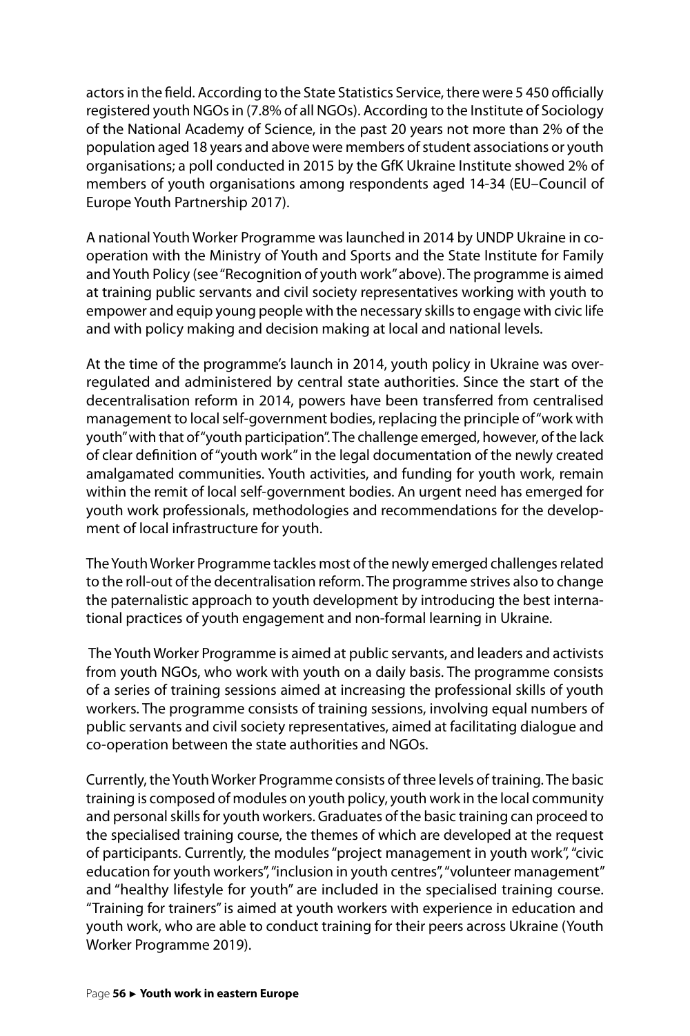actors in the field. According to the State Statistics Service, there were 5 450 officially registered youth NGOs in (7.8% of all NGOs). According to the Institute of Sociology of the National Academy of Science, in the past 20 years not more than 2% of the population aged 18 years and above were members of student associations or youth organisations; a poll conducted in 2015 by the GfK Ukraine Institute showed 2% of members of youth organisations among respondents aged 14-34 (EU–Council of Europe Youth Partnership 2017).

A national Youth Worker Programme was launched in 2014 by UNDP Ukraine in cooperation with the Ministry of Youth and Sports and the State Institute for Family and Youth Policy (see "Recognition of youth work" above). The programme is aimed at training public servants and civil society representatives working with youth to empower and equip young people with the necessary skills to engage with civic life and with policy making and decision making at local and national levels.

At the time of the programme's launch in 2014, youth policy in Ukraine was overregulated and administered by central state authorities. Since the start of the decentralisation reform in 2014, powers have been transferred from centralised management to local self-government bodies, replacing the principle of "work with youth" with that of "youth participation". The challenge emerged, however, of the lack of clear definition of "youth work" in the legal documentation of the newly created amalgamated communities. Youth activities, and funding for youth work, remain within the remit of local self-government bodies. An urgent need has emerged for youth work professionals, methodologies and recommendations for the development of local infrastructure for youth.

The Youth Worker Programme tackles most of the newly emerged challenges related to the roll-out of the decentralisation reform. The programme strives also to change the paternalistic approach to youth development by introducing the best international practices of youth engagement and non-formal learning in Ukraine.

 The Youth Worker Programme is aimed at public servants, and leaders and activists from youth NGOs, who work with youth on a daily basis. The programme consists of a series of training sessions aimed at increasing the professional skills of youth workers. The programme consists of training sessions, involving equal numbers of public servants and civil society representatives, aimed at facilitating dialogue and co-operation between the state authorities and NGOs.

Currently, the Youth Worker Programme consists of three levels of training. The basic training is composed of modules on youth policy, youth work in the local community and personal skills for youth workers. Graduates of the basic training can proceed to the specialised training course, the themes of which are developed at the request of participants. Currently, the modules "project management in youth work", "civic education for youth workers", "inclusion in youth centres", "volunteer management" and "healthy lifestyle for youth" are included in the specialised training course. "Training for trainers" is aimed at youth workers with experience in education and youth work, who are able to conduct training for their peers across Ukraine (Youth Worker Programme 2019).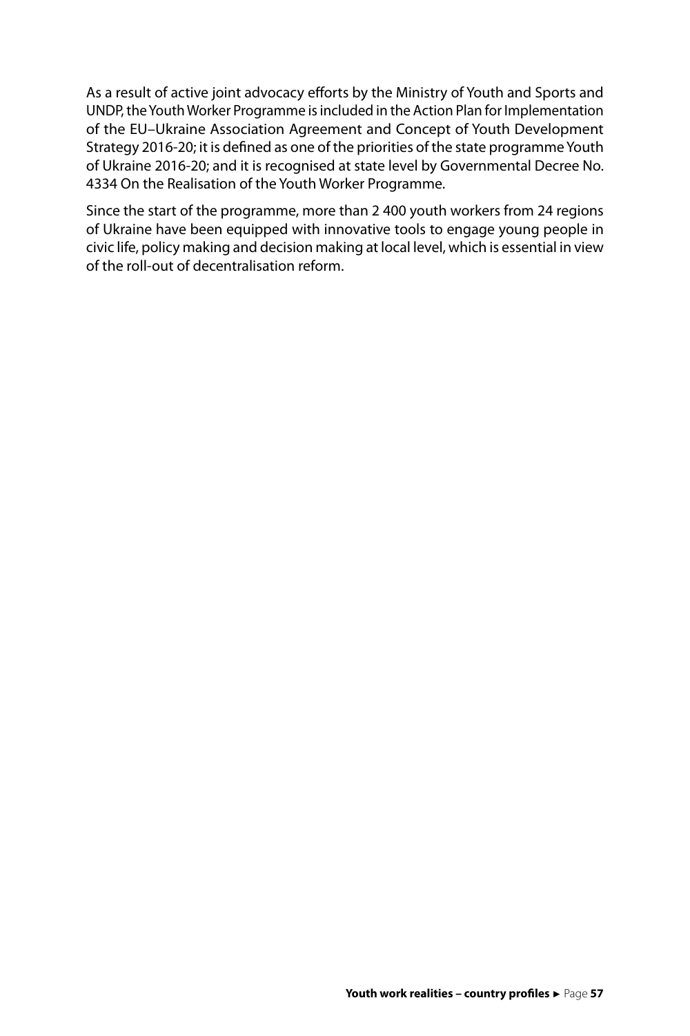As a result of active joint advocacy efforts by the Ministry of Youth and Sports and UNDP, the Youth Worker Programme is included in the Action Plan for Implementation of the EU–Ukraine Association Agreement and Concept of Youth Development Strategy 2016-20; it is defined as one of the priorities of the state programme Youth of Ukraine 2016-20; and it is recognised at state level by Governmental Decree No. 4334 On the Realisation of the Youth Worker Programme.

Since the start of the programme, more than 2 400 youth workers from 24 regions of Ukraine have been equipped with innovative tools to engage young people in civic life, policy making and decision making at local level, which is essential in view of the roll-out of decentralisation reform.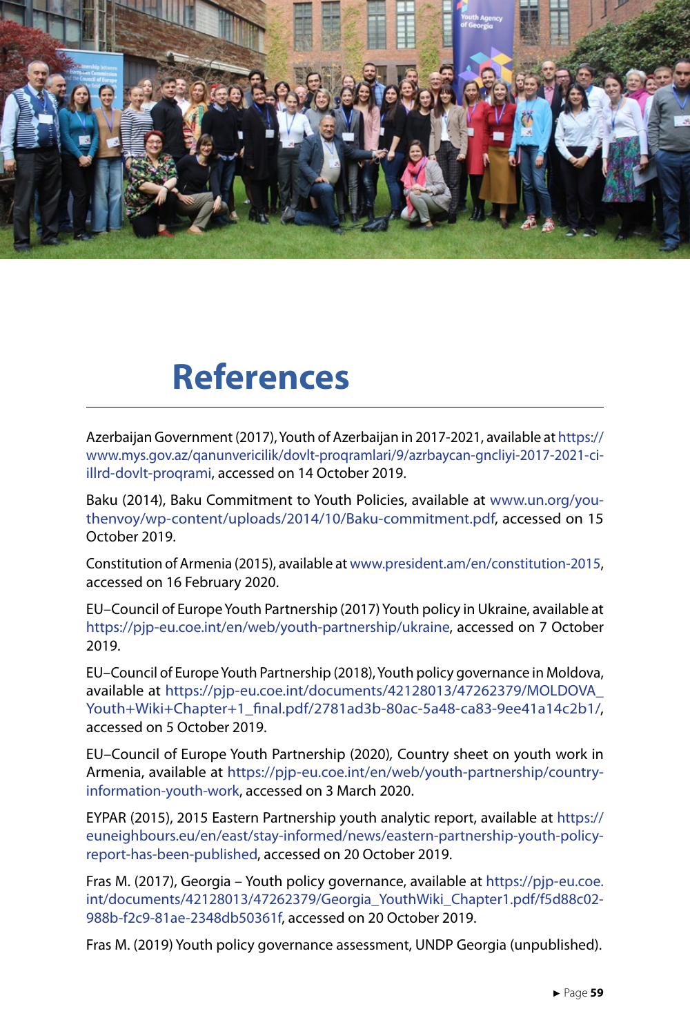<span id="page-59-0"></span>![](_page_59_Picture_0.jpeg)

# **References**

Azerbaijan Government (2017), Youth of Azerbaijan in 2017-2021, available at [https://](https://www.mys.gov.az/qanunvericilik/dovlt-proqramlari/9/azrbaycan-gncliyi-2017-2021-ci-illrd-dovlt-proqrami) [www.mys.gov.az/qanunvericilik/dovlt-proqramlari/9/azrbaycan-gncliyi-2017-2021-ci](https://www.mys.gov.az/qanunvericilik/dovlt-proqramlari/9/azrbaycan-gncliyi-2017-2021-ci-illrd-dovlt-proqrami)[illrd-dovlt-proqrami](https://www.mys.gov.az/qanunvericilik/dovlt-proqramlari/9/azrbaycan-gncliyi-2017-2021-ci-illrd-dovlt-proqrami), accessed on 14 October 2019.

Baku (2014), Baku Commitment to Youth Policies, available at [www.un.org/you](http://www.un.org/youthenvoy/wp-content/uploads/2014/10/Baku-commitment.pdf)[thenvoy/wp-content/uploads/2014/10/Baku-commitment.pdf](http://www.un.org/youthenvoy/wp-content/uploads/2014/10/Baku-commitment.pdf), accessed on 15 October 2019.

Constitution of Armenia (2015), available at [www.president.am/en/constitution-2015,](http://www.president.am/en/constitution-2015) accessed on 16 February 2020.

EU–Council of Europe Youth Partnership (2017) Youth policy in Ukraine, available at [https://pjp-eu.coe.int/en/web/youth-partnership/ukraine,](https://pjp-eu.coe.int/en/web/youth-partnership/ukraine) accessed on 7 October 2019.

EU–Council of Europe Youth Partnership (2018), Youth policy governance in Moldova, available at [https://pjp-eu.coe.int/documents/42128013/47262379/MOLDOVA\\_](https://pjp-eu.coe.int/documents/42128013/47262379/MOLDOVA_Youth+Wiki+Chapter+1_final.pdf/2781ad3b-80ac-5a48-ca83-9ee41a14c2b1/) [Youth+Wiki+Chapter+1\\_final.pdf/2781ad3b-80ac-5a48-ca83-9ee41a14c2b1/,](https://pjp-eu.coe.int/documents/42128013/47262379/MOLDOVA_Youth+Wiki+Chapter+1_final.pdf/2781ad3b-80ac-5a48-ca83-9ee41a14c2b1/) accessed on 5 October 2019.

EU–Council of Europe Youth Partnership (2020)*,* Country sheet on youth work in Armenia, available at [https://pjp-eu.coe.int/en/web/youth-partnership/country](https://pjp-eu.coe.int/en/web/youth-partnership/country-information-youth-work)[information-youth-work](https://pjp-eu.coe.int/en/web/youth-partnership/country-information-youth-work), accessed on 3 March 2020.

EYPAR (2015), 2015 Eastern Partnership youth analytic report, available at [https://](https://euneighbours.eu/en/east/stay-informed/news/eastern-partnership-youth-policy-report-has-been-published) [euneighbours.eu/en/east/stay-informed/news/eastern-partnership-youth-policy](https://euneighbours.eu/en/east/stay-informed/news/eastern-partnership-youth-policy-report-has-been-published)[report-has-been-published](https://euneighbours.eu/en/east/stay-informed/news/eastern-partnership-youth-policy-report-has-been-published), accessed on 20 October 2019.

Fras M. (2017), Georgia – Youth policy governance, available at [https://pjp-eu.coe.](https://pjp-eu.coe.int/documents/42128013/47262379/Georgia_YouthWiki_Chapter1.pdf/f5d88c02-988b-f2c9-81ae-2348db50361f) [int/documents/42128013/47262379/Georgia\\_YouthWiki\\_Chapter1.pdf/f5d88c02-](https://pjp-eu.coe.int/documents/42128013/47262379/Georgia_YouthWiki_Chapter1.pdf/f5d88c02-988b-f2c9-81ae-2348db50361f) [988b-f2c9-81ae-2348db50361f](https://pjp-eu.coe.int/documents/42128013/47262379/Georgia_YouthWiki_Chapter1.pdf/f5d88c02-988b-f2c9-81ae-2348db50361f), accessed on 20 October 2019.

Fras M. (2019) Youth policy governance assessment, UNDP Georgia (unpublished).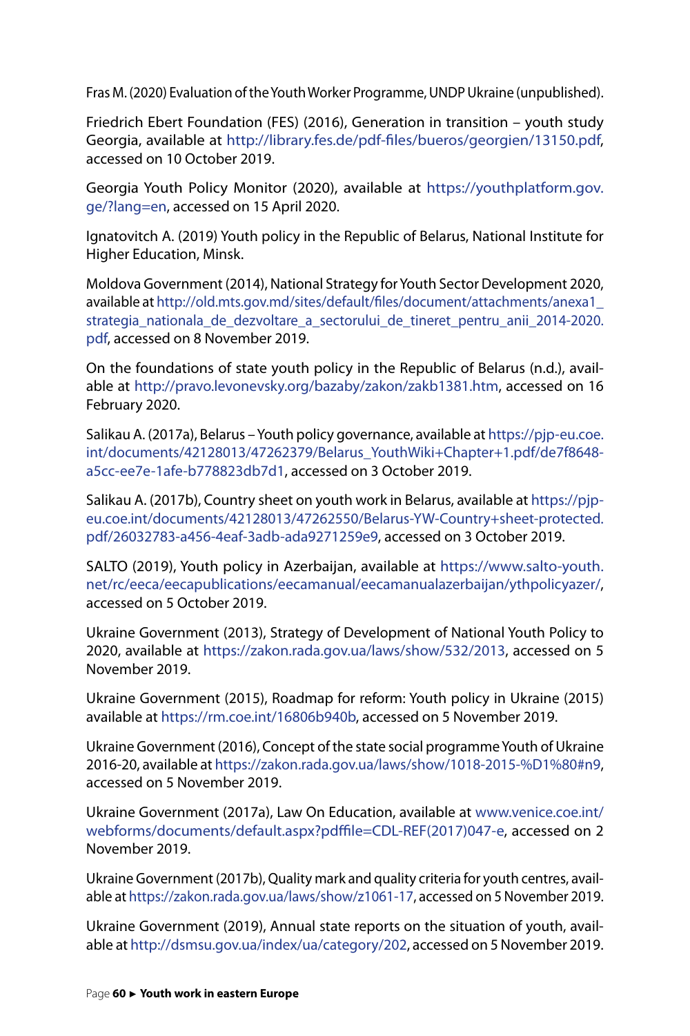Fras M. (2020) Evaluation of the Youth Worker Programme, UNDP Ukraine (unpublished).

Friedrich Ebert Foundation (FES) (2016), Generation in transition – youth study Georgia, available at [http://library.fes.de/pdf-files/bueros/georgien/13150.pdf,](http://library.fes.de/pdf-files/bueros/georgien/13150.pdf) accessed on 10 October 2019.

Georgia Youth Policy Monitor (2020), available at [https://youthplatform.gov.](https://youthplatform.gov.ge/?lang=en) [ge/?lang=en,](https://youthplatform.gov.ge/?lang=en) accessed on 15 April 2020.

Ignatovitch A. (2019) Youth policy in the Republic of Belarus, National Institute for Higher Education, Minsk.

Moldova Government (2014), National Strategy for Youth Sector Development 2020, available at [http://old.mts.gov.md/sites/default/files/document/attachments/anexa1\\_](http://old.mts.gov.md/sites/default/files/document/attachments/anexa1_strategia_nationala_de_dezvoltare_a_sectorului_de_tineret_pentru_anii_2014-2020.pdf) strategia nationala de dezvoltare a sectorului de tineret pentru anii 2014-2020. [pdf,](http://old.mts.gov.md/sites/default/files/document/attachments/anexa1_strategia_nationala_de_dezvoltare_a_sectorului_de_tineret_pentru_anii_2014-2020.pdf) accessed on 8 November 2019.

On the foundations of state youth policy in the Republic of Belarus (n.d.), available at [http://pravo.levonevsky.org/bazaby/zakon/zakb1381.htm,](http://pravo.levonevsky.org/bazaby/zakon/zakb1381.htm) accessed on 16 February 2020.

Salikau A. (2017a), Belarus – Youth policy governance, available at [https://pjp-eu.coe.](https://pjp-eu.coe.int/documents/42128013/47262379/Belarus_YouthWiki+Chapter+1.pdf/de7f8648-a5cc-ee7e-1afe-b778823db7d1) [int/documents/42128013/47262379/Belarus\\_YouthWiki+Chapter+1.pdf/de7f8648](https://pjp-eu.coe.int/documents/42128013/47262379/Belarus_YouthWiki+Chapter+1.pdf/de7f8648-a5cc-ee7e-1afe-b778823db7d1) [a5cc-ee7e-1afe-b778823db7d1](https://pjp-eu.coe.int/documents/42128013/47262379/Belarus_YouthWiki+Chapter+1.pdf/de7f8648-a5cc-ee7e-1afe-b778823db7d1), accessed on 3 October 2019.

Salikau A. (2017b), Country sheet on youth work in Belarus, available at [https://pjp](https://pjp-eu.coe.int/documents/42128013/47262550/Belarus-YW-Country+sheet-protected.pdf/26032783-a456-4eaf-3adb-ada9271259e9)[eu.coe.int/documents/42128013/47262550/Belarus-YW-Country+sheet-protected.](https://pjp-eu.coe.int/documents/42128013/47262550/Belarus-YW-Country+sheet-protected.pdf/26032783-a456-4eaf-3adb-ada9271259e9) [pdf/26032783-a456-4eaf-3adb-ada9271259e9,](https://pjp-eu.coe.int/documents/42128013/47262550/Belarus-YW-Country+sheet-protected.pdf/26032783-a456-4eaf-3adb-ada9271259e9) accessed on 3 October 2019.

SALTO (2019), Youth policy in Azerbaijan, available at [https://www.salto-youth.](https://www.salto-youth.net/rc/eeca/eecapublications/eecamanual/eecamanualazerbaijan/ythpolicyazer/) [net/rc/eeca/eecapublications/eecamanual/eecamanualazerbaijan/ythpolicyazer/,](https://www.salto-youth.net/rc/eeca/eecapublications/eecamanual/eecamanualazerbaijan/ythpolicyazer/) accessed on 5 October 2019.

Ukraine Government (2013), Strategy of Development of National Youth Policy to 2020, available at <https://zakon.rada.gov.ua/laws/show/532/2013>, accessed on 5 November 2019.

Ukraine Government (2015), [Roadmap for reform: Youth policy in Ukraine](file:///C:\Users\gallagher\AppData\Local\Microsoft\Windows\INetCache\Content.Outlook\9IFE9BPP\Roadmap%20for%20reform:%20Youth%20policy%20in%20Ukraine) (2015) available at <https://rm.coe.int/16806b940b>, accessed on 5 November 2019.

Ukraine Government (2016), Concept of the state social programme Youth of Ukraine 2016-20, available at https://zakon.rada.gov.ua/laws/show/1018-2015-%D1%80#n9, accessed on 5 November 2019.

Ukraine Government (2017a), Law On Education, available at [www.venice.coe.int/](http://www.venice.coe.int/webforms/documents/default.aspx?pdffile=CDL-REF(2017)047-e) [webforms/documents/default.aspx?pdffile=CDL-REF\(2017\)047-e](http://www.venice.coe.int/webforms/documents/default.aspx?pdffile=CDL-REF(2017)047-e), accessed on 2 November 2019.

Ukraine Government (2017b), Quality mark and quality criteria for youth centres, available at [https://zakon.rada.gov.ua/laws/show/z1061-17,](https://zakon.rada.gov.ua/laws/show/z1061-17) accessed on 5 November 2019.

Ukraine Government (2019), Annual state reports on the situation of youth, available at<http://dsmsu.gov.ua/index/ua/category/202>, accessed on 5 November 2019.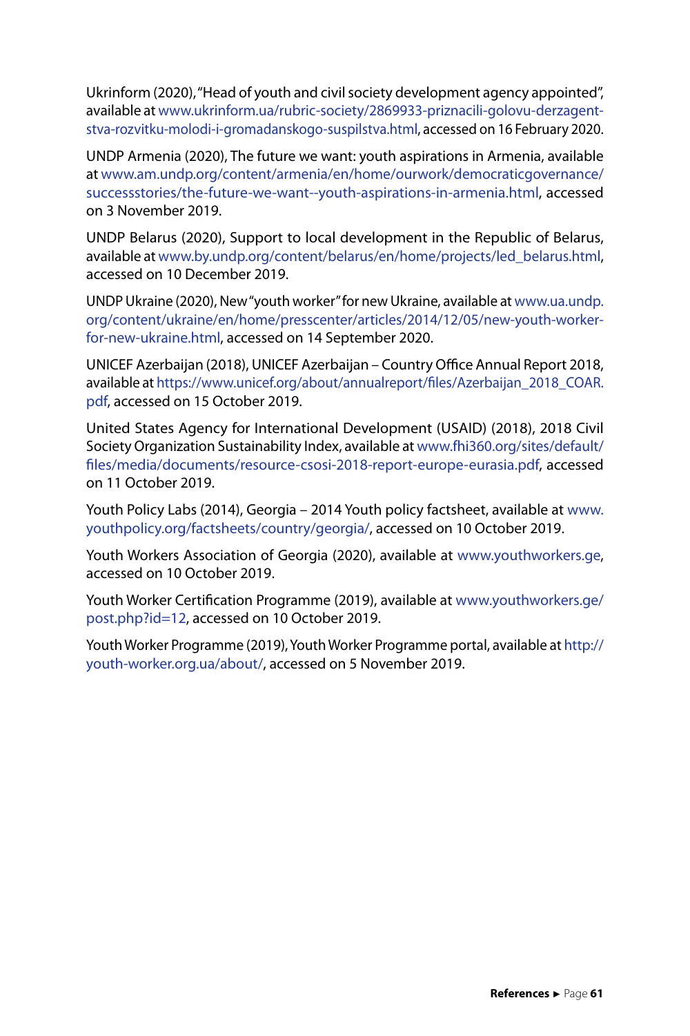Ukrinform (2020), "Head of youth and civil society development agency appointed", available at [www.ukrinform.ua/rubric-society/2869933-priznacili-golovu-derzagent](http://www.ukrinform.ua/rubric-society/2869933-priznacili-golovu-derzagentstva-rozvitku-molodi-i-gromadanskogo-suspilstva.html)[stva-rozvitku-molodi-i-gromadanskogo-suspilstva.html,](http://www.ukrinform.ua/rubric-society/2869933-priznacili-golovu-derzagentstva-rozvitku-molodi-i-gromadanskogo-suspilstva.html) accessed on 16 February 2020.

UNDP Armenia (2020), The future we want: youth aspirations in Armenia, available at [www.am.undp.org/content/armenia/en/home/ourwork/democraticgovernance/](http://www.am.undp.org/content/armenia/en/home/ourwork/democraticgovernance/successstories/the-future-we-want--youth-aspirations-in-armenia.html) [successstories/the-future-we-want--youth-aspirations-in-armenia.html](http://www.am.undp.org/content/armenia/en/home/ourwork/democraticgovernance/successstories/the-future-we-want--youth-aspirations-in-armenia.html), accessed on 3 November 2019.

UNDP Belarus (2020), Support to local development in the Republic of Belarus, available at [www.by.undp.org/content/belarus/en/home/projects/led\\_belarus.html,](http://www.by.undp.org/content/belarus/en/home/projects/led_belarus.html) accessed on 10 December 2019.

UNDP Ukraine (2020), New "youth worker" for new Ukraine, available at [www.ua.undp.](http://www.ua.undp.org/content/ukraine/en/home/presscenter/articles/2014/12/05/new-youth-worker-for-new-ukraine.html) [org/content/ukraine/en/home/presscenter/articles/2014/12/05/new-youth-worker](http://www.ua.undp.org/content/ukraine/en/home/presscenter/articles/2014/12/05/new-youth-worker-for-new-ukraine.html)[for-new-ukraine.html,](http://www.ua.undp.org/content/ukraine/en/home/presscenter/articles/2014/12/05/new-youth-worker-for-new-ukraine.html) accessed on 14 September 2020.

UNICEF Azerbaijan (2018), UNICEF Azerbaijan – Country Office Annual Report 2018, available at https://www.unicef.org/about/annualreport/files/Azerbaijan\_2018\_COAR. pdf, accessed on 15 October 2019.

United States Agency for International Development (USAID) (2018), 2018 Civil Society Organization Sustainability Index, available at [www.fhi360.org/sites/default/](http://www.fhi360.org/sites/default/files/media/documents/resource-csosi-2018-report-europe-eurasia.pdf) [files/media/documents/resource-csosi-2018-report-europe-eurasia.pdf](http://www.fhi360.org/sites/default/files/media/documents/resource-csosi-2018-report-europe-eurasia.pdf), accessed on 11 October 2019.

Youth Policy Labs (2014), Georgia – 2014 Youth policy factsheet, available at [www.](http://www.youthpolicy.org/factsheets/country/georgia/) [youthpolicy.org/factsheets/country/georgia/,](http://www.youthpolicy.org/factsheets/country/georgia/) accessed on 10 October 2019.

Youth Workers Association of Georgia (2020), available at [www.youthworkers.ge,](http://www.youthworkers.ge) accessed on 10 October 2019.

Youth Worker Certification Programme (2019), available at [www.youthworkers.ge/](http://www.youthworkers.ge/post.php?id=12) [post.php?id=12](http://www.youthworkers.ge/post.php?id=12), accessed on 10 October 2019.

Youth Worker Programme (2019), Youth Worker Programme portal, available at [http://](http://youth-worker.org.ua/about/) [youth-worker.org.ua/about/,](http://youth-worker.org.ua/about/) accessed on 5 November 2019.